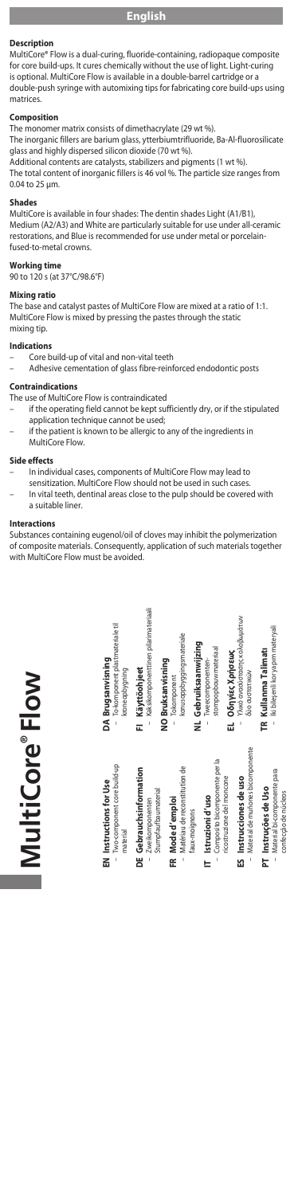## **Description**

MultiCore® Flow is a dual-curing, fluoride-containing, radiopaque composite for core build-ups. It cures chemically without the use of light. Light-curing is optional. MultiCore Flow is available in a double-barrel cartridge or a double-push syringe with automixing tips for fabricating core build-ups using matrices.

**Composition** The monomer matrix consists of dimethacrylate (29 wt %).

The inorganic fillers are barium glass, ytterbiumtrifluoride, Ba-Al-fluorosilicate

glass and highly dispersed silicon dioxide (70 wt %). Additional contents are catalysts, stabilizers and pigments (1 wt %).

The total content of inorganic fillers is 46 vol %. The particle size ranges from 0.04 to 25 µm.

**Shades** MultiCore is available in four shades: The dentin shades Light (A1/B1), Medium (A2/A3) and White are particularly suitable for use under all-ceramic restorations, and Blue is recommended for use under metal or porcelainfused-to-metal crowns.

## **Working time**

90 to 120 s (at 37°C/98.6°F)

## **Mixing ratio**

The base and catalyst pastes of MultiCore Flow are mixed at a ratio of 1:1. MultiCore Flow is mixed by pressing the pastes through the static mixing tip.

## **Indications**

- Core build-up of vital and non-vital teeth<br>– Adhesive cementation of glass fibre-rein
- Adhesive cementation of glass fibre-reinforced endodontic posts

# **Contraindications**

- The use of MultiCore Flow is contraindicated
- if the operating field cannot be kept sufficiently dry, or if the stipulated application technique cannot be used;
- if the patient is known to be allergic to any of the ingredients in MultiCore Flow.

## **Side effects**

- In individual cases, components of MultiCore Flow may lead to
- sensitization. MultiCore Flow should not be used in such cases. In vital teeth, dentinal areas close to the pulp should be covered with a suitable liner.

### **Interactions**

Substances containing eugenol/oil of cloves may inhibit the polymerization of composite materials. Consequently, application of such materials together with MultiCore Flow must be avoided.



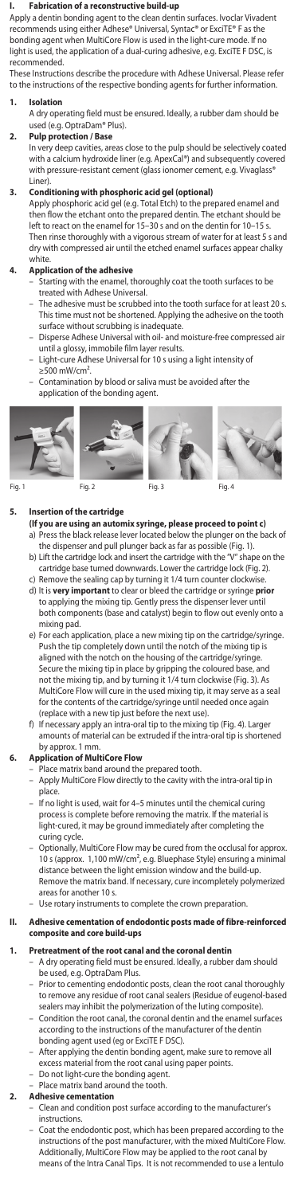### **I. Fabrication of a reconstructive build-up**

Apply a dentin bonding agent to the clean dentin surfaces. Ivoclar Vivadent recommends using either Adhese® Universal, Syntac® or ExciTE® F as the bonding agent when MultiCore Flow is used in the light-cure mode. If no light is used, the application of a dual-curing adhesive, e.g. ExciTE F DSC, is recommended.

These Instructions describe the procedure with Adhese Universal. Please refer to the instructions of the respective bonding agents for further information.

## **1. Isolation**

A dry operating field must be ensured. Ideally, a rubber dam should be used (e.g. OptraDam® Plus).

# **2. Pulp protection / Base**

In very deep cavities, areas close to the pulp should be selectively coated with a calcium hydroxide liner (e.g. ApexCal®) and subsequently covered with pressure-resistant cement (glass ionomer cement, e.g. Vivaglass<sup>®</sup> Liner).

## **3. Conditioning with phosphoric acid gel (optional)**

Apply phosphoric acid gel (e.g. Total Etch) to the prepared enamel and then flow the etchant onto the prepared dentin. The etchant should be left to react on the enamel for 15–30 s and on the dentin for 10–15 s. Then rinse thoroughly with a vigorous stream of water for at least 5 s and dry with compressed air until the etched enamel surfaces appear chalky .,<br><sup>.</sup>hite

# **4. Application of the adhesive**

- Starting with the enamel, thoroughly coat the tooth surfaces to be with Adhese Universal.
- The adhesive must be scrubbed into the tooth surface for at least 20 s. This time must not be shortened. Applying the adhesive on the tooth surface without scrubbing is inadequate. surface without scrubbing is inadequate
- Disperse Adhese Universal with oil- and moisture-free compressed air
- until a glossy, immobile film layer results. Light-cure Adhese Universal for 10 s using a light intensity of  $≥500$  mW/cm<sup>2</sup>.
- Contamination by blood or saliva must be avoided after the application of the bonding agent.







# **5. Insertion of the cartridge**

- **(If you are using an automix syringe, please proceed to point c)** a) Press the black release lever located below the plunger on the back of the dispenser and pull plunger back as far as possible (Fig. 1). b) Lift the cartridge lock and insert the cartridge with the "V" shape on the
- cartridge base turned downwards. Lower the cartridge lock (Fig. 2).
- c) Remove the sealing cap by turning it 1/4 turn counter clockwise. d) It is **very important** to clear or bleed the cartridge or syringe **prior** to applying the mixing tip. Gently press the dispenser lever until both components (base and catalyst) begin to flow out evenly onto a mixing pad.
- e) For each application, place a new mixing tip on the cartridge/syringe. Push the tip completely down until the notch of the mixing tip is aligned with the notch on the housing of the cartridge/syringe. Secure the mixing tip in place by gripping the coloured base, not the mixing tip, and by turning it 1/4 turn clockwise (Fig. 3). As MultiCore Flow will cure in the used mixing tip, it may serve as a seal for the contents of the cartridge/syringe until needed once again (replace with a new tip just before the next use).
- f) If necessary apply an intra-oral tip to the mixing tip (Fig. 4). Larger amounts of material can be extruded if the intra-oral tip is shortened by approx. 1 mm.

# **6. Application of MultiCore Flow**

- Place matrix band around the prepared tooth.
- Apply MultiCore Flow directly to the cavity with the intra-oral tip in place.
- If no light is used, wait for 4–5 minutes until the chemical curing process is complete before removing the matrix. If the material is light-cured, it may be ground immediately after completing the curing cycle.
- Optionally, MultiCore Flow may be cured from the occlusal for approx. 10 s (approx. 1,100 mW/cm², e.g. Bluephase Style) ensuring a minimal distance between the light emission window and the build-up. Remove the matrix band. If necessary, cure incompletely polymerized areas for another 10 s.<br>Use rotary instrument
- ents to complete the crown preparation.

## **II. Adhesive cementation of endodontic posts made of fibre-reinforced composite and core build-ups**

## **1. Pretreatment of the root canal and the coronal dentin**

- A dry operating field must be ensured. Ideally, a rubber dam should be used, e.g. OptraDam Plus.
	- Prior to cementing endodontic posts, clean the root canal thoroughly to remove any residue of root canal sealers (Residue of eugenol-based sealers may inhibit the polymerization of the luting composite).
	- Condition the root canal, the coronal dentin and the enamel surfaces according to the instructions of the manufacturer of the dentin
	- bonding agent used (eg or ExciTE F DSC). After applying the dentin bonding agent, make sure to remove all excess material from the root canal using paper points.
	-
	- Do not light-cure the bonding agent. Place matrix band around the tooth.

# **2. Adhesive cementation**

- Clean and condition post surface according to the manufacturer's instructions.
- Coat the endodontic post, which has been prepared according to the instructions of the post manufacturer, with the mixed MultiCore Flow. Additionally, MultiCore Flow may be applied to the root canal by means of the Intra Canal Tips. It is not recommended to use a lentulo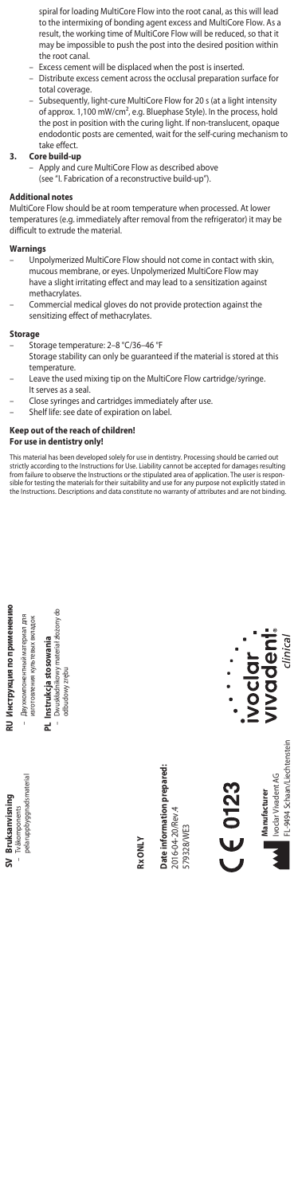spiral for loading MultiCore Flow into the root canal, as this will lead to the intermixing of bonding agent excess and MultiCore Flow. As a<br>result, the working time of MultiCore Flow will be reduced, so that it<br>may be impossible to push the post into the desired position within the root canal.

- Excess cement will be displaced when the post is inserted.
- Distribute excess cement across the occlusal preparation surface for total coverage.
- Subsequently, light-cure MultiCore Flow for 20 s (at a light intensity of approx. 1,100 mW/cm², e.g. Bluephase Style). In the process, hold the post in position with the curing light. If non-translucent, opaque endodontic posts are cemented, wait for the self-curing mechanism to take effect.

## **3. Core build-up**

– Apply and cure MultiCore Flow as described above (see "I. Fabrication of a reconstructive build-up").

# **Additional notes**

MultiCore Flow should be at room temperature when processed. At lower temperatures (e.g. immediately after removal from the refrigerator) it may be difficult to extrude the material.

# **Warnings**

- Unpolymerized MultiCore Flow should not come in contact with skin, mucous membrane, or eyes. Unpolymerized MultiCore Flow may have a slight irritating effect and may lead to a sensitization against methacrylates.
- Commercial medical gloves do not provide protection against the sensitizing effect of methacrylates.

## **Storag**

- Storage temperature: 2–8 °C/36–46 °F
- Storage stability can only be guaranteed if the material is stored at this temperature.
- Leave the used mixing tip on the MultiCore Flow cartridge/syringe. It serves as a seal.
- Close syringes and cartridges immediately after use.
- Shelf life: see date of expiration on label.

## **Keep out of the reach of children!**

# **For use in dentistry only!**

This material has been developed solely for use in dentistry. Processing should be carried out<br>strictly according to the Instructions for Use. Liability cannot be accepted for damages resulting<br>from failure to observe the sible for testing the materials for their suitability and use for any purpose not explicitly stated in the Instructions. Descriptions and data constitute no warranty of attributes and are not binding.





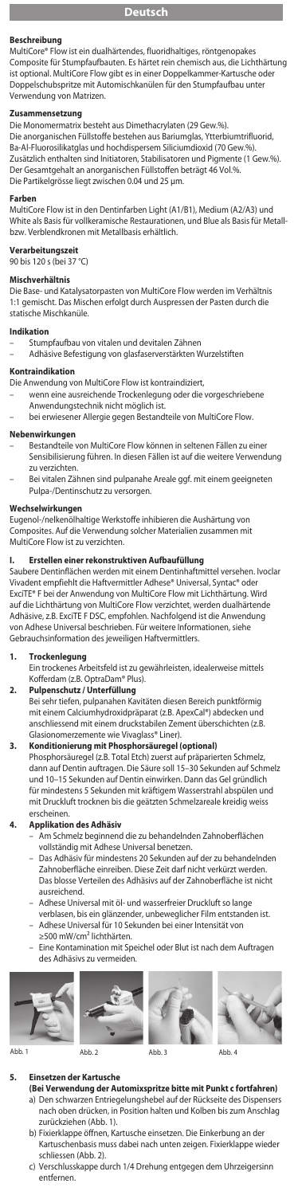## **Beschreibung**

MultiCore® Flow ist ein dualhärtendes, fluoridhaltiges, röntgenopakes Composite für Stumpfaufbauten. Es härtet rein chemisch aus, die Lichthärtung ist optional. MultiCore Flow gibt es in einer Doppelkammer-Kartusche oder Doppelschubspritze mit Automischkanülen für den Stumpfaufbau unter Verwendung von Matrizen.

**Zusammensetzung** Die Monomermatrix besteht aus Dimethacrylaten (29 Gew.%).

Die anorganischen Füllstoffe bestehen aus Bariumglas, Ytterbiumtrifluorid, Ba-Al-Fluorosilikatglas und hochdispersem Siliciumdioxid (70 Gew.%). Zusätzlich enthalten sind Initiatoren, Stabilisatoren und Pigmente (1 Gew.%). Der Gesamtgehalt an anorganischen Füllstoffen beträgt 46 Vol.%. Die Partikelgrösse liegt zwischen 0.04 und 25 μm.

**Farben** MultiCore Flow ist in den Dentinfarben Light (A1/B1), Medium (A2/A3) und White als Basis für vollkeramische Restaurationen, und Blue als Basis für Metallbzw. Verblendkronen mit Metallbasis erhältlich.

**Verarbeitungszeit** 90 bis 120 s (bei 37 °C)

## **Mischverhältnis**

Die Base- und Katalysatorpasten von MultiCore Flow werden im Verhältnis 1:1 gemischt. Das Mischen erfolgt durch Auspressen der Pasten durch die statische Mischkanüle.

## **Indikation**

- Stumpfaufbau von vitalen und devitalen Zähnen
- Adhäsive Befestigung von glasfaserverstärkten Wurzelstiften

## **Kontraindikation**

- Die Anwendung von MultiCore Flow ist kontraindiziert,
- wenn eine ausreichende Trockenlegung oder die vorgeschriebene
- Anwendungstechnik nicht möglich ist.
- bei erwiesener Allergie gegen Bestandteile von MultiCore Flow.

## **Nebenwirkungen**

- Bestandteile von MultiCore Flow können in seltenen Fällen zu ein Sensibilisierung führen. In diesen Fällen ist auf die weitere Verwendung zu verzichten.
- Bei vitalen Zähnen sind pulpanahe Areale ggf. mit einem geeigneten Pulpa-/Dentinschutz zu versorgen.

# Wechselwirkung

Eugenol-/nelkenölhaltige Werkstoffe inhibieren die Aushärtung von Composites. Auf die Verwendung solcher Materialien zusammen mit MultiCore Flow ist zu verzichten.

## **I. Erstellen einer rekonstruktiven Aufbaufüllung**

Saubere Dentinflächen werden mit einem Dentinhaftmittel versehen. Ivoclar Vivadent empfiehlt die Haftvermittler Adhese® Universal, Syntac® oder ExciTE® F bei der Anwendung von MultiCore Flow mit Lichthärtung. Wird auf die Lichthärtung von MultiCore Flow verzichtet, werden dualhärtende Adhäsive, z.B. ExciTE F DSC, empfohlen. Nachfolgend ist die Anwendung von Adhese Universal beschrieben. Für weitere Informationen, siehe Gebrauchsinformation des jeweiligen Haftvermittlers.

# **1. Trockenlegung**

Ein trockenes Arbeitsfeld ist zu gewährleisten, idealerweise mittels Kofferdam (z.B. OptraDam® Plus).

## **2. Pulpenschutz / Unterfüllung**

Bei sehr tiefen, pulpanahen Kavitäten diesen Bereich punktförmig mit einem Calciumhydroxidpräparat (z.B. ApexCal®) abdecken un anschliessend mit einem druckstabilen Zement überschichten (z.B. Glasionomerzemente wie Vivaglass® Liner).

**3. Konditionierung mit Phosphorsäuregel (optional)** Phosphorsäuregel (z.B. Total Etch) zuerst auf präparierten Schmelz, dann auf Dentin auftragen. Die Säure soll 15–30 Sekunden auf Schmelz und 10–15 Sekunden auf Dentin einwirken. Dann das Gel gründlich für mindestens 5 Sekunden mit kräftigem Wasserstrahl abspülen und mit Druckluft trocknen bis die geätzten Schmelzareale kreidig weiss erscheinen.

# **4. Applikation des Adhäsiv**

- Am Schmelz beginnend die zu behandelnden Zahnoberflächen
- vollständig mit Adhese Universal benetzen. Das Adhäsiv für mindestens 20 Sekunden auf der zu behandelnden Zahnoberfläche einreiben. Diese Zeit darf nicht verkürzt werden. Das blosse Verteilen des Adhäsivs auf der Zahnoberfläche ist nicht ausreichend.
- Adhese Universal mit öl- und wasserfreier Druckluft so lange
- verblasen, bis ein glänzender, unbeweglicher Film entstanden ist. Adhese Universal für 10 Sekunden bei einer Intensität von ≥500 mW/cm² lichthärten.
- 
- Eine Kontamination mit Speichel oder Blut ist nach dem Auftragen des Adhäsivs zu vermeiden.





### **5. Einsetzen der Kartusche**

- **(Bei Verwendung der Automixspritze bitte mit Punkt c fortfahren)** a) Den schwarzen Entriegelungshebel auf der Rückseite des Dispensers nach oben drücken, in Position halten und Kolben bis zum Anschlag zurückziehen (Abb. 1).
- b) Fixierklappe öffnen, Kartusche einsetzen. Die Einkerbung an der Kartuschenbasis muss dabei nach unten zeigen. Fixierklappe wieder schliessen (Abb. 2).
- c) Verschlusskappe durch 1/4 Drehung entgegen dem Uhrzeigersinn entfernen.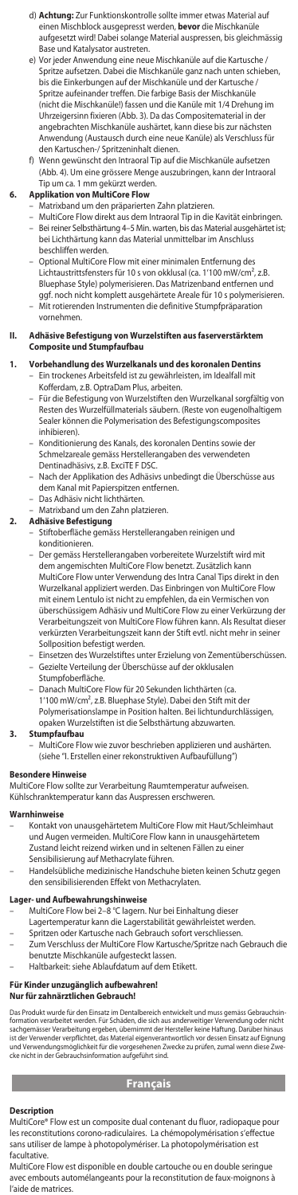- d) **Achtung:** Zur Funktionskontrolle sollte immer etwas Material a einen Mischblock ausgepresst werden, **bevor** die Mischkanüle aufgesetzt wird! Dabei solange Material auspressen, bis gleichmässig Base und Katalysator austreten.
- e) Vor jeder Anwendung eine neue Mischkanüle auf die Kartusche / Spritze aufsetzen. Dabei die Mischkanüle ganz nach unten schieben bis die Einkerbungen auf der Mischkanüle und der Kartusche / Spritze aufeinander treffen. Die farbige Basis der Mischkanüle (nicht die Mischkanüle!) fassen und die Kanüle mit 1/4 Drehung im Uhrzeigersinn fixieren (Abb. 3). Da das Compositematerial in der angebrachten Mischkanüle aushärtet, kann diese bis zur nächsten Anwendung (Austausch durch eine neue Kanüle) als Verschluss für den Kartuschen-/ Spritzeninhalt dienen.
- f) Wenn gewünscht den Intraoral Tip auf die Mischkanüle aufsetzen (Abb. 4). Um eine grössere Menge auszubringen, kann der Intraoral Tip um ca. 1 mm gekürzt werden.
- **6. Applikation von MultiCore Flow**
- Matrixband um den präparierten Zahn platzieren.
- MultiCore Flow direkt aus dem Intraoral Tip in die Kavität einbringen. Bei reiner Selbsthärtung 4–5 Min. warten, bis das Material ausgehärtet ist; bei Lichthärtung kann das Material unmittelbar im Anschluss beschliffen werden.
- Optional MultiCore Flow mit einer minimalen Entfernung des Lichtaustrittsfensters für 10 s von okklusal (ca. 1'100 mW/cm², z.B. Bluephase Style) polymerisieren. Das Matrizenband entfernen und ggf. noch nicht komplett ausgehärtete Areale für 10 s polymerisieren. – Mit rotierenden Instrumenten die definitive Stumpfpräparation
- vornehmen.

## **II. Adhäsive Befestigung von Wurzelstiften aus faserverstärktem Composite und Stumpfaufbau**

- **1. Vorbehandlung des Wurzelkanals und des koronalen Dentins**
	- Ein trockenes Arbeitsfeld ist zu gewährleisten, im Idealfall mit Kofferdam, z.B. OptraDam Plus, arbeiten. – Für die Befestigung von Wurzelstiften den Wurzelkanal sorgfältig von Resten des Wurzelfüllmaterials säubern. (Reste von eugenolhaltigem Sealer können die Polymerisation des Befestigungscomposites inhibieren).
	- Konditionierung des Kanals, des koronalen Dentins sowie der Schmelzareale gemäss Herstellerangaben des verwendeten Dentinadhäsivs, z.B. ExciTE F DSC.
	- Nach der Applikation des Adhäsivs unbedingt die Überschüsse aus dem Kanal mit Papierspitzen entfernen. – Das Adhäsiv nicht lichthärten.
	-
	- Matrixband um den Zahn platzieren.
	-
- **2. Adhäsive Befestigung** Stiftoberfläche gemäss Herstellerangaben reinigen und konditionieren.
	- Der gemäss Herstellerangaben vorbereitete Wurzelstift wird mit dem angemischten MultiCore Flow benetzt. Zusätzlich kann MultiCore Flow unter Verwendung des Intra Canal Tips direkt in den Wurzelkanal appliziert werden. Das Einbringen von MultiCore Flow mit einem Lentulo ist nicht zu empfehlen, da ein Vermischen von überschüssigem Adhäsiv und MultiCore Flow zu einer Verkürzung der Verarbeitungszeit von MultiCore Flow führen kann. Als Resultat dieser verkürzten Verarbeitungszeit kann der Stift evtl. nicht mehr in seiner Sollposition befestigt werden.
	- Einsetzen des Wurzelstiftes unter Erzielung von Zementüberschüssen. Gezielte Verteilung der Überschüsse auf der okklusalen Stumpfoberfläche.
	- Danach MultiCore Flow für 20 Sekunden lichthärten (ca. 1'100 mW/cm², z.B. Bluephase Style). Dabei den Stift mit der Polymerisationslampe in Position halten. Bei lichtundurchlässigen,

# opaken Wurzelstiften ist die Selbsthärtung abzuwarten. **3. Stumpfaufbau**

– MultiCore Flow wie zuvor beschrieben applizieren und aushärten. (siehe "I. Erstellen einer rekonstruktiven Aufbaufüllung")

**Besondere Hinweise** MultiCore Flow sollte zur Verarbeitung Raumtemperatur aufweisen.

Kühlschranktemperatur kann das Auspressen erschweren.

## **Warnhinweise**

- Kontakt von unausgehärtetem MultiCore Flow mit Haut/Schleimhaut und Augen vermeiden. MultiCore Flow kann in unausgehärtetem Zustand leicht reizend wirken und in seltenen Fällen zu eine Sensibilisierung auf Methacrylate führen.
- Handelsübliche medizinische Handschuhe bieten keinen Schutz gegen den sensibilisierenden Effekt von Methacrylaten.

## **Lager- und Aufbewahrungshinweise**

- MultiCore Flow bei 2–8 °C lagern. Nur bei Einhaltung dieser
- Lagertemperatur kann die Lagerstabilität gewährleistet werden.
- Spritzen oder Kartusche nach Gebrauch sofort verschliessen.
- Zum Verschluss der MultiCore Flow Kartusche/Spritze nach Gebrauch die benutzte Mischkanüle aufgesteckt lassen.
	- Haltbarkeit: siehe Ablaufdatum auf dem Etikett.

# **Für Kinder unzugänglich aufbewahren!**

# **Nur für zahnärztlichen Gebrauch!**

Das Produkt wurde für den Einsatz im Dentalbereich entwickelt und muss gemäss Gebrauchsin-<br>formation verarbeitet werden. Für Schäden, die sich aus anderweitiger Verwendung oder nicht<br>ist der Verwender verpflichtet, das Mat

# **Français**

## **Description**

MultiCore® Flow est un composite dual contenant du fluor, radiopaque pour les reconstitutions corono-radiculaires. La chémopolymérisation s'effectue sans utiliser de lampe à photopolymériser. La photopolymérisation est facultative.

MultiCore Flow est disponible en double cartouche ou en double seringue avec embouts automélangeants pour la reconstitution de faux-moignons à l'aide de matrices.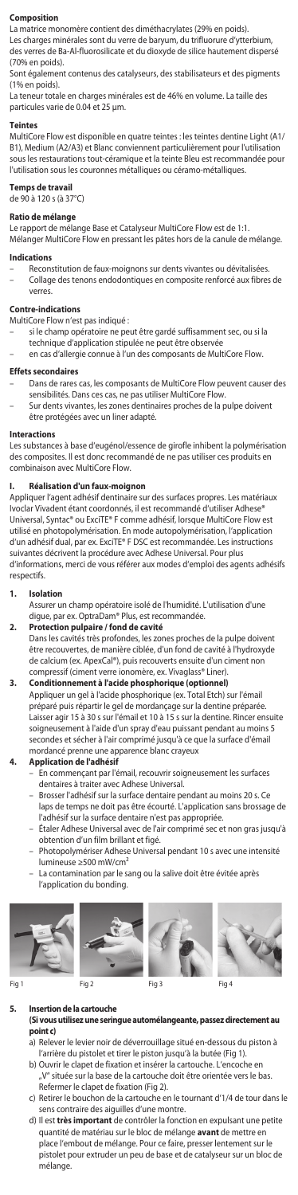## **Composition**

La matrice monomère contient des diméthacrylates (29% en poids). Les charges minérales sont du verre de baryum, du trifluorure d'ytterbium,

des verres de Ba-Al-fluorosilicate et du dioxyde de silice hautement dispersé (70% en poids).

Sont également contenus des catalyseurs, des stabilisateurs et des pigments (1% en poids).

La teneur totale en charges minérales est de 46% en volume. La taille des particules varie de 0.04 et 25 µm.

## **Teintes**

MultiCore Flow est disponible en quatre teintes : les teintes dentine Light (A1/ B1), Medium (A2/A3) et Blanc conviennent particulièrement pour l'utilisation sous les restaurations tout-céramique et la teinte Bleu est recommandée pour l'utilisation sous les couronnes métalliques ou céramo-métalliques.

# **Temps de travail**

de 90 à 120 s (à 37°C)

**Ratio de mélange**<br>Le rapport de mélange Base et Catalyseur MultiCore Flow est de 1:1.

Mélanger MultiCore Flow en pressant les pâtes hors de la canule de mélange.

## **Indications**

– Reconstitution de faux-moignons sur dents vivantes ou dévitalisées. – Collage des tenons endodontiques en composite renforcé aux fibres de verres.

### **Contre-indications**

MultiCore Flow n'est pas indiqué :

- si le champ opératoire ne peut être gardé suffisamment sec, ou si la technique d'application stipulée ne peut être observée
- en cas d'allergie connue à l'un des composants de MultiCore Flow.

### **Effets secondaires**

- Dans de rares cas, les composants de MultiCore Flow peuvent causer des sensibilités. Dans ces cas, ne pas utiliser MultiCore Flow
- Sur dents vivantes, les zones dentinaires proches de la pulpe doivent être protégées avec un liner adapté.

## **Interactions**

Les substances à base d'eugénol/essence de girofle inhibent la polymérisation des composites. Il est donc recommandé de ne pas utiliser ces produits en combinaison avec MultiCore Flow.

# **I. Réalisation d'un faux-moignon**

re sur des surfaces propres. Les matériaux Ivoclar Vivadent étant coordonnés, il est recommandé d'utiliser Adhese® Universal, Syntac® ou ExciTE® F comme adhésif, lorsque MultiCore Flow est utilisé en photopolymérisation. En mode autopolymérisation, l'application d'un adhésif dual, par ex. ExciTE® F DSC est recommandée. Les instructions suivantes décrivent la procédure avec Adhese Universal. Pour plus d'informations, merci de vous référer aux modes d'emploi des agents adhésifs respectifs.

## **1. Isolation**

- Assurer un champ opératoire isolé de l'humidité. L'utilisation d'une digue, par ex. OptraDam® Plus, est recommandée.
- **2. Protection pulpaire / fond de cavité** Dans les cavités très profondes, les zones proches de la pulpe doivent être recouvertes, de manière ciblée, d'un fond de cavité à l'hydroxyde
	- de calcium (ex. ApexCal®), puis recouverts ensuite d'un ciment non compressif (ciment verre ionomère, ex. Vivaglass® Liner).
- **3. Conditionnement à l'acide phosphorique (optionnel)** Appliquer un gel à l'acide phosphorique (ex. Total Etch) sur l'émail<br>préparé puis répartir le gel de mordançage sur la dentine préparée.<br>Laisser agir 15 à 30 s sur l'émail et 10 à 15 s sur la dentine. Rincer ensuite soigneusement à l'aide d'un spray d'eau puissant pendant au moins 5 secondes et sécher à l'air comprimé jusqu'à ce que la surface d'émail mordancé prenne une apparence blanc crayeux

# **4. Application de l'adhésif**

- En commençant par l'émail, recouvrir soigneusement les surfaces dentaires à traiter avec Adhese Universal.
- Brosser l'adhésif sur la surface dentaire pendant au moins 20 s. Ce laps de temps ne doit pas être écourté. L'application sans brossage de l'adhésif sur la surface dentaire n'est pas appropriée.
- Étaler Adhese Universal avec de l'air comprimé sec et non gras jusqu'à obtention d'un film brillant et figé.
- Photopolymériser Adhese Universal pendant 10 s avec une intensité lumineuse ≥500 mW/cm²
- La contamination par le sang ou la salive doit être évitée après l'application du bonding.



Fig 1 Fig 2 Fig 3 Fig 4





## **5. Insertion de la cartouche (Si vous utilisez une seringue automélangeante, passez directement au point c)**

- a) Relever le levier noir de déverrouillage situé en-dessous du piston à l'arrière du pistolet et tirer le piston jusqu'à la butée (Fig 1).
- b) Ouvrir le clapet de fixation et insérer la cartouche. L'encoche en située sur la base de la cartouche doit être orientée vers le bas. Refermer le clapet de fixation (Fig 2).
- c) Retirer le bouchon de la cartouche en le tournant d'1/4 de tour dans le sens contraire des aiguilles d'une montre.
- d) Il est **très important** de contrôler la fonction en expulsant une petite quantité de matériau sur le bloc de mélange **avant** de mettre en place l'embout de mélange. Pour ce faire, presser lentement sur le pistolet pour extruder un peu de base et de catalyseur sur un bloc de mélange.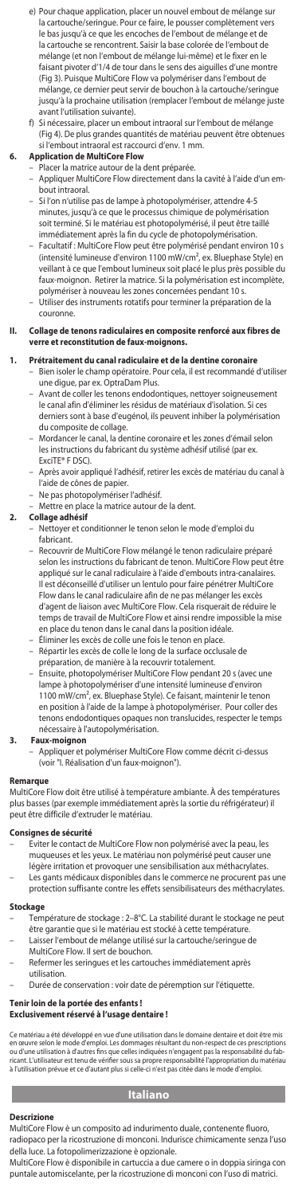- e) Pour chaque application, placer un nouvel embout de mélange s la cartouche/seringue. Pour ce faire, le pousser complètement vers le bas jusqu'à ce que les encoches de l'embout de mélange et de la cartouche se rencontrent. Saisir la base colorée de l'embout de mélange (et non l'embout de mélange lui-même) et le fixer en le faisant pivoter d'1/4 de tour dans le sens des aiguilles d'une montre (Fig 3). Puisque MultiCore Flow va polymériser dans l'embout de mélange, ce dernier peut servir de bouchon à la cartouche/seringue jusqu'à la prochaine utilisation (remplacer l'embout de mélange juste avant l'utilisation suivante).
- f) Si nécessaire, placer un embout intraoral sur l'embout de mélange (Fig 4). De plus grandes quantités de matériau peuvent être obtenues si l'embout intraoral est raccourci d'env. 1 mm.

# **6. Application de MultiCore Flow**

- Placer la matrice autour de la dent préparée.
- Appliquer MultiCore Flow directement dans la cavité à l'aide d'un embout intraoral.
- Si l'on n'utilise pas de lampe à photopolymériser, attendre 4-5 minutes, jusqu'à ce que le processus chimique de polymérisation soit terminé. Si le matériau est photopolymérisé, il peut être taillé immédiatement après la fin du cycle de photopolymérisation.
- Facultatif : MultiCore Flow peut être polymérisé pendant environ 10 s (intensité lumineuse d'environ 1100 mW/cm², ex. Bluephase Style) en veillant à ce que l'embout lumineux soit placé le plus près possible du faux-moignon. Retirer la matrice. Si la polymérisation est incomplète, polymériser à nouveau les zones concernées pendant 10 s. Utiliser des instruments rotatifs pour terminer la préparation d
- couronne.

# **II. Collage de tenons radiculaires en composite renforcé aux fibres de verre et reconstitution de faux-moignons.**

# **1. Prétraitement du canal radiculaire et de la dentine coronaire**

- Bien isoler le champ opératoire. Pour cela, il est recommandé d'utiliser une digue, par ex. OptraDam Plus.
	- Avant de coller les tenons endodontiques, nettoyer soigneuse le canal afin d'éliminer les résidus de matériaux d'isolation. Si ces derniers sont à base d'eugénol, ils peuvent inhiber la polymérisation du composite de collage.
	- Mordancer le canal, la dentine coronaire et les zones d'émail selon les instructions du fabricant du système adhésif utilisé (par ex. ExciTE® F DSC).
	- Après avoir appliqué l'adhésif, retirer les excès de matériau du canal à l'aide de cônes de papier.
	- Ne pas photopolymériser l'adhésif.
- Mettre en place la matrice autour de la dent.

# **2. Collage adhésif**

- Nettoyer et conditionner le tenon selon le mode d'emploi du fabricant.
- Recouvrir de MultiCore Flow mélangé le tenon radiculaire préparé selon les instructions du fabricant de tenon. MultiCore Flow peut être appliqué sur le canal radiculaire à l'aide d'embouts intra-canalaires. Il est déconseillé d'utiliser un lentulo pour faire pénétrer MultiCore Flow dans le canal radiculaire afin de ne pas mélanger les excès d'agent de liaison avec MultiCore Flow. Cela risquerait de réduire le temps de travail de MultiCore Flow et ainsi rendre impossible la mise en place du tenon dans le canal dans la position idéale. – Éliminer les excès de colle une fois le tenon en place.
- Répartir les excès de colle le long de la surface occlusale de préparation, de manière à la recouvrir totalement.
- Ensuite, photopolymériser MultiCore Flow pendant 20 s (avec une lampe à photopolymériser d'une intensité lumineuse d'environ 1100 mW/cm², ex. Bluephase Style). Ce faisant, maintenir le tenon en position à l'aide de la lampe à photopolymériser. Pour coller des tenons endodontiques opaques non translucides, respecter le temps nécessaire à l'autopolymérisation.

# **3. Faux-moignon**

– Appliquer et polymériser MultiCore Flow comme décrit ci-dessus (voir "I. Réalisation d'un faux-moignon").

# **Remarque**

MultiCore Flow doit être utilisé à température ambiante. À des températures plus basses (par exemple immédiatement après la sortie du réfrigérateur) il peut être difficile d'extruder le matériau.

# **Consignes de sécurité**

- Eviter le contact de MultiCore Flow non polymérisé avec la peau, les muqueuses et les yeux. Le matériau non polymérisé peut causer une légère irritation et provoquer une sensibilisation aux méthacrylates.
- Les gants médicaux disponibles dans le commerce ne procurent pas une protection suffisante contre les effets sensibilisateurs des méthacrylates.

# **Stockage**

- Température de stockage : 2–8°C. La stabilité durant le stockage ne peut être garantie que si le matériau est stocké à cette température – Laisser l'embout de mélange utilisé sur la cartouche/seringue de
- MultiCore Flow. Il sert de bouchon.
- Refermer les seringues et les cartouches immédiatement après
- utilisation.
- Durée de conservation : voir date de péremption sur l'étiquette.

# **Tenir loin de la portée des enfants !**

# **Exclusivement réservé à l'usage dentaire !**

Ce matériau a été développé en vue d'une utilisation dans le domaine dentaire et doit être mis<br>en œuvre selon le mode d'emploi. Les dommages résultant du non-respect de ces prescriptions<br>ou d'une utilisation à d'autres fin

# **Italiano**

## **Descrizion**

MultiCore Flow è un composito ad indurimento duale, contenente fluoro, radiopaco per la ricostruzione di monconi. Indurisce chimicamente senza l'uso della luce. La fotopolimerizzazione è opzionale.

MultiCore Flow è disponibile in cartuccia a due camere o in doppia siringa con puntale automiscelante, per la ricostruzione di monconi con l'uso di matrici.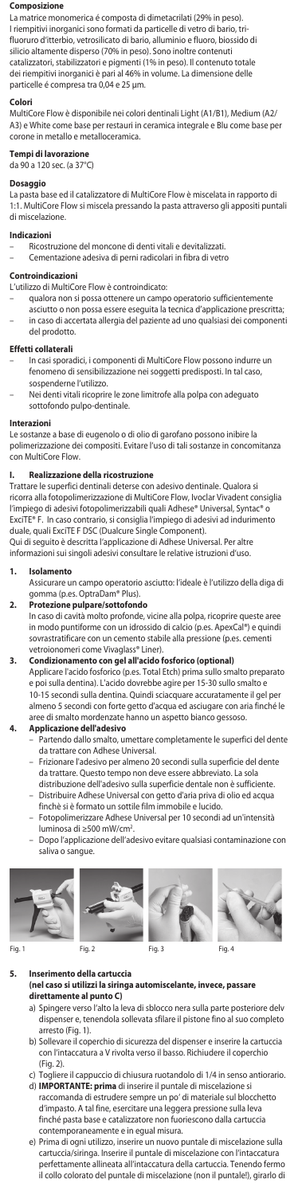### **Composizione**

La matrice monomerica é composta di dimetacrilati (29% in peso). I riempitivi inorganici sono formati da particelle di vetro di bario, tri-fluoruro d'itterbio, vetrosilicato di bario, alluminio e fluoro, biossido di silicio altamente disperso (70% in peso). Sono inoltre contenuti catalizzatori, stabilizzatori e pigmenti (1% in peso). Il contenuto totale dei riempitivi inorganici è pari al 46% in volume. La dimensione delle particelle é compresa tra 0,04 e 25 µm.

## **Colori**

MultiCore Flow è disponibile nei colori dentinali Light (A1/B1), Medium (A2/ A3) e White come base per restauri in ceramica integrale e Blu come base per corone in metallo e metalloceramica.

# **Tempi di lavorazione**

da 90 a 120 sec. (a 37°C)

**Dosaggio** La pasta base ed il catalizzatore di MultiCore Flow è miscelata in rapporto di 1:1. MultiCore Flow si miscela pressando la pasta attraverso gli appositi puntali di miscelazione.

# **Indicazioni**

- Ricostruzione del moncone di denti vitali e devitalizzati.
	- Cementazione adesiva di perni radicolari in fibra di vetro

# **Controindicazioni**

- L'utilizzo di MultiCore Flow è controindicato:
- qualora non si possa ottenere un campo operatorio sufficientemente asciutto o non possa essere eseguita la tecnica d'applicazione prescritta; – in caso di accertata allergia del paziente ad uno qualsiasi dei componenti del prodotto.

## **Effetti collaterali**

- In casi sporadici, i componenti di MultiCore Flow possono indurre un fenomeno di sensibilizzazione nei soggetti predisposti. In tal caso, sospenderne l'utilizzo.
	- Nei denti vitali ricoprire le zone limitrofe alla polpa con adeguato sottofondo pulpo-dentinale.

## **Interazioni**

Le sostanze a base di eugenolo o di olio di garofano possono inibire la polimerizzazione dei compositi. Evitare l'uso di tali sostanze in concomitanza con MultiCore Flow.

## **I. Realizzazione della ricostruzione**

Trattare le superfici dentinali deterse con adesivo dentinale. Qualora si ricorra alla fotopolimerizzazione di MultiCore Flow, Ivoclar Vivadent consiglia l'impiego di adesivi fotopolimerizzabili quali Adhese® Universal, Syntac® c<br>ExciTE® F. In caso contrario, si consiglia l'imniego di adesivi ad induriment E. In caso contrario, si consiglia l'impiego di adesivi ad indurimento duale, quali ExciTE F DSC (Dualcure Single Component).

Qui di seguito è descritta l'applicazione di Adhese Universal. Per altre informazioni sui singoli adesivi consultare le relative istruzioni d'uso.

## **1. Isolamento**

Assicurare un campo operatorio asciutto: l'ideale è l'utilizzo della diga di gomma (p.es. OptraDam® Plus).<br>**Protezione** multi

# **2. Protezione pulpare/sottofondo**

In caso di cavità molto profonde, vicine alla polpa, ricoprire queste aree in modo puntiforme con un idrossido di calcio (p.es. ApexCal®) e quindi sovrastratificare con un cemento stabile alla pressione (p.es. cementi vetroionomeri come Vivaglass® Liner).

**3. Condizionamento con gel all'acido fosforico (optional)** Applicare l'acido fosforico (p.es. Total Etch) prima sullo smalto preparato e poi sulla dentina). L'acido dovrebbe agire per 15-30 sullo smalto e 10-15 secondi sulla dentina. Quindi sciacquare accuratamente il gel per almeno 5 secondi con forte getto d'acqua ed asciugare con aria finché le aree di smalto mordenzate hanno un aspetto bianco gessoso.

- **4. Applicazione dell'adesivo** Partendo dallo smalto, umettare completamente le superfici del dente da trattare con Adhese Universal.
	- Frizionare l'adesivo per almeno 20 secondi sulla superficie del dente da trattare. Questo tempo non deve essere abbreviato. La sola distribuzione dell'adesivo sulla superficie dentale non è sufficiente.
	- Distribuire Adhese Universal con getto d'aria priva di olio ed acqua finchè si è formato un sottile film immobile e lucido. – Fotopolimerizzare Adhese Universal per 10 secondi ad un'intensità
	- luminosa di ≥500 mW/cm2 . – Dopo l'applicazione dell'adesivo evitare qualsiasi contaminazione con
	- saliva o sangue









**5. Inserimento della cartuccia (nel caso si utilizzi la siringa automiscelante, invece, passare** 

- **direttamente al punto C)** a) Spingere verso l'alto la leva di sblocco nera sulla parte posteriore delv
- dispenser e, tenendola sollevata sfilare il pistone fino al suo completo arresto (Fig. 1). b) Sollevare il coperchio di sicurezza del dispenser e inserire la cartuccia
	- con l'intaccatura a V rivolta verso il basso. Richiudere il coperchio (Fig. 2).
	- c) Togliere il cappuccio di chiusura ruotandolo di 1/4 in senso antiorario.
	- d) **IMPORTANTE: prima** di inserire il puntale di miscelazione si raccomanda di estrudere sempre un po' di materiale sul blocchetto d'impasto. A tal fine, esercitare una leggera pressione sulla leva finché pasta base e catalizzatore non fuoriescono dalla cartuccia contemporaneamente e in egual misura.
	- e) Prima di ogni utilizzo, inserire un nuovo puntale di miscelazione sulla cartuccia/siringa. Inserire il puntale di miscelazione con l'intaccatura perfettamente allineata all'intaccatura della cartuccia. Tenendo fermo il collo colorato del puntale di miscelazione (non il puntale!), girarlo di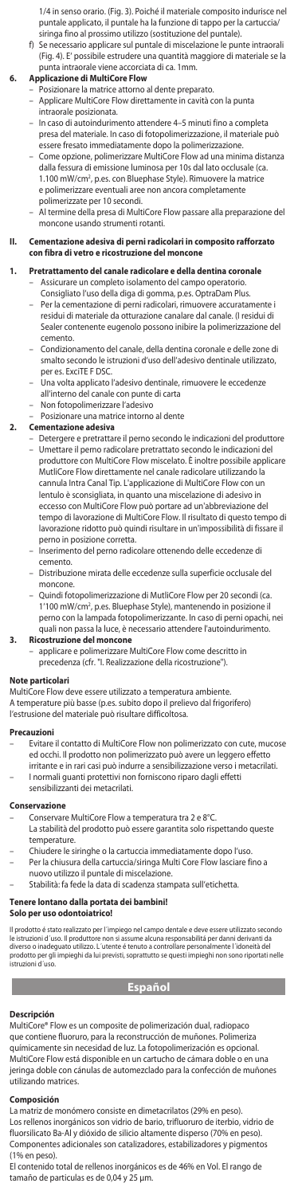1/4 in senso orario. (Fig. 3). Poiché il materiale composito indurisce nel puntale applicato, il puntale ha la funzione di tappo per la cartuccia/

siringa fino al prossimo utilizzo (sostituzione del puntale). f) Se necessario applicare sul puntale di miscelazione le punte intraorali (Fig. 4). E' possibile estrudere una quantità maggiore di materiale se la punta intraorale viene accorciata di ca. 1mm. **6. Applicazione di MultiCore Flow**

- Posizionare la matrice attorno al dente preparato.
- Applicare MultiCore Flow direttamente in cavità con la punta intraorale posizionata.
- In caso di autoindurimento attendere 4–5 minuti fino a completa presa del materiale. In caso di fotopolimerizzazione, il materiale può essere fresato immediatamente dopo la polimerizzazione.
- Come opzione, polimerizzare MultiCore Flow ad una minima distanza dalla fessura di emissione luminosa per 10s dal lato occlusale (ca. 1.100 mW/cm2 , p.es. con Bluephase Style). Rimuovere la matrice e polimerizzare eventuali aree non ancora completamente polimerizzate per 10 secondi.
- Al termine della presa di MultiCore Flow passare alla preparazione del moncone usando strumenti rotanti.

## **II. Cementazione adesiva di perni radicolari in composito rafforzato con fibra di vetro e ricostruzione del moncone**

- **1. Pretrattamento del canale radicolare e della dentina coronale** – Assicurare un completo isolamento del campo operatorio.
	- Consigliato l'uso della diga di gomma, p.es. OptraDam Plus. – Per la cementazione di perni radicolari, rimuovere accuratamente i residui di materiale da otturazione canalare dal canale. (I residui di Sealer contenente eugenolo possono inibire la polimerizzazione del cemento.
	- Condizionamento del canale, della dentina coronale e delle zone di smalto secondo le istruzioni d'uso dell'adesivo dentinale utilizzato,
	- per es. ExciTE F DSC. Una volta applicato l'adesivo dentinale, rimuovere le eccedenze all'interno del canale con punte di carta
	- Non fotopolimerizzare l'adesivo
	- Posizionare una matrice intorno al dente

# **2. Cementazione adesiva**

- Detergere e pretrattare il perno secondo le indicazioni del produttore – Umettare il perno radicolare pretrattato secondo le indicazioni del produttore con MultiCore Flow miscelato. È inoltre possibile applica MutliCore Flow direttamente nel canale radicolare utilizzando la cannula Intra Canal Tip. L'applicazione di MultiCore Flow con un lentulo è sconsigliata, in quanto una miscelazione di adesivo in eccesso con MultiCore Flow può portare ad un'abbreviazione del tempo di lavorazione di MultiCore Flow. Il risultato di questo tempo di lavorazione ridotto può quindi risultare in un'impossibilità di fissare il perno in posizione corretta.
- Inserimento del perno radicolare ottenendo delle eccedenze di cemento.
- Distribuzione mirata delle eccedenze sulla superficie occlusale del moncone.
- Quindi fotopolimerizzazione di MutliCore Flow per 20 secondi (ca. 1'100 mW/cm2 , p.es. Bluephase Style), mantenendo in posizione il perno con la lampada fotopolimerizzante. In caso di perni opachi, nei quali non passa la luce, è necessario attendere l'autoindurimento.

## **3.** Ricostruzione del moncor

– applicare e polimerizzare MultiCore Flow come descritto in precedenza (cfr. "I. Realizzazione della ricostruzione").

## **Note particolari**

MultiCore Flow deve essere utilizzato a temperatura ambiente. A temperature più basse (p.es. subito dopo il prelievo dal frigorifero) l'estrusione del materiale può risultare difficoltosa.

## **Precauzioni**

- Evitare il contatto di MultiCore Flow non polimerizzato con cute, mucose ed occhi. Il prodotto non polimerizzato può avere un leggero effetto irritante e in rari casi può indurre a sensibilizzazione verso i metacrilati.
	- I normali guanti protettivi non forniscono riparo dagli effetti sensibilizzanti d

# **Conservazione**

- Conservare MultiCore Flow a temperatura tra 2 e 8°C.
	- La stabilità del prodotto può essere garantita solo rispettando queste temperature.
- Chiudere le siringhe o la cartuccia immediatamente dopo l'uso.
- Per la chiusura della cartuccia/siringa Multi Core Flow lasciare fino a nuovo utilizzo il puntale di miscelazione.
- Stabilità: fa fede la data di scadenza stampata sull'etichetta.

# **Tenere lontano dalla portata dei bambini!**

# **Solo per uso odontoiatrico!**

Il prodotto é stato realizzato per l'impiego nel campo dentale e deve essere utilizzato secondo<br>le istruzioni d'uso. Il produttore non si assume alcuna responsabilità per danni derivanti da<br>diverso o inadeguato utilizzo. L

# **Español**

**Descripción** MultiCore® Flow es un composite de polimerización dual, radiopaco que contiene fluoruro, para la reconstrucción de muñones. Polimeriza químicamente sin necesidad de luz. La fotopolimerización es opcional. MultiCore Flow está disponible en un cartucho de cámara doble o en una jeringa doble con cánulas de automezclado para la confección de muñones utilizando matrices.

# **Composición**

La matriz de monómero consiste en dimetacrilatos (29% en peso). Los rellenos inorgánicos son vidrio de bario, trifluoruro de iterbio, vidrio de fluorsilicato Ba-Al y dióxido de silicio altamente disperso (70% en peso). Componentes adicionales son catalizadores, estabilizadores y pigmentos (1% en peso).

El contenido total de rellenos inorgánicos es de 46% en Vol. El rango de tamaño de particulas es de 0,04 y 25 µm.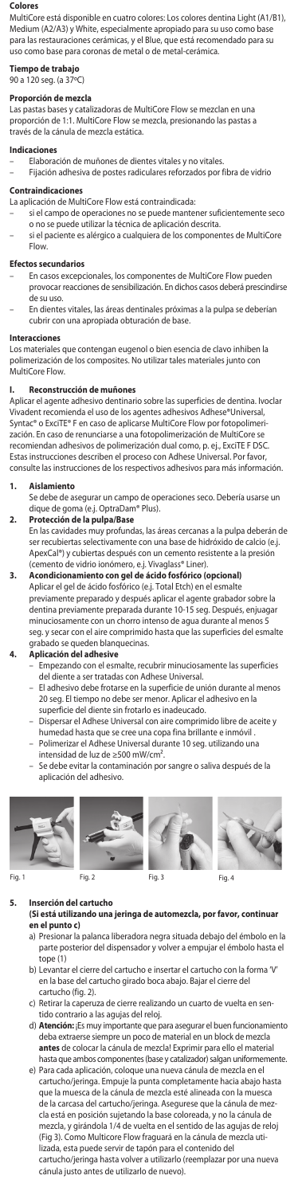### **Colores**

MultiCore está disponible en cuatro colores: Los colores dentina Light (A1/B1), Medium (A2/A3) y White, especialmente apropiado para su uso como base para las restauraciones cerámicas, y el Blue, que está recomendado para su uso como base para coronas de metal o de metal-cerámica.

# **Tiempo de trabajo**

90 a 120 seg. (a 37ºC)

# **Proporción de mezcla**

Las pastas bases y catalizadoras de MultiCore Flow se mezclan en una proporción de 1:1. MultiCore Flow se mezcla, presionando las pastas a través de la cánula de mezcla estática.

# **Indicaciones**

– Elaboración de muñones de dientes vitales y no vitales.

– Fijación adhesiva de postes radiculares reforzados por fibra de vidrio **Contraindicacio** 

La aplicación de MultiCore Flow está contraindicada:

- si el campo de operaciones no se puede mantener suficientemente seco o no se puede utilizar la técnica de aplicación descrita.
- si el paciente es alérgico a cualquiera de los componentes de MultiCore Flow.

# **Efectos secundarios**

- En casos excepcionales, los componentes de MultiCore Flow pueden provocar reacciones de sensibilización. En dichos casos deberá prescindirse de su uso.
- En dientes vitales, las áreas dentinales próximas a la pulpa se deberían cubrir con una apropiada obturación de base.

# **Interacciones**

Los materiales que contengan eugenol o bien esencia de clavo inhiben la polimerización de los composites. No utilizar tales materiales junto con MultiCore Flow.

# **I. Reconstrucción de muñones**

Aplicar el agente adhesivo dentinario sobre las superficies de dentina. Ivoclar Vivadent recomienda el uso de los agentes adhesivos Adhese®Universal, Syntac® o ExciTE® F en caso de aplicarse MultiCore Flow por fotopolimerización. En caso de renunciarse a una fotopolimerización de MultiCore se recomiendan adhesivos de polimerización dual como, p. ej., ExciTE F DSC. Estas instrucciones describen el proceso con Adhese Universal. Por favor, consulte las instrucciones de los respectivos adhesivos para más información.

## **1. Aislamiento**

Se debe de asegurar un campo de operaciones seco. Debería usarse un dique de goma (e.j. OptraDam® Plus).

# **2. Protección de la pulpa/Base**

En las cavidades muy profundas, las áreas cercanas a la pulpa deberán de ser recubiertas selectivamente con una base de hidróxido de calcio (e.j. ApexCal®) y cubiertas después con un cemento resistente a la presión (cemento de vidrio ionómero, e.j. Vivaglass® Liner).

**3. Acondicionamiento con gel de ácido fosfórico (opcional)** Aplicar el gel de ácido fosfórico (e.j. Total Etch) en el esmalte previamente preparado y después aplicar el agente grabador sobre la dentina previamente preparada durante 10-15 seg. Después, enjuagar minuciosamente con un chorro intenso de agua durante al menos 5 seg. y secar con el aire comprimido hasta que las superficies del esmalte

# grabado se queden blanquecinas. **4. Aplicación del adhesive**

- Empezando con el esmalte, recubrir minuciosamente las superficies del diente a ser tratadas con Adhese Universal.
- El adhesivo debe frotarse en la superficie de unión durante al menos 20 seg. El tiempo no debe ser menor. Aplicar el adhesivo en la superficie del diente sin frotarlo es inadeucado.
- Dispersar el Adhese Universal con aire comprimido libre de aceite y humedad hasta que se cree una copa fina brillante e inmóvil .
- Polimerizar el Adhese Universal durante 10 seg. utilizando una intensidad de luz de ≥500 mW/cm².
- Se debe evitar la contaminación por sangre o saliva después de la aplicación del adhesivo.









Fig. 1 Fig. 2 Fig. 3 Fig. 4

**5. Inserción del cartucho**

(Si está utilizando una jeringa de automezcla, por favor, contin**i**<br>en el punto c) **en el punto c)**

- a) Presionar la palanca liberadora negra situada debajo del émbolo en la parte posterior del dispensador y volver a empujar el émbolo hasta el tope (1)
- b) Levantar el cierre del cartucho e insertar el cartucho con la forma 'V' en la base del cartucho girado boca abajo. Bajar el cierre del cartucho (fig. 2).
- c) Retirar la caperuza de cierre realizando un cuarto de vuelta en se tido contrario a las agujas del reloj.
- d) **Atención:** ¡Es muy importante que para asegurar el buen funcionamiento deba extraerse siempre un poco de material en un block de mezcla **antes** de colocar la cánula de mezcla! Exprimir para ello el material hasta que ambos componentes (base y catalizador) salgan uniformemente.
- e) Para cada aplicación, coloque una nueva cánula de mezcla en el cartucho/jeringa. Empuje la punta completamente hacia abajo hasta que la muesca de la cánula de mezcla esté alineada con la muesca de la carcasa del cartucho/jeringa. Asegurese que la cánula de mezcla está en posición sujetando la base coloreada, y no la cánula de mezcla, y girándola 1/4 de vuelta en el sentido de las agujas de reloj (Fig 3). Como Multicore Flow fraguará en la cánula de mezcla utilizada, esta puede servir de tapón para el contenido del cartucho/jeringa hasta volver a utilizarlo (reemplazar por una nueva cánula justo antes de utilizarlo de nuevo).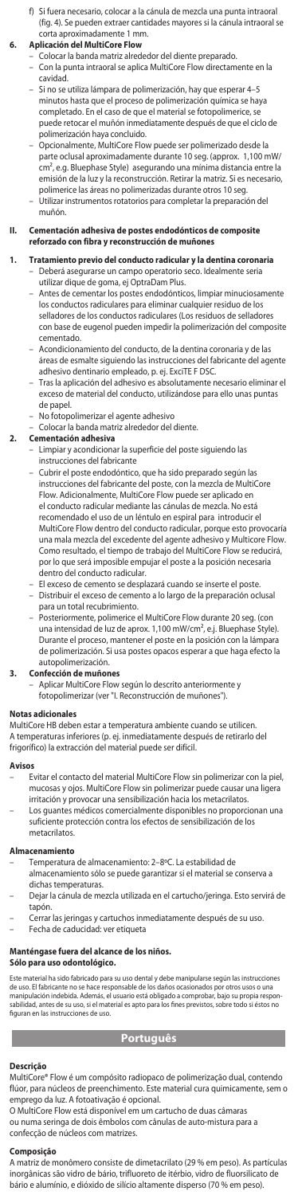f) Si fuera necesario, colocar a la cánula de mezcla una punta intraoral (fig. 4). Se pueden extraer cantidades mayores si la cánula intraoral se

# corta aproximadamente 1 mm. **6. Aplicación del MultiCore Flow**

- Colocar la banda matriz alrededor del diente preparado.
- Con la punta intraoral se aplica MultiCore Flow directamente en la cavidad.
	- Si no se utiliza lámpara de polimerización, hay que esperar 4–5 minutos hasta que el proceso de polimerización química se haya completado. En el caso de que el material se fotopolimerice, se puede retocar el muñón inmediatamente después de que el ciclo de
- polimerización haya concluido. Opcionalmente, MultiCore Flow puede ser polimerizado desde la parte oclusal aproximadamente durante 10 seg. (approx. 1,100 mW/ cm², e.g. Bluephase Style) asegurando una mínima distancia entre la misión de la luz y la reconstrucción. Retirar la matriz. Si es necesario, polimerice las áreas no polimerizadas durante otros 10 seg.
- Utilizar instrumentos rotatorios para completar la preparación del muñón.

## **II. Cementación adhesiva de postes endodónticos de composite reforzado con fibra y reconstrucción de muñones**

- **1. Tratamiento previo del conducto radicular y la dentina coronaria** – Deberá asegurarse un campo operatorio seco. Idealmente seria utilizar dique de goma, ej OptraDam Plus.
	- Antes de cementar los postes endodónticos, limpiar minuciosam los conductos radiculares para eliminar cualquier residuo de los selladores de los conductos radiculares (Los residuos de selladores con base de eugenol pueden impedir la polimerización del composite cementado.
	- Acondicionamiento del conducto, de la dentina coronaria y de las áreas de esmalte siguiendo las instrucciones del fabricante del agente
	- adhesivo dentinario empleado, p. ej. ExciTE F DSC. Tras la aplicación del adhesivo es absolutamente necesario eliminar el exceso de material del conducto, utilizándose para ello unas puntas
	- de papel. – No fotopolimerizar el agente adhesivo
	- Colocar la banda matriz alrededor del diente.

## **2. Cementación adhesiva**

- Limpiar y acondicionar la superficie del poste siguiendo la instrucciones del fabricante
- Cubrir el poste endodóntico, que ha sido preparado según las instrucciones del fabricante del poste, con la mezcla de MultiCore Flow. Adicionalmente, MultiCore Flow puede ser aplicado en el conducto radicular mediante las cánulas de mezcla. No está recomendado el uso de un léntulo en espiral para introducir el MultiCore Flow dentro del conducto radicular, porque esto provocaría una mala mezcla del excedente del agente adhesivo y Multicore Flow. Como resultado, el tiempo de trabajo del MultiCore Flow se reducirá, por lo que será imposible empujar el poste a la posición necesaria dentro del conducto radicular.
- El exceso de cemento se desplazará cuando se inserte el poste. – Distribuir el exceso de cemento a lo largo de la preparación oclusal
- para un total recubrimiento. – Posteriormente, polimerice el MultiCore Flow durante 20 seg. (con una intensidad de luz de aprox. 1,100 mW/cm², e.j. Bluephase Style). Durante el proceso, mantener el poste en la posición con la lámpara de polimerización. Si usa postes opacos esperar a que haga efecto la autopolimerización.

## **3. Confección de muñones**

– Aplicar MultiCore Flow según lo descrito anteriormente y fotopolimerizar (ver "I. Reconstrucción de muñones").

## **Notas adicionales**

MultiCore HB deben estar a temperatura ambiente cuando se utilicen. A temperaturas inferiores (p. ej. inmediatamente después de retirarlo del frigorífico) la extracción del material puede ser difícil.

## **Avisos**

- Evitar el contacto del material MultiCore Flow sin polimerizar con la piel, mucosas y ojos. MultiCore Flow sin polimerizar puede causar una ligera irritación y provocar una sensibilización hacia los metacrilatos.
- Los guantes médicos comercialmente disponibles no proporcionan una suficiente protección contra los efectos de sensibilización de los metacrilatos.

## **Almacenamiento**

- 
- Temperatura de almacenamiento: 2–8ºC. La estabilidad de almacenamiento sólo se puede garantizar si el material se conserva a dichas temperaturas.
- Dejar la cánula de mezcla utilizada en el cartucho/jeringa. Esto servirá de tapón.
- Cerrar las jeringas y cartuchos inmediatamente después de su uso. Fecha de caducidad: ver etiqueta
- 

# **Manténgase fuera del alcance de los niños.**

**Sólo para uso odontológico.**

Este material ha sido fabricado para su uso dental y debe manipularse según las instrucciones<br>de uso. El fabricante no se hace responsable de los daños ocasionados por otros usos o una<br>manipulación indebida. Además, el usu

# **Português**

**Descrição**  MultiCore® Flow é um compósito radiopaco de polimerização dual, contendo flúor, para núcleos de preenchimento. Este material cura quimicamente, sem o emprego da luz. A fotoativação é opcional.

O MultiCore Flow está disponível em um cartucho de duas câmaras ou numa seringa de dois êmbolos com cânulas de auto-mistura para a confecção de núcleos com matrizes.

**Composição** A matriz de monômero consiste de dimetacrilato (29 % em peso). As partículas inorgânicas são vidro de bário, trifluoreto de itérbio, vidro de fluorsilicato de bário e alumínio, e dióxido de silício altamente disperso (70 % em peso).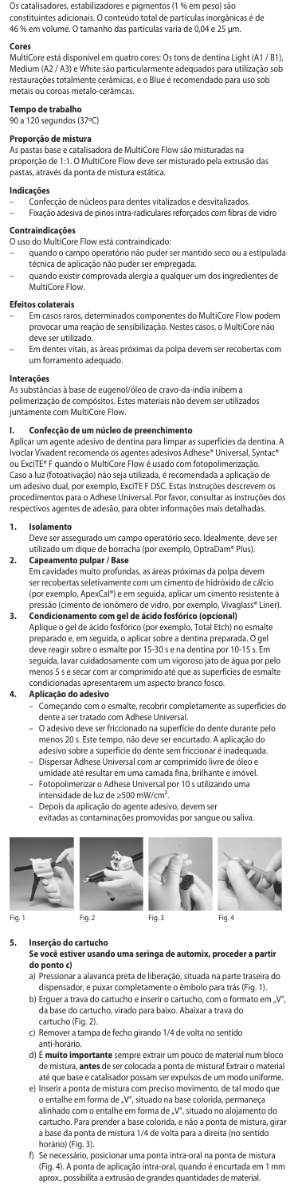Os catalisadores, estabilizadores e pigmentos (1 % em peso) são constituintes adicionais. O conteúdo total de partículas inorgânicas é de 46 % em volume. O tamanho das partículas varia de 0,04 e 25 µm.

**Cores** MultiCore está disponível em quatro cores: Os tons de dentina Light (A1 / B1), Medium (A2 / A3) e White são particularmente adequados para utilização sob restaurações totalmente cerâmicas, e o Blue é recomendado para uso sob metais ou coroas metalo-cerâmcas.

# **Tempo de trabalho**

90 a 120 segundos (37ºC)

**Proporção de mistura**

As pastas base e catalisadora de MultiCore Flow são misturadas na proporção de 1:1. O MultiCore Flow deve ser misturado pela extrusão das pastas, através da ponta de mistura estática.

### **Indicações**

- 
- Confecção de núcleos para dentes vitalizados e desvitalizados. Fixação adesiva de pinos intra-radiculares reforçados com fibras de vidro

# **Contraindicações**

- O uso do MultiCore Flow está contraindicado:
- quando o campo operatório não puder ser mantido seco ou a estipulada técnica de aplicação não puder ser empregada.
- quando existir comprovada alergia a qualquer um dos ingredientes de MultiCore Flow.

### **Efeitos colaterais**

- Em casos raros, determinados componentes do MultiCore Flow podem provocar uma reação de sensibilização. Nestes casos, o MultiCore não deve ser utilizado.
- Em dentes vitais, as áreas próximas da polpa devem ser recobertas com um forramento adequado.

## **Interações**

As substâncias à base de eugenol/óleo de cravo-da-índia inibem a polimerização de compósitos. Estes materiais não devem ser utilizados juntamente com MultiCore Flow.

## **I. Confecção de um núcleo de preenchimento**

Aplicar um agente adesivo de dentina para limpar as superfícies da dentina. A Ivoclar Vivadent recomenda os agentes adesivos Adhese® Universal, Syntac® ou ExciTE® F quando o MultiCore Flow é usado com fotopolimerização. Caso a luz (fotoativação) não seja utilizada, é recomendada a aplicação de um adesivo dual, por exemplo, ExciTE F DSC. Estas Instruções descrevem os procedimentos para o Adhese Universal. Por favor, consultar as instruções dos respectivos agentes de adesão, para obter informações mais detalhadas.

## **1. Isolamento**

Deve ser assegurado um campo operatório seco. Idealmente, deve ser utilizado um dique de borracha (por exemplo, OptraDam® Plus).

- **2. Capeamento pulpar / Base** Em cavidades muito profundas, as áreas próximas da polpa devem ser recobertas seletivamente com um cimento de hidróxido de cálcio (por exemplo, ApexCal®) e em seguida, aplicar um cimento resistente à pressão (cimento de ionômero de vidro, por exemplo, Vivaglass® Liner).
- **3. Condicionamento com gel de ácido fosfórico (opcional)** Aplique o gel de ácido fosfórico (por exemplo, Total Etch) no esmalte preparado e, em seguida, o aplicar sobre a dentina preparada. O gel deve reagir sobre o esmalte por 15-30 s e na dentina por 10-15 s. Em seguida, lavar cuidadosamente com um vigoroso jato de água por pelo menos 5 s e secar com ar comprimido até que as superfícies de esmalte condicionadas apresentarem um aspecto branco fosco.

# **4. Aplicação do adesivo**

- Começando com o esmalte, recobrir completamente as superfícies do dente a ser tratado com Adhese Universal.
- O adesivo deve ser friccionado na superfície do dente durante pelo menos 20 s. Este tempo, não deve ser encurtado. A aplicação do adesivo sobre a superfície do dente sem friccionar é inadequada.
- 
- Dispersar Adhese Universal com ar comprimido livre de óleo e umidade até resultar em uma camada fina, brilhante e imóvel. – Fotopolimerizar o Adhese Universal por 10 s utilizando uma
- 
- intensidade de luz de ≥500 mW/cm². Depois da aplicação do agente adesivo, devem ser
- evitadas as contaminações promovidas por sangue ou saliva.









# **5. Inserção do cartucho**

- **Se você estiver usando uma seringa de automix, proceder a partir**
- **do ponto c)** a) Pressionar a alavanca preta de liberação, situada na parte traseira do dispensador, e puxar completamente o êmbolo para trás (Fig. 1). b) Erguer a trava do cartucho e inserir o cartucho, com o formato em "V", da base do cartucho, virado para baixo. Abaixar a trava do
- cartucho (Fig. 2). c) Remover a tampa de fecho girando 1/4 de volta no sentido anti-horário.
- d) É **muito importante** sempre extrair um pouco de material num bloco de mistura, **antes** de ser colocada a ponta de mistura! Extrair o material até que base e catalisador possam ser expulsos de um modo uniforme.
- e) Inserir a ponta de mistura com preciso movimento, de tal modo que o entalhe em forma de "V", situado na base colorida, permaneça<br>alinhado com o entalhe em forma de "V", situado no alojamento do cartucho. Para prender a base colorida, e não a ponta de mistura, girar a base da ponta de mistura 1/4 de volta para a direita (no sentido horário) (Fig. 3).
- Se necessário, posicionar uma ponta intra-oral na ponta de mistura (Fig. 4). A ponta de aplicação intra-oral, quando é encurtada em 1 mm aprox., possibilita a extrusão de grandes quantidades de material.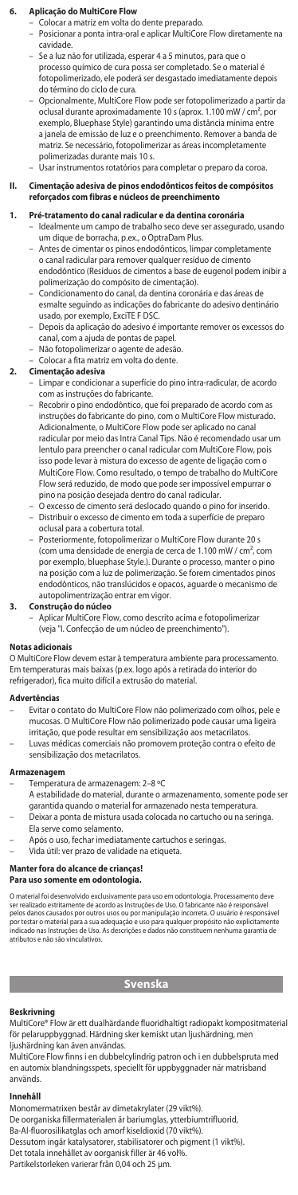## **6. Aplicação do MultiCore Flow**

- Colocar a matriz em volta do dente preparado. – Posicionar a ponta intra-oral e aplicar MultiCore Flow diretamente na cavidade.
- Se a luz não for utilizada, esperar 4 a 5 minutos, para que o processo químico de cura possa ser completado. Se o material é fotopolimerizado, ele poderá ser desgastado imediatamente depois do término do ciclo de cura.
- Opcionalmente, MultiCore Flow pode ser fotopolimerizado a partir da oclusal durante aproximadamente 10 s (aprox. 1.100 mW / cm², por exemplo, Bluephase Style) garantindo uma distância mínima e a janela de emissão de luz e o preenchimento. Remover a banda de matriz. Se necessário, fotopolimerizar as áreas incompletamente polimerizadas durante mais 10 s.

## – Usar instrumentos rotatórios para completar o preparo da coroa.

# **II. Cimentação adesiva de pinos endodônticos feitos de compósitos reforçados com fibras e núcleos de preenchimento**

## **1. Pré-tratamento do canal radicular e da dentina coronária**

- Idealmente um campo de trabalho seco deve ser assegurado, usando um dique de borracha, p.ex., o OptraDam Plus.
	- Antes de cimentar os pinos endodônticos, limpar completamente o canal radicular para remover qualquer resíduo de cimento endodôntico (Resíduos de cimentos a base de eugenol podem inibir a polimerização do compósito de cimentação).
	- Condicionamento do canal, da dentina coronária e das áreas de esmalte seguindo as indicações do fabricante do adesivo dentinário usado, por exemplo, ExciTE F DSC.
	- Depois da aplicação do adesivo é importante remover os excessos do canal, com a ajuda de pontas de papel.
- Não fotopolimerizar o agente de adesão.
- Colocar a fita matriz em volta do dente.

# **2. Cimentação adesiva**

- Limpar e condicionar a superfície do pino intra-radicular, de acordo com as instruções do fabricante.
	- Recobrir o pino endodôntico, que foi preparado de acordo com as instruções do fabricante do pino, com o MultiCore Flow misturado. Adicionalmente, o MultiCore Flow pode ser aplicado no canal radicular por meio das Intra Canal Tips. Não é recomendado usar um lentulo para preencher o canal radicular com MultiCore Flow, pois isso pode levar à mistura do excesso de agente de ligação com o MultiCore Flow. Como resultado, o tempo de trabalho do MultiCore Flow será reduzido, de modo que pode ser impossível empurrar o pino na posição desejada dentro do canal radicular.
	- O excesso de cimento será deslocado quando o pino for inserido. – Distribuir o excesso de cimento em toda a superfície de preparo oclusal para a cobertura total.
	- Posteriormente, fotopolimerizar o MultiCore Flow durante 20 s (com uma densidade de energia de cerca de 1.100 mW / cm², com por exemplo, bluephase Style.). Durante o processo, manter o pino na posição com a luz de polimerização. Se forem cimentados pinos endodônticos, não translúcidos e opacos, aguarde o mecanismo de autopolimentrização entrar em vigor.

**3. Construção do núcleo** – Aplicar MultiCore Flow, como descrito acima e fotopolimerizar (veja "I. Confecção de um núcleo de preenchimento").

## **Notas adicionais**

O MultiCore Flow devem estar à temperatura ambiente para processamento. Em temperaturas mais baixas (p.ex. logo após a retirada do interior do refrigerador), fica muito difícil a extrusão do material.

### **Advertências**

- Evitar o contato do MultiCore Flow não polimerizado com olhos, pele e mucosas. O MultiCore Flow não polimerizado pode causar uma ligeira irritação, que pode resultar em sensibilização aos metacrilatos. – Luvas médicas comerciais não promovem proteção contra o efeito de
- sensibilização dos metacrilatos.

## **Armazenagem**

- Temperatura de armazenagem: 2–8 ºC
- A estabilidade do material, durante o armazenamento, somente pode ser garantida quando o material for armazenado nesta temperatura.
	- Deixar a ponta de mistura usada colocada no cartucho ou na seringa. Ela serve como selamento.
- Após o uso, fechar imediatamente cartuchos e seringas.
- Vida útil: ver prazo de validade na etiqueta.

## **Manter fora do alcance de crianças!**

## **Para uso somente em odontologia.**

O material foi desenvolvido exclusivamente para uso em odontologia. Processamento deve<br>ser realizado estritamente de acordo as Instruções de Uso. O fabricante não é responsável<br>pelos danos causados por outros usos ou por m por testar o material para a sua adequação e uso para qualquer propósito não explicitamente indicado nas Instruções de Uso. As descrições e dados não constituem nenhuma garantia de atributos e não são vinculativos.

# **Svenska**

## **Beskrivning**

MultiCore® Flow är ett dualhärdande fluoridhaltigt radiopakt kompositmaterial för pelaruppbyggnad. Härdning sker kemiskt utan ljushärdning, men

ljushärdning kan även användas. MultiCore Flow finns i en dubbelcylindrig patron och i en dubbelspruta med en automix blandningsspets, speciellt för uppbyggnader när matrisband används.

### **Innehåll**

Monomermatrixen består av dimetakrylater (29 vikt%). De oorganiska fillermaterialen är bariumglas, ytterbiumtrifluorid, Ba-Al-fluorosilikatglas och amorf kiseldioxid (70 vikt%). Dessutom ingår katalysatorer, stabilisatorer och pigment (1 vikt%). Det totala innehållet av oorganisk filler är 46 vol%. Partikelstorleken varierar från 0,04 och 25 µm.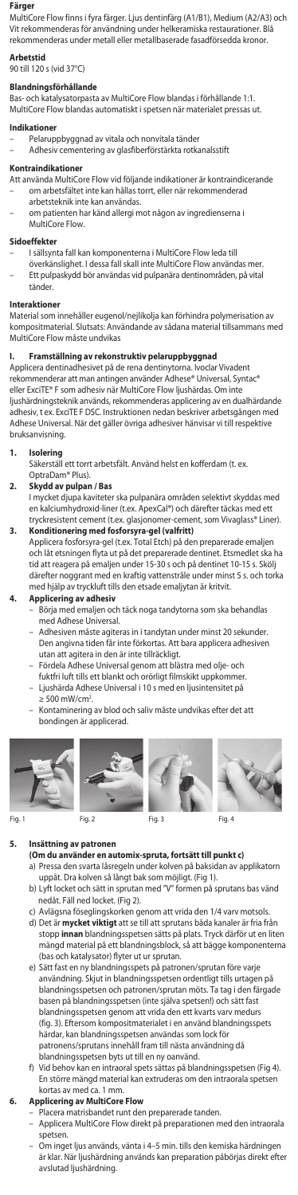## **Färger**

MultiCore Flow finns i fyra färger. Ljus dentinfärg (A1/B1), Medium (A2/A3) och Vit rekommenderas för användning under helkeramiska restaurationer. Blå rekommenderas under metall eller metallbaserade fasadförsedda kronor.

## **Arbetstid**

## 90 till 120 s (vid 37°C)

# **Blandningsförhållande**

Bas- och katalysatorpasta av MultiCore Flow blandas i förhållande 1:1. MultiCore Flow blandas automatiskt i spetsen när materialet pressas ut.

## dikatio

- Pelaruppbyggnad av vitala och nonvitala tänder
- Adhesiv cementering av glasfiberförstärkta rotkanalsstift

## **Kontraindikationer**

- Att använda MultiCore Flow vid följande indikationer är kontraindicerande – om arbetsfältet inte kan hållas torrt, eller när rekommenderad
- arbetsteknik inte kan användas.
- om patienten har känd allergi mot någon av ingredienserna i MultiCore Flow.

## **Sidoeffekter**

- 
- I sällsynta fall kan komponenterna i MultiCore Flow leda till överkänslighet. I dessa fall skall inte MultiCore Flow användas mer. – Ett pulpaskydd bör användas vid pulpanära dentinområden, på vital tänder.

### **Interaktioner**

Material som innehåller eugenol/nejlikolja kan förhindra polymerisation av kompositmaterial. Slutsats: Användande av sådana material tillsammans med MultiCore Flow måste undvikas

**I. Framställning av rekonstruktiv pelaruppbyggnad** Applicera dentinadhesivet på de rena dentinytorna. Ivoclar Vivadent rekommenderar att man antingen använder Adhese® Universal, Syntac® eller ExciTE® F som adhesiv när MultiCore Flow ljushärdas. Om inte ljushärdningsteknik används, rekommenderas applicering av en dualhärdande adhesiv, t ex. ExciTE F DSC. Instruktionen nedan beskriver arbetsgången med Adhese Universal. När det gäller övriga adhesiver hänvisar vi till respektive bruksanvisning.

# **1. Isolering**

Säkerställ ett torrt arbetsfält. Använd helst en kofferdam (t. ex. OptraDam® Plus).

# **2. Skydd av pulpan / Bas**

- I mycket djupa kaviteter ska pulpanära områden selektivt skyddas m en kalciumhydroxid-liner (t.ex. ApexCal®) och därefter täckas med ett tryckresistent cement (t.ex. glasjonomer-cement, som Vivaglass® Liner).
- **3. Konditionering med fosforsyra-gel (valfritt)** Applicera fosforsyra-gel (t.ex. Total Etch) på den preparerade emaljen och låt etsningen flyta ut på det preparerade dentinet. Etsmedlet ska ha tid att reagera på emaljen under 15-30 s och på dentinet 10-15 s. Skölj därefter noggrant med en kraftig vattenstråle under minst 5 s. och torka med hjälp av tryckluft tills den etsade emaljytan är kritvit.

## **4. Applicering av adhesiv**

- Börja med emaljen och täck noga tandytorna som ska behandlas med Adhese Universal.
- Adhesiven måste agiteras in i tandytan under minst 20 sekunder. Den angivna tiden får inte förkortas. Att bara applicera adhesiven utan att agitera in den är inte tillräckligt.
- Fördela Adhese Universal genom att blästra med olje- och
- fuktfri luft tills ett blankt och orörligt filmskikt uppkommer.
- Ljushärda Adhese Universal i 10 s med en ljusintensitet på
- 
- ≥ 500 mW/cm<sup>2</sup>.<br>– Kontaminering av blod och saliv måste undvikas efter det att<br>bondingen är applicerad.









# **5. Insättning av patronen**

**(Om du använder en automix-spruta, fortsätt till punkt c)**

- a) Pressa den svarta låsregeln under kolven på baksidan av applikatorn uppåt. Dra kolven så långt bak som möjligt. (Fig 1). b) Lyft locket och sätt in sprutan med "V" formen på sprutans bas vänd
- nedåt. Fäll ned locket. (Fig 2).
- c) Avlägsna föseglingskorken genom att vrida den 1/4 varv motsols.<br>d) Det är **mycket viktigt** att se till att sprutans båda kanaler är fria från<br>stopp **innan** blandningsspetsen sätts på plats. Tryck därför ut en liten mängd material på ett blandningsblock, så att bägge komponenterna (bas och katalysator) flyter ut ur sprutan.
- e) Sätt fast en ny blandningsspets på patronen/sprutan före varje användning. Skjut in blandningsspetsen ordentligt tills urtagen på blandningsspetsen och patronen/sprutan möts. Ta tag i den färgade basen på blandningsspetsen (inte själva spetsen!) och sätt fast blandningsspetsen genom att vrida den ett kvarts varv medurs (fig. 3). Eftersom kompositmaterialet i en använd blandningsspets härdar, kan blandningsspetsen användas som lock för patronens/sprutans innehåll fram till nästa användning då **blandningsspetsen byts ut till en ny oanvänd.**<br>f) Vid behov kan en intraoral spets sättas på blan
	- Vid behov kan en intraoral spets sättas på blandningsspetsen (Fig 4). En större mängd material kan extruderas om den intraorala spetsen kortas av med ca. 1 mm.

# **6. Applicering av MultiCore Flow**

- Placera matrisbandet runt den preparerade tanden.
- Applicera MultiCore Flow direkt på preparationen med den intraorala spetsen.
- Om inget ljus används, vänta i 4–5 min. tills den kemiska härdningen är klar. När ljushärdning används kan preparation påbörjas direkt efter avslutad ljushärdning.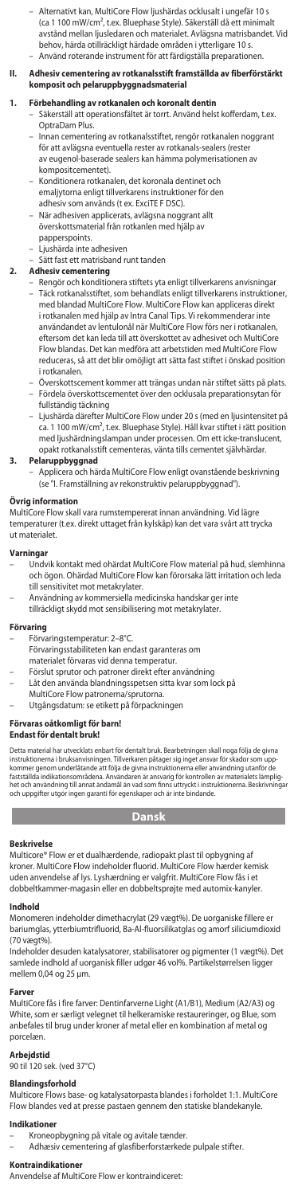– Alternativt kan, MultiCore Flow ljushärdas ocklusalt i ungefär 10 s (ca 1 100 mW/cm², t.ex. Bluephase Style). Säkerställ då ett minimalt avstånd mellan ljusledaren och materialet. Avlägsna matrisbandet. Vid behov, härda otillräckligt härdade områden i ytterligare 10 s. – Använd roterande instrument för att färdigställa preparationen.

## **II. Adhesiv cementering av rotkanalsstift framställda av fiberförstärkt komposit och pelaruppbyggnadsmaterial**

# **1. Förbehandling av rotkanalen och koronalt dentin**

- Säkerställ att operationsfältet är torrt. Använd helst kofferdam, t.ex. OptraDam Plus.
- Innan cementering av rotkanalsstiftet, rengör rotkanalen noggrant för att avlägsna eventuella rester av rotkanals-sealers (rester av eugenol-baserade sealers kan hämma polymerisationen av kompositcementet).
- Konditionera rotkanalen, det koronala dentinet och emaljytorna enligt tillverkarens instruktioner för den adhesiv som används (t ex. ExciTE F DSC).
- När adhesiven applicerats, avlägsna noggrant allt överskottsmaterial från rotkanlen med hjälp av papperspoints.
- Ljushärda inte adhesiven
- Sätt fast ett matrisband runt tanden

# **2. Adhesiv cementering**

- Rengör och konditionera stiftets yta enligt tillverkarens anvisningar – Täck rotkanalsstiftet, som behandlats enligt tillverkarens instruktioner, med blandad MultiCore Flow. MultiCore Flow kan appliceras direkt i rotkanalen med hjälp av Intra Canal Tips. Vi rekommenderar inte användandet av lentulonål när MultiCore Flow förs ner i rotkanalen, eftersom det kan leda till att överskottet av adhesivet och MultiCore Flow blandas. Det kan medföra att arbetstiden med MultiCore Flow reduceras, så att det blir omöjligt att sätta fast stiftet i önskad position i rotkanalen.
- Överskottscement kommer att trängas undan när stiftet sätts på plats. – Fördela överskottscementet över den ocklusala preparationsytan för
- fullständig täckning Ljushärda därefter MultiCore Flow under 20 s (med en ljusintensitet på ca. 1 100 mW/cm², t.ex. Bluephase Style). Håll kvar stiftet i rätt position med ljushärdningslampan under processen. Om ett icke-translucent, opakt rotkanalsstift cementeras, vänta tills cementet självhärdar.

# **3. Pelaruppbyggnad**

– Applicera och härda MultiCore Flow enligt ovanstående beskrivning (se "I. Framställning av rekonstruktiv pelaruppbyggnad").

## **Övrig information**

MultiCore Flow skall vara rumstempererat innan användning. Vid lägre temperaturer (t.ex. direkt uttaget från kylskåp) kan det vara svårt att trycka ut materialet.

## **Varningar**

- Undvik kontakt med ohärdat MultiCore Flow material på hud, slemhinna och ögon. Ohärdad MultiCore Flow kan förorsaka lätt irritation och leda till sensitivitet mot metakrylater.
	- Användning av kommersiella medicinska handskar ger inte
	- tillräckligt skydd mot sensibilisering mot metakrylater.

# **Förvaring**

- Förvaringstemperatur: 2–8°C.
- Förvaringsstabiliteten kan endast garanteras om
- materialet förvaras vid denna temperatur.
- Förslut sprutor och patroner direkt efter användning
	- Låt den använda blandningsspetsen sitta kvar som lock på
- 
- MultiCore Flow patronerna/sprutorna. Utgångsdatum: se etikett på förpackningen

# **Förvaras oåtkomligt för barn!**

## **Endast för dentalt bruk!**

Detta material har utvecklats enbart för dentalt bruk. Bearbetningen skall noga följa de givna<br>instruktionerna i bruksanvisningen. Tillverkaren påtager sig inget ansvar för skador som upp-<br>kommer genom underlåtande att föl het och användning till annat ändamål än vad som finns uttryckt i instruktionerna. Beskrivningar och uppgifter utgör ingen garanti för egenskaper och är inte bindande.

# **Dansk**

## **Beskrivelse**

Multicore® Flow er et dualhærdende, radiopakt plast til opbygning af kroner. MultiCore Flow indeholder fluorid. MultiCore Flow hærder kemisk uden anvendelse af lys. Lyshærdning er valgfrit. MultiCore Flow fås i et dobbeltkammer-magasin eller en dobbeltsprøjte med automix-kanyler.

### **Indhold**

Monomeren indeholder dimethacrylat (29 vægt%). De uorganiske fillere er bariumglas, ytterbiumtrifluorid, Ba-Al-fluorsilikatglas og amorf siliciumdioxid (70 vægt%).

Indeholder desuden katalysatorer, stabilisatorer og pigmenter (1 vægt%). Det samlede indhold af uorganisk filler udgør 46 vol%. Partikelstørrelsen ligger mellem 0,04 og 25 µm.

## **Farver**

MultiCore fås i fire farver: Dentinfarverne Light (A1/B1), Medium (A2/A3) og White, som er særligt velegnet til helkeramiske restaureringer, og Blue, som anbefales til brug under kroner af metal eller en kombination af metal og porcelæn.

## **Arbejdstid**

90 til 120 sek. (ved 37°C)

**Blandingsforhold** Multicore Flows base- og katalysatorpasta blandes i forholdet 1:1. MultiCore Flow blandes ved at presse pastaen gennem den statiske blandekanyle.

# **Indikationer**

– Kroneopbygning på vitale og avitale tænder. – Adhæsiv cementering af glasfiberforstærkede pulpale stifter.

# **Kontraindikationer**

Anvendelse af MultiCore Flow er kontraindiceret: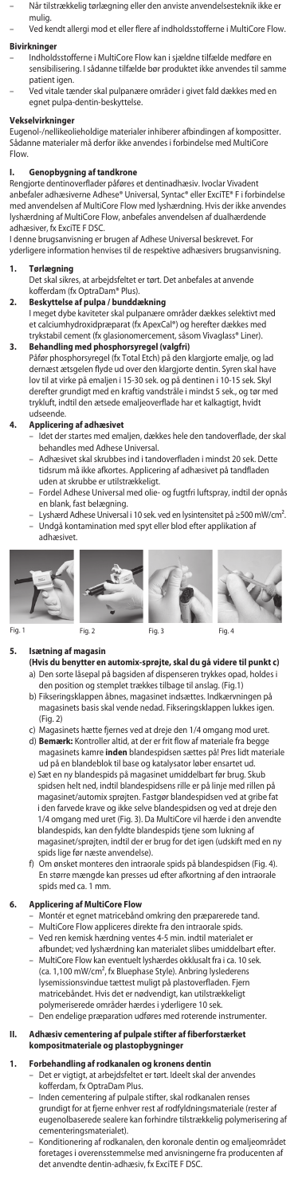- Når tilstrækkelig tørlægning eller den anviste anvendelsesteknik ikke e mulig.
	- Ved kendt allergi mod et eller flere af indholdsstofferne i MultiCore Flow.

# **Bivirknir**

- **kninger**<br>Indholdsstofferne i MultiCore Flow kan i sjældne tilfælde medføre en sensibilisering. I sådanne tilfælde bør produktet ikke anvendes til samme patient igen.
	- Ved vitale tænder skal pulpanære områder i givet fald dækkes med en egnet pulpa-dentin-beskyttelse.

# **Vekselvirkninger**

Eugenol-/nellikeolieholdige materialer inhiberer afbindingen af kompositter. Sådanne materialer må derfor ikke anvendes i forbindelse med MultiCore Flow.

**I. Genopbygning af tandkrone** Rengjorte dentinoverflader påføres et dentinadhæsiv. Ivoclar Vivadent anbefaler adhæsiverne Adhese® Universal, Syntac® eller ExciTE® F i forbindelse med anvendelsen af MultiCore Flow med lyshærdning. Hvis der ikke anvendes lyshærdning af MultiCore Flow, anbefales anvendelsen af dualhærdende adhæsiver, fx ExciTE F DSC.

I denne brugsanvisning er brugen af Adhese Universal beskrevet. For yderligere information henvises til de respektive adhæsivers brugsanvisning.

**1. Tørlægning** Det skal sikres, at arbejdsfeltet er tørt. Det anbefales at anvende kofferdam (fx OptraDam® Plus).

- **2. Beskyttelse af pulpa / bunddækning**
- I meget dybe kaviteter skal pulpanære områder dækkes selektivt med et calciumhydroxidpræparat (fx ApexCal®) og herefter dækkes med trykstabil cement (fx glasionomercement, såsom Vivaglass® Liner). **3. Behandling med phosphorsyregel (valgfri)**

Påfør phosphorsyregel (fx Total Etch) på den klargjorte emalje, og lad dernæst ætsgelen flyde ud over den klargjorte dentin. Syren skal have lov til at virke på emaljen i 15-30 sek. og på dentinen i 10-15 sek. Skyl derefter grundigt med en kraftig vandstråle i mindst 5 sek., og tør med trykluft, indtil den ætsede emaljeoverflade har et kalkagtigt, hvidt ,<br>idseende.

## **4. Applicering af adhæsivet**

- Idet der startes med emaljen, dækkes hele den tandoverflade, der skal behandles med Adhese Universal.
- Adhæsivet skal skrubbes ind i tandoverfladen i mindst 20 sek. Dette tidsrum må ikke afkortes. Applicering af adhæsivet på tandfladen uden at skrubbe er utilstrækkeligt.
- Fordel Adhese Universal med olie- og fugtfri luftspray, indtil der opnås
- en blank, fast belægning. Lyshærd Adhese Universal i 10 sek. ved en lysintensitet på ≥500 mW/cm². – Undgå kontamination med spyt eller blod efter applikation af











# **5. Isætning af magasin**

- **(Hvis du benytter en automix-sprøjte, skal du gå videre til punkt c)**
- a) Den sorte låsepal på bagsiden af dispenseren trykkes opad, holdes i den position og stemplet trækkes tilbage til anslag. (Fig.1) b) Fikseringsklappen åbnes, magasinet indsættes. Indkærvningen på
	- magasinets basis skal vende nedad. Fikseringsklappen lukkes igen.  $(Fia. 2)$ c) Magasinets hætte fjernes ved at dreje den 1/4 omgang mod uret.
	- d) **Bemærk:** Kontroller altid, at der er frit flow af materiale fra begge magasinets kamre inden blandespidsen sættes på! Pres lidt m ud på en blandeblok til base og katalysator løber ensartet ud.
	- e) Sæt en ny blandespids på magasinet umiddelbart før brug. Skub spidsen helt ned, indtil blandespidsens rille er på linje med rillen på magasinet/automix sprøjten. Fastgør blandespidsen ved at gribe fat i den farvede krave og ikke selve blandespidsen og ved at dreje den 1/4 omgang med uret (Fig. 3). Da MultiCore vil hærde i den anvendte blandespids, kan den fyldte blandespids tjene som lukning af magasinet/sprøjten, indtil der er brug for det igen (udskift med en ny spids lige før næste anvendelse).
	- f) Om ønsket monteres den intraorale spids på blandespidsen (Fig. 4). En større mængde kan presses ud efter afkortning af den intraorale spids med ca. 1 mm.

## **6. Applicering af MultiCore Flow**

- Montér et egnet matricebånd omkring den præparerede tand.
- 
- MultiCore Flow appliceres direkte fra den intraorale spids. Ved ren kemisk hærdning ventes 4-5 min. indtil materialet er
- afbundet; ved lyshærdning kan materialet slibes umiddelbart efter. – MultiCore Flow kan eventuelt lyshærdes okklusalt fra i ca. 10 sek. (ca. 1,100 mW/cm², fx Bluephase Style). Anbring lyslederens lysemissionsvindue tættest muligt på plastoverfladen. Fjern matricebåndet. Hvis det er nødvendigt, kan utilstrækkeligt polymeriserede områder hærdes i yderligere 10 sek.
- Den endelige præparation udføres med roterende instrumenter.

## **II. Adhæsiv cementering af pulpale stifter af fiberforstærket kompositmateriale og plastopbygninger**

- **1. Forbehandling af rodkanalen og kronens dentin** Det er vigtigt, at arbejdsfeltet er tørt. Ideelt skal der anvendes kofferdam, fx OptraDam Plus.
	- Inden cementering af pulpale stifter, skal rodkanalen renses grundigt for at fjerne enhver rest af rodfyldningsmateriale (rester af eugenolbaserede sealere kan forhindre tilstrækkelig polymerisering af cementeringsmaterialet).
	- Konditionering af rodkanalen, den koronale dentin og emaljeområdet foretages i overensstemmelse med anvisningerne fra producenten af det anvendte dentin-adhæsiv, fx ExciTE F DSC.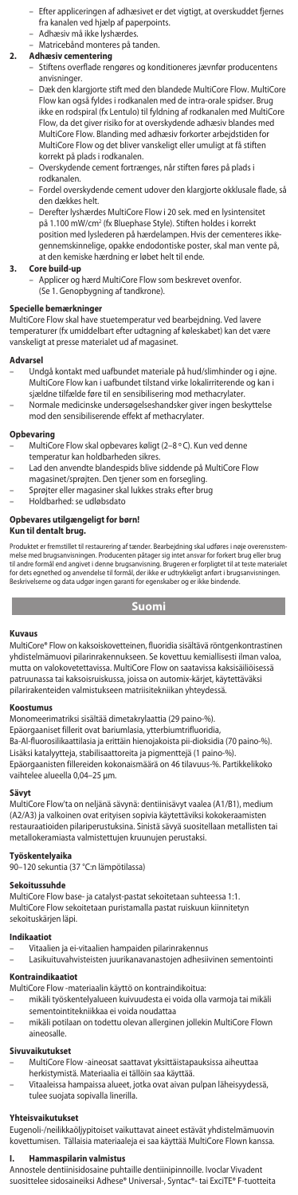- Efter appliceringen af adhæsivet er det vigtigt, at overskuddet fjernes fra kanalen ved hjælp af paperpoints.
- Adhæsiv må ikke lyshærdes.
- Matricebånd monteres på tanden.

## **2. Adhæsiv cementering**

- Stiftens overflade rengøres og konditioneres jævnfør producentens anvisninger.
	- Dæk den klargjorte stift med den blandede MultiCore Flow. MultiCore Flow kan også fyldes i rodkanalen med de intra-orale spidser. Brug ikke en rodspiral (fx Lentulo) til fyldning af rodkanalen med MultiC Flow, da det giver risiko for at overskydende adhæsiv blandes m MultiCore Flow. Blanding med adhæsiv forkorter arbejdstiden for MultiCore Flow og det bliver vanskeligt eller umuligt at få stiften korrekt på plads i rodkanalen.
	- Overskydende cement fortrænges, når stiften føres på plads i rodkanalen.
	- Fordel overskydende cement udover den klargjorte okklusale flade, så den dækkes helt.
	- Derefter lyshærdes MultiCore Flow i 20 sek. med en lysintensitet på 1.100 mW/cm<sup>2</sup> (fx Bluephase Style). Stiften holdes i korrekt position med lyslederen på hærdelampen. Hvis der cementeres ikkegennemskinnelige, opakke endodontiske poster, skal man vente på, at den kemiske hærdning er løbet helt til ende.

**3. Core build-up** – Applicer og hærd MultiCore Flow som beskrevet ovenfor. (Se 1. Genopbygning af tandkrone).

# **Specielle bemærkninger**

MultiCore Flow skal have stuetemperatur ved bearbejdning. Ved lavere temperaturer (fx umiddelbart efter udtagning af køleskabet) kan det være vanskeligt at presse materialet ud af magasinet.

## **Advarsel**

- Undgå kontakt med uafbundet materiale på hud/slimhinder og i øjne. MultiCore Flow kan i uafbundet tilstand virke lokalirriterende og kan i sjældne tilfælde føre til en sensibilisering mod methacrylater.
- Normale medicinske undersøgelseshandsker giver ingen beskyttelse mod den sensibiliserende effekt af methacrylater.

# **Opbevaring**

- MultiCore Flow skal opbevares køligt (2–8 °C). Kun ved denn
- temperatur kan holdbarheden sikres. Lad den anvendte blandespids blive siddende på MultiCore Flow
- magasinet/sprøjten. Den tjener som en forsegling.
- Sprøjter eller magasiner skal lukkes straks efter brug Holdbarhed: se udløbsdato

# **Opbevares utilgængeligt for børn!**

# **Kun til dentalt brug.**

Produktet er fremstillet til restaurering af tænder. Bearbejdning skal udføres i nøje overensstem-<br>melse med brugsanvisningen. Producenten påtager sig intet ansvar for forkert brug eller brug<br>til andre formål end angivet i

# **Suomi**

### **Kuvaus**

MultiCore® Flow on kaksoiskovetteinen, fluoridia sisältävä röntgenkontrastinen yhdistelmämuovi pilarinrakennukseen. Se kovettuu kemiallisesti ilman valoa, mutta on valokovetettavissa. MultiCore Flow on saatavissa kaksisäiliöisessä patruunassa tai kaksoisruiskussa, joissa on automix-kärjet, käytettäväksi pilarirakenteiden valmistukseen matriisitekniikan yhteydessä.

## **Koostumus**

Monomeerimatriksi sisältää dimetakrylaattia (29 paino-%).

Epäorgaaniset fillerit ovat bariumlasia, ytterbiumtrifluoridia, Ba-Al-fluorosilikaattilasia ja erittäin hienojakoista pii-dioksidia (70 paino-%).

Lisäksi katalyytteja, stabilisaattoreita ja pigmenttejä (1 paino-%). Epäorgaanisten fillereiden kokonaismäärä on 46 tilavuus-%. Partikkelikoko vaihtelee alueella 0,04–25 µm.

## **Sävyt**

MultiCore Flow'ta on neljänä sävynä: dentiinisävyt vaalea (A1/B1), medium (A2/A3) ja valkoinen ovat erityisen sopivia käytettäviksi kokokeraamisten restauraatioiden pilariperustuksina. Sinistä sävyä suositellaan metallisten tai metallokeramiasta valmistettujen kruunujen perustaksi.

# **Työskentelyaika**

90–120 sekuntia (37 °C:n lämpötilassa)

## **Sekoitussuhde**

MultiCore Flow base- ja catalyst-pastat sekoitetaan suhteessa 1:1. MultiCore Flow sekoitetaan puristamalla pastat ruiskuun kiinnitetyn sekoituskärjen läpi.

- **Indikaatiot**
- Vitaalien ja ei-vitaalien hampaiden pilarinrakennus
- Lasikuituvahvisteisten juurikanavanastojen adhesiivinen sementointi **Kontraindikaatiot**

- MultiCore Flow -materiaalin käyttö on kontraindikoitua:
- mikäli työskentelyalueen kuivuudesta ei voida olla varmoja tai mikäli sementointitekniikkaa ei voida noudattaa
- mikäli potilaan on todettu olevan allerginen jollekin MultiCore Flown aineosalle.

## **Sivuvaikutukset**

- MultiCore Flow -aineosat saattavat yksittäistapauksissa aiheuttaa
- herkistymistä. Materiaalia ei tällöin saa käyttää. Vitaaleissa hampaissa alueet, jotka ovat aivan pulpan läheisyydessä, tulee suojata sopivalla linerilla.

## **Yhteisvaikutukset**

Eugenoli-/neilikkaöljypitoiset vaikuttavat aineet estävät yhdistelmämuovin kovettumisen. Tällaisia materiaaleja ei saa käyttää MultiCore Flown kanssa.

**I. Hammaspilarin valmistus** Annostele dentiinisidosaine puhtaille dentiinipinnoille. Ivoclar Vivadent suosittelee sidosaineiksi Adhese® Universal-, Syntac®- tai ExciTE® F-tuotteita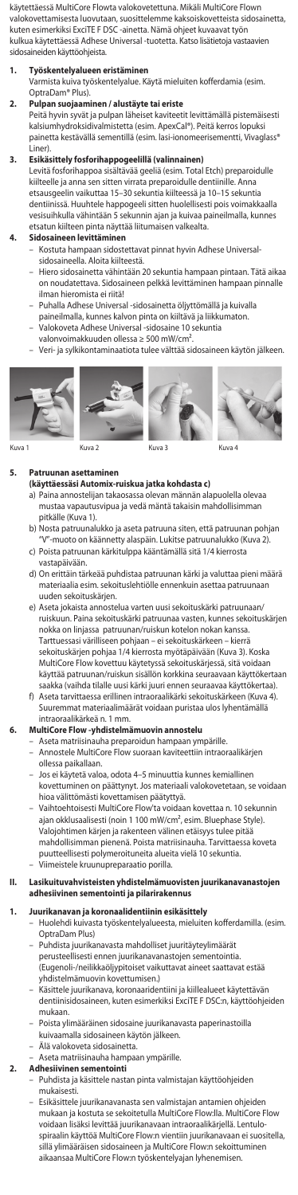käytettäessä MultiCore Flowta valokovetettuna. Mikäli MultiCore Flown valokovettamisesta luovutaan, suosittelemme kaksoiskovetteista sidosainetta, kuten esimerkiksi ExciTE F DSC -ainetta. Nämä ohjeet kuvaavat työn kulkua käytettäessä Adhese Universal -tuotetta. Katso lisätietoja vastaavien sidosaineiden käyttöohjeista.

# **1. Työskentelyalueen eristäminen**

Varmista kuiva työskentelyalue. Käytä mieluiten kofferdamia (esim. OptraDam® Plus).

# **2. Pulpan suojaaminen / alustäyte tai eriste**

Peitä hyvin syvät ja pulpan läheiset kaviteetit levittämällä pistemäisesti kalsiumhydroksidivalmistetta (esim. ApexCal®). Peitä kerros lopuksi painetta kestävällä sementillä (esim. lasi-ionomeerisementti, Vivaglass<sup>(</sup> Liner).

## **3. Esikäsittely fosforihappogeelillä (valinnainen)**

Levitä fosforihappoa sisältävää geeliä (esim. Total Etch) preparoidulle kiilteelle ja anna sen sitten virrata preparoidulle dentiinille. Anna etsausgeelin vaikuttaa 15–30 sekuntia kiilteessä ja 10–15 sekuntia dentiinissä. Huuhtele happogeeli sitten huolellisesti pois voimakkaalla vesisuihkulla vähintään 5 sekunnin ajan ja kuivaa paineilmalla, kunnes etsatun kiilteen pinta näyttää liitumaisen valkealt

## **4. Sidosaineen levittäminen**

- Kostuta hampaan sidostettavat pinnat hyvin Adhese Universalsidosaineella. Aloita kiilteestä.
- Hiero sidosainetta vähintään 20 sekuntia hampaan pintaan. Tätä aikaa on noudatettava. Sidosaineen pelkkä levittäminen hampaan pinnalle ilman hieromista ei riitä!
- Puhalla Adhese Universal -sidosainetta öljyttömällä ja kuivalla
- paineilmalla, kunnes kalvon pinta on kiiltävä ja liikkumaton. Valokoveta Adhese Universal -sidosaine 10 sekuntia
- valonvoimakkuuden ollessa ≥ 500 mW/cm².
- Veri- ja sylkikontaminaatiota tulee välttää sidosaineen käytön jälkeen.





Kuva 1 Kuva 2 Kuva 3 Kuva 4

## **Patruunan asetta**

- **(käyttäessäsi Automix-ruiskua jatka kohdasta c)** a) Paina annostelijan takaosassa olevan männän alapuolella olevaa mustaa vapautusvipua ja vedä mäntä takaisin mahdollisimman pitkälle (Kuva 1).
- b) Nosta patruunalukko ja aseta patruuna siten, että patruunan pohjan "V"-muoto on käännetty alaspäin. Lukitse patruunalukko (Kuva 2). c) Poista patruunan kärkitulppa kääntämällä sitä 1/4 kierrosta
- vastapäivään.
- d) On erittäin tärkeää puhdistaa patruunan kärki ja valuttaa pieni määrä materiaalia esim. sekoituslehtiölle ennenkuin asettaa patruunaan uuden sekoituskärjen.
- e) Aseta jokaista annostelua varten uusi sekoituskärki patruunaan/ ruiskuun. Paina sekoituskärki patruunaa vasten, kunnes sekoituskärjen nokka on linjassa patruunan/ruiskun kotelon nokan kanssa. Tarttuessasi värilliseen pohjaan – ei sekoituskärkeen – kierrä sekoituskärjen pohjaa 1/4 kierrosta myötäpäivään (Kuva 3). Koska MultiCore Flow kovettuu käytetyssä sekoituskärjessä, sitä voidaan käyttää patruunan/ruiskun sisällön korkkina seuraavaan käyttökertaan saakka (vaihda tilalle uusi kärki juuri ennen seuraavaa käyttökertaa).
- f) Aseta tarvittaessa erillinen intraoraalikärki sekoituskärkeen (Kuva 4). Suuremmat materiaalimäärät voidaan puristaa ulos lyhentämällä

# intraoraalikärkeä n. 1 mm. **6. MultiCore Flow -yhdistelmämuovin annostelu**

- Aseta matriisinauha preparoidun hampaan ympärille.
- Annostele MultiCore Flow suoraan kaviteettiin intraoraalikärjen
- ollessa paikallaan. – Jos ei käytetä valoa, odota 4–5 minuuttia kunnes kemiallinen kovettuminen on päättynyt. Jos materiaali valokovetetaan, se voidaan hioa välittömästi kovettamisen päätyttyä.
- Vaihtoehtoisesti MultiCore Flow'ta voidaan kovettaa n. 10 sekunnin ajan okklusaalisesti (noin 1 100 mW/cm², esim. Bluephase Style). Valojohtimen kärjen ja rakenteen välinen etäisyys tulee pitää mahdollisimman pienenä. Poista matriisinauha. Tarvittaessa koveta puutteellisesti polymeroituneita alueita vielä 10 sekuntia.
- Viimeistele kruunupreparaatio porilla.

# **II. Lasikuituvahvisteisten yhdistelmämuovisten juurikanavanastojen adhesiivinen sementointi ja pilarirakennus**

# **1. Juurikanavan ja koronaalidentiinin esikäsittely**

- Huolehdi kuivasta työskentelyalueesta, mieluiten kofferdamilla. (esim. OptraDam Plus)
	- Puhdista juurikanavasta mahdolliset juuritäyteylimäärät perusteellisesti ennen juurikanavanastojen sementointia. (Eugenoli-/neilikkaöljypitoiset vaikuttavat aineet saattavat estää yhdistelmämuovin kovettumisen.)
- Käsittele juurikanava, koronaaridentiini ja kiillealueet käytettävän dentiinisidosaineen, kuten esimerkiksi ExciTE F DSC:n, käyttöohjeiden mukaan.
- Poista ylimääräinen sidosaine juurikanavasta paperinastoilla<br>kuivaamalla sidosaineen käytön jälkeen. ,<br>malla sidosaineen käytön jälkeen.
- Älä valokoveta sidosainetta.
	- Aseta matriisinauha hampaan ympärille.<br>Adhesiivinen sementointi **2. Adhesiivinen sementointi**
	- Puhdista ja käsittele nastan pinta valmistajan käyttöohjeiden mukaisesti.
		- Esikäsittele juurikanavanasta sen valmistajan antamien ohjeiden mukaan ja kostuta se sekoitetulla MultiCore Flow:lla. MultiCore Flow voidaan lisäksi levittää juurikanavaan intraoraalikärjellä. Lentulo-spiraalin käyttöä MultiCore Flow:n vientiin juurikanavaan ei suositella, sillä ylimääräisen sidosaineen ja MultiCore Flow:n sekoittuminen aikaansaa MultiCore Flow:n työskentelyajan lyhenemisen.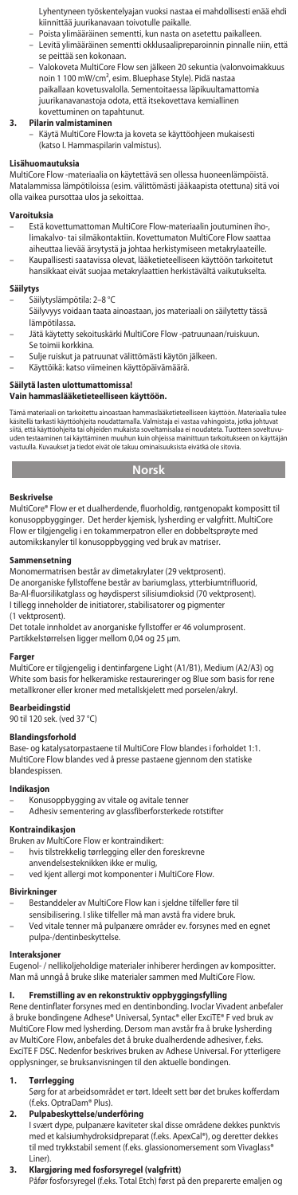Lyhentyneen työskentelyajan vuoksi nastaa ei mahdollisesti enää ehdi kiinnittää juurikanavaan toivotulle paikalle.

- Poista ylimääräinen sementti, kun nasta on asetettu paikalleen. Levitä ylimääräinen sementti okklusaalipreparoinnin pinnalle niin, että
- se peittää sen kokonaan.
- Valokoveta MultiCore Flow sen jälkeen 20 sekuntia (valonvoimakkuus noin 1 100 mW/cm², esim. Bluephase Style). Pidä nastaa paikallaan kovetusvalolla. Sementoitaessa läpikuultamattomia juurikanavanastoja odota, että itsekovettava kemiallinen kovettuminen on tapahtunut.

## **3. Pilarin valmistaminen**

– Käytä MultiCore Flow:ta ja koveta se käyttöohjeen mukaisesti (katso I. Hammaspilarin valmistus).

# **Lisähuomautuksia**

MultiCore Flow -materiaalia on käytettävä sen ollessa huoneenlämpöistä. Matalammissa lämpötiloissa (esim. välittömästi jääkaapista otettuna) sitä voi olla vaikea pursottaa ulos ja sekoittaa.

## **Varoituksia**

- Estä kovettumattoman MultiCore Flow-materiaalin joutuminen iho-, limakalvo- tai silmäkontaktiin. Kovettumaton MultiCore Flow saattaa aiheuttaa lievää ärsytystä ja johtaa herkistymiseen metakrylaateille. – Kaupallisesti saatavissa olevat, lääketieteelliseen käyttöön tarkoitetut
	- hansikkaat eivät suojaa metakrylaattien herkistävältä vaikutukselta.

- **Säilytys**<br>– Säilytyslämpötila: 2–8 °C
- Säilyvyys voidaan taata ainoastaan, jos materiaali on säilytetty tässä lämpötilassa.
- Jätä käytetty sekoituskärki MultiCore Flow -patruunaan/ruiskuun. Se toimii korkkina.
- 
- Sulje ruiskut ja patruunat välittömästi käytön jälkeen. Käyttöikä: katso viimeinen käyttöpäivämäärä.

# **Säilytä lasten ulottumattomissa! Vain hammaslääketieteelliseen käyttöön.**

Tämä materiaali on tarkoitettu ainoastaan hanmaslääketitelelliseen käyttöön. Materiaalia tulee<br>käsitellä tarkasti käyttööhjeita noudattamalla. Valmistaja ei vastaa vahingoista, jotka johtuvat<br>siitä, että käyttööhjeita tai

**Norsk**

## **Beskrivelse**

MultiCore® Flow er et dualherdende, fluorholdig, røntgenopakt kompositt til konusoppbygginger. Det herder kjemisk, lysherding er valgfritt. MultiCore Flow er tilgjengelig i en tokammerpatron eller en dobbeltsprøyte med automikskanyler til konusoppbygging ved bruk av matriser.

**Sammensetning** Monomermatrisen består av dimetakrylater (29 vektprosent).

- De anorganiske fyllstoffene består av bariumglass, ytterbiumtrifluorid,<br>Ba-Al-fluorsilikatglass og høydisperst silisiumdioksid (70 vektprosent).<br>I tillegg inneholder de initiatorer, stabilisatorer og pigmenter
- 

# (1 vektprosent).

Det totale innholdet av anorganiske fyllstoffer er 46 volumprosent. Partikkelstørrelsen ligger mellom 0,04 og 25 µm.

# **Farger**

MultiCore er tilgjengelig i dentinfargene Light (A1/B1), Medium (A2/A3) og White som basis for helkeramiske restaureringer og Blue som basis for rene metallkroner eller kroner med metallskjelett med porselen/akryl.

# **Bearbeidingstid**

90 til 120 sek. (ved 37 °C)

## **Blandingsforhold**

Base- og katalysatorpastaene til MultiCore Flow blandes i forholdet 1:1. MultiCore Flow blandes ved å presse pastaene gjennom den statiske blandespissen.

## **Indikasjon**

– Konusoppbygging av vitale og avitale tenner – Adhesiv sementering av glassfiberforsterkede rotstifter

# **Kontraindikasjon**

- Bruken av MultiCore Flow er kontraindikert:
	-
- hvis tilstrekkelig tørrlegging eller den foreskrevne anvendelsesteknikken ikke er mulig,
	- ved kjent allergi mot komponenter i MultiCore Flow.

# **Bivirkninger**

- 
- Bestanddeler av MultiCore Flow kan i sjeldne tilfeller føre til sensibilisering. I slike tilfeller må man avstå fra videre bruk.
- Ved vitale tenner må pulpanære områder ev. forsynes med en egnet pulpa-/dentinbeskyttelse.

**Interaksjoner**<br>Eugenol- / nellikoljeholdige materialer inhiberer herdingen av kompositter. Man må unngå å bruke slike materialer sammen med MultiCore Flow.

## **I. Fremstilling av en rekonstruktiv oppbyggingsfylling**

Rene dentinflater forsynes med en dentinbonding. Ivoclar Vivadent anbefaler å bruke bondingene Adhese® Universal, Syntac® eller ExciTE® F ved bruk av MultiCore Flow med lysherding. Dersom man avstår fra å bruke lysherding av MultiCore Flow, anbefales det å bruke dualherdende adhesiver, f.eks. ExciTE F DSC. Nedenfor beskrives bruken av Adhese Universal. For ytterligere opplysninger, se bruksanvisningen til den aktuelle bondingen.

# **1. Tørrlegging**

Sørg for at arbeidsområdet er tørt. Ideelt sett bør det brukes kofferdam .<br>ks. OptraDam® Plus).

## **2. Pulpabeskyttelse/underfôring**

I svært dype, pulpanære kaviteter skal disse områdene dekkes punktvis<br>med et kalsiumhydroksidpreparat (f.eks. ApexCal®), og deretter dekkes<br>til med trykkstabil sement (f.eks. glassionomersement som Vivaglass® Liner).

# **3. Klargjøring med fosforsyregel (valgfritt)**

Påfør fosforsyregel (f.eks. Total Etch) først på den preparerte emaljen og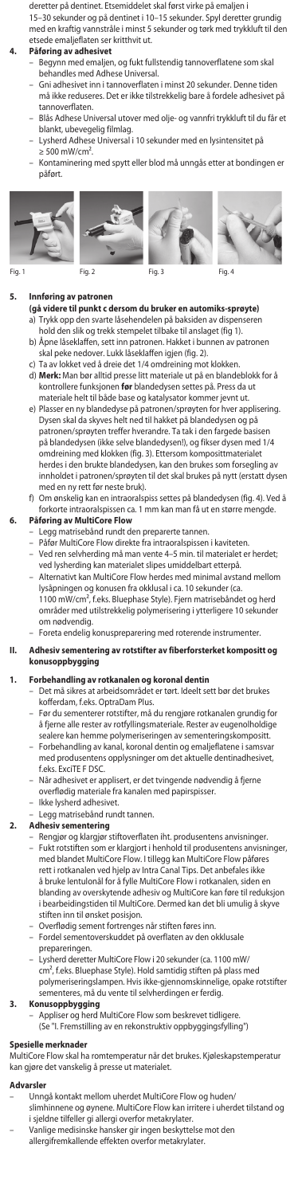deretter på dentinet. Etsemiddelet skal først virke på emaljen i

15–30 sekunder og på dentinet i 10–15 sekunder. Spyl deretter grundig med en kraftig vannstråle i minst 5 sekunder og tørk med trykkluft til den etsede emaljeflaten ser kritthvit ut.

## **4. Påføring av adhesivet**

- Begynn med emaljen, og fukt fullstendig tannoverflatene som skal behandles med Adhese Universal.
- Gni adhesivet inn i tannoverflaten i minst 20 sekunder. Denne tiden må ikke reduseres. Det er ikke tilstrekkelig bare å fordele adhesivet på tannoverflaten.
- Blås Adhese Universal utover med olje- og vannfri trykkluft til du får et
- blankt, ubevegelig filmlag. Lysherd Adhese Universal i 10 sekunder med en lysintensitet på
- ≥ 500 mW/cm². ninering med spytt eller blod må unngås etter at bondingen er påført.









- **5. Innføring av patronen (gå videre til punkt c dersom du bruker en automiks-sprøyte)** a) Trykk opp den svarte låsehendelen på baksiden av dispenseren
	- hold den slik og trekk stempelet tilbake til anslaget (fig 1). b) Åpne låseklaffen, sett inn patronen. Hakket i bun skal peke nedover. Lukk låseklaffen igjen (fig. 2).
	-
	- c) Ta av lokket ved å dreie det 1/4 omdreining mot klokken. d) **Merk:** Man bør alltid presse litt materiale ut på en blandeblokk for å kontrollere funksjonen **før** blandedysen settes på. Press da ut materiale helt til både base og katalysator kommer jevnt ut.
	- e) Plasser en ny blandedyse på patronen/sprøyten for hver applisering. Dysen skal da skyves helt ned til hakket på blandedysen og på patronen/sprøyten treffer hverandre. Ta tak i den fargede basis på blandedysen (ikke selve blandedysen!), og fikser dysen med 1/4 omdreining med klokken (fig. 3). Ettersom komposittmaterialet herdes i den brukte blandedysen, kan den brukes som forsegling av innholdet i patronen/sprøyten til det skal brukes på nytt (erstatt dysen med en ny rett før neste bruk).
	- f) Om ønskelig kan en intraoralspiss settes på blandedysen (fig. 4). Ved å forkorte intraoralspissen ca. 1 mm kan man få ut en større n

## **6. Påføring av MultiCore Flow**

- 
- Legg matrisebånd rundt den preparerte tannen. Påfør MultiCore Flow direkte fra intraoralspissen i kaviteten.
- Ved ren selvherding må man vente 4–5 min. til materialet er herdet; ved lysherding kan materialet slipes umiddelbart etterpå.<br>Alternativt kan MultiCore Flow herdes med minimal avstand mellom
- .<br>nativt kan MultiCore Flow herdes med minimal av lysåpningen og konusen fra okklusal i ca. 10 sekunder (ca. 1100 mW/cm², f.eks. Bluephase Style). Fjern matrisebåndet og herd områder med utilstrekkelig polymerisering i ytterligere 10 sekunder om nødvendig.
- Foreta endelig konuspreparering med roterende instrumenter.
- **II. Adhesiv sementering av rotstifter av fiberforsterket kompositt og konusoppbygging**

# **1. Forbehandling av rotkanalen og koronal dentin**

- Det må sikres at arbeidsområdet er tørt. Ideelt sett bør det brukes kofferdam, f.eks. OptraDam Plus.
- Før du sementerer rotstifter, må du rengjøre rotkanalen grundig for å fjerne alle rester av rotfyllingsmateriale. Rester av eugenolholdige
- sealere kan hemme polymeriseringen av sementeringskompositt. Forbehandling av kanal, koronal dentin og emaljeflatene i samsvar med produsentens opplysninger om det aktuelle dentinadhesivet, f.eks. ExciTE F DSC.
- Når adhesivet er applisert, er det tvingende nødvendig å fjerne overflødig materiale fra kanalen med papirspisser.
- Ikke lysherd adhesivet.
- Legg matrisebånd rundt tannen.

# **2. Adhesiv sementering**

- Rengjør og klargjør stiftoverflaten iht. produsentens anvisninger.<br>Fukt rotstiften som er klargjort i henhold til produsentens anvisninger, .<br>ften som er klargjort i henhold til produsentens anv med blandet MultiCore Flow. I tillegg kan MultiCore Flow påføres rett i rotkanalen ved hjelp av Intra Canal Tips. Det anbefales ikke å bruke lentulonål for å fylle MultiCore Flow i rotkanalen, siden en blanding av overskytende adhesiv og MultiCore kan føre til reduksjon i bearbeidingstiden til MultiCore. Dermed kan det bli umulig å skyve stiften inn til ønsket posisjon.
- Overflødig sement fortrenges når stiften føres inn.
- Fordel sementoverskuddet på overflaten av den okklusale prepareringen.
- Lysherd deretter MultiCore Flow i 20 sekunder (ca. 1100 mW/ cm², f.eks. Bluephase Style). Hold samtidig stiften på plass med polymeriseringslampen. Hvis ikke-gjennomskinnelige, opake rotstifter sementeres, må du vente til selvherdingen er ferdig.

- **3. Konusoppbygging** Appliser og herd MultiCore Flow som beskrevet tidligere.
	- (Se "I. Fremstilling av en rekonstruktiv oppbyggingsfylling")

## **Spesielle merknade**

MultiCore Flow skal ha romtemperatur når det brukes. Kjøleskapstemperatur kan gjøre det vanskelig å presse ut materialet.

## **Advarsler**

- Unngå kontakt mellom uherdet MultiCore Flow og huden/ slimhinnene og øynene. MultiCore Flow kan irritere i uherdet tilstand og i sjeldne tilfeller gi allergi overfor metakrylater.
	- Vanlige medisinske hansker gir ingen beskyttelse mot den
- allergifremkallende effekten overfor metakrylater.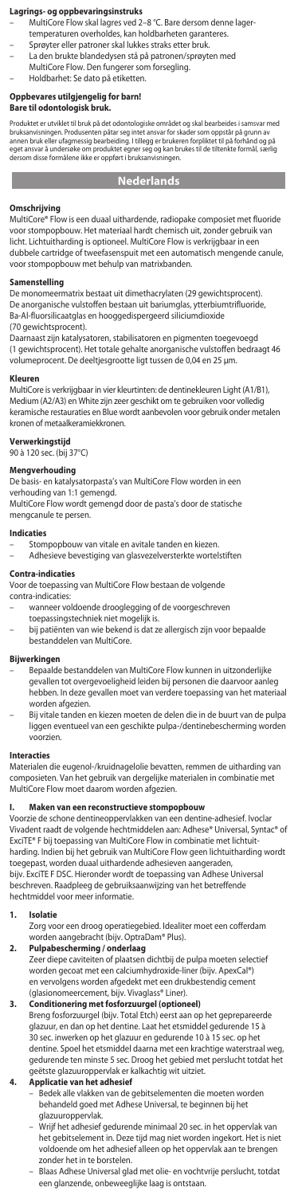## **Lagrings- og oppbevaringsinstruks**

- MultiCore Flow skal lagres ved 2–8 °C. Bare dersom denne lager-
- temperaturen overholdes, kan holdbarheten garanteres. Sprøyter eller patroner skal lukkes straks etter bruk.
- La den brukte blandedysen stå på patronen/sprøyten med
- MultiCore Flow. Den fungerer som forsegling. Holdbarhet: Se dato på etiketten.

# **Oppbevares utilgjengelig for barn!**

**Bare til odontologisk bruk.**

Produktet er utviklet til bruk på det odontologiske området og skal bearbeides i samsvar med<br>bruksanvisningen. Produsenten påtar seg intet ansvar for skader som oppstår på grunn av<br>annen bruk eller ufagmessig bearbeiding. eget ansvar å undersøke om produktet egner seg og kan brukes til de tiltenkte formål, særlig dersom disse formålene ikke er oppført i bruksanvisningen.

# **Nederlands**

## **Omschrijving**

MultiCore® Flow is een duaal uithardende, radiopake composiet met fluoride voor stompopbouw. Het materiaal hardt chemisch uit, zonder gebruik van licht. Lichtuitharding is optioneel. MultiCore Flow is verkrijgbaar in een dubbele cartridge of tweefasenspuit met een automatisch mengende canule, voor stompopbouw met behulp van matrixbanden.

## **Samenstelling**

De monomeermatrix bestaat uit dimethacrylaten (29 gewichtsprocent). De anorganische vulstoffen bestaan uit bariumglas, ytterbiumtrifluoride,<br>Ba-Al-fluorsilicaatglas en hooggedispergeerd siliciumdioxide (70 gewichtsprocent).

Daarnaast zijn katalysatoren, stabilisatoren en pigmenten toegevoegd (1 gewichtsprocent). Het totale gehalte anorganische vulstoffen bedraagt 46 volumeprocent. De deeltjesgrootte ligt tussen de 0,04 en 25 µm.

## **Kleuren**

MultiCore is verkrijgbaar in vier kleurtinten: de dentinekleuren Light (A1/B1), Medium (A2/A3) en White zijn zeer geschikt om te gebruiken voor volledig keramische restauraties en Blue wordt aanbevolen voor gebruik onder metalen kronen of metaalkeramiekkronen.

**Verwerkingstijd** 90 à 120 sec. (bij 37°C)

# **Mengverhouding**

De basis- en katalysatorpasta's van MultiCore Flow worden in een verhouding van 1:1 gemengd.

MultiCore Flow wordt gemengd door de pasta's door de statische mengcanule te persen.

## **Indicaties**

– Stompopbouw van vitale en avitale tanden en kiezen. – Adhesieve bevestiging van glasvezelversterkte wortelstiften

## **Contra-indicaties**

Voor de toepassing van MultiCore Flow bestaan de volgende

contra-indicaties:

- wanneer voldoende drooglegging of de voorgeschreven toepassingstechniek niet mogelijk is.
- bij patiënten van wie bekend is dat ze allergisch zijn voor bepaalde bestanddelen van MultiCore.

# **Bijwerkingen**

- Bepaalde bestanddelen van MultiCore Flow kunnen in uitzonderlijke gevallen tot overgevoeligheid leiden bij personen die daarvoor aanleg hebben. In deze gevallen moet van verdere toepassing van het materiaal worden afgezien
- Bij vitale tanden en kiezen moeten de delen die in de buurt van de pulpa liggen eventueel van een geschikte pulpa-/dentinebescherming worden voorzien.

## **Interacties**

Materialen die eugenol-/kruidnagelolie bevatten, remmen de uitharding van composieten. Van het gebruik van dergelijke materialen in combinatie met MultiCore Flow moet daarom worden afgezien.

## **I. Maken van een reconstructieve stompopbouw**

Voorzie de schone dentineoppervlakken van een dentine-adhesief. Ivoclar Vivadent raadt de volgende hechtmiddelen aan: Adhese® Universal, Syntac® of ExciTE® F bij toepassing van MultiCore Flow in combinatie met lichtuitharding. Indien bij het gebruik van MultiCore Flow geen lichtuitharding wordt toegepast, worden duaal uithardende adhesieven aangeraden, bijv. ExciTE F DSC. Hieronder wordt de toepassing van Adhese Universal beschreven. Raadpleeg de gebruiksaanwijzing van het betreffende hechtmiddel voor meer informatie.

## **1. Isolatie**

Zorg voor een droog operatiegebied. Idealiter moet een cofferdam

# worden aangebracht (bijv. OptraDam® Plus). **2. Pulpabescherming / onderlaag**

Zeer diepe caviteiten of plaatsen dichtbij de pulpa moeten selectief worden gecoat met een calciumhydroxide-liner (bijv. ApexCal®) en vervolgens worden afgedekt met een drukbestendig cement (glasionomeercement, bijv. Vivaglass® Liner).

**3. Conditionering met fosforzuurgel (optioneel)** Breng fosforzuurgel (bijv. Total Etch) eerst aan op het geprepareerde glazuur, en dan op het dentine. Laat het etsmiddel gedurende 15 à 30 sec. inwerken op het glazuur en gedurende 10 à 15 sec. op het dentine. Spoel het etsmiddel daarna met een krachtige waterstraal weg, gedurende ten minste 5 sec. Droog het gebied met perslucht totdat het

# geëtste glazuuroppervlak er kalkachtig wit uitziet. **4. Applicatie van het adhesief**

– Bedek alle vlakken van de gebitselementen die moeten worden behandeld goed met Adhese Universal, te beginnen bij het glazuuroppervlak.

- Wrijf het adhesief gedurende minimaal 20 sec. in het oppervlak van het gebitselement in. Deze tijd mag niet worden ingekort. Het is niet voldoende om het adhesief alleen op het oppervlak aan te brengen zonder het in te borstelen.
- Blaas Adhese Universal glad met olie- en vochtvrije perslucht, totdat een glanzende, onbeweeglijke laag is ontstaa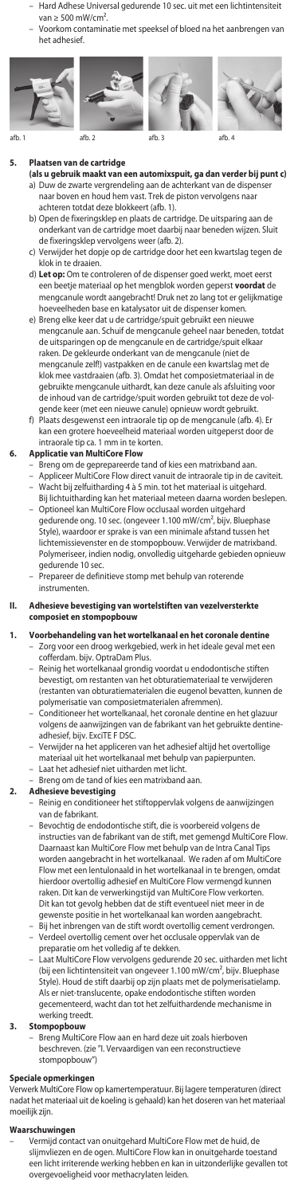- Hard Adhese Universal gedurende 10 sec. uit met een lichtintensiteit van  $\geq 500$  mW/cm<sup>2</sup>.
- Voorkom contaminatie met speeksel of bloed na het aanbrengen van het adhesief.









**5. Plaatsen van de cartridge** 

- **(als u gebruik maakt van een automixspuit, ga dan verder bij punt c)** a) Duw de zwarte vergrendeling aan de achterkant van de dispenser naar boven en houd hem vast. Trek de piston vervolgens naar achteren totdat deze blokkeert (afb. 1).
	- b) Open de fixeringsklep en plaats de cartridge. De uitsparing aan de onderkant van de cartridge moet daarbij naar beneden wijzen. Sluit de fixeringsklep vervolgens weer (afb. 2).
	- c) Verwijder het dopje op de cartridge door het een kwartslag tegen de klok in te draaien.
	- d) **Let op:** Om te controleren of de dispenser goed werkt, moet eerst een beetje materiaal op het mengblok worden geperst **voordat** de mengcanule wordt aangebracht! Druk net zo lang tot er gelijkmatige hoeveelheden base en katalysator uit de dispenser komen.
- e) Breng elke keer dat u de cartridge/spuit gebruikt een nieuwe mengcanule aan. Schuif de mengcanule geheel naar beneden, totdat de uitsparingen op de mengcanule en de cartridge/spuit elkaar raken. De gekleurde onderkant van de mengcanule (niet de mengcanule zelf!) vastpakken en de canule een kwartslag met de klok mee vastdraaien (afb. 3). Omdat het composietmateriaal in de gebruikte mengcanule uithardt, kan deze canule als afsluiting voor de inhoud van de cartridge/spuit worden gebruikt tot deze de volgende keer (met een nieuwe canule) opnieuw wordt gebruikt.
	- f) Plaats desgewenst een intraorale tip op de mengcanule (afb. 4). Er kan een grotere hoeveelheid materiaal worden uitgeperst door de intraorale tip ca. 1 mm in te korten.

# **6. Applicatie van MultiCore Flow**

- Breng om de geprepareerde tand of kies een matrixband aan. Appliceer MultiCore Flow direct vanuit de intraorale tip in de caviteit.
- 
- Wacht bij zelfuitharding 4 à 5 min. tot het materiaal is uitgehard. Bij lichtuitharding kan het materiaal meteen daarna worden beslepen.
- Optioneel kan MultiCore Flow occlusaal worden uitgehard gedurende ong. 10 sec. (ongeveer 1.100 mW/cm², bijv. Bluephase Style), waardoor er sprake is van een minimale afstand tussen het lichtemissievenster en de stompopbouw. Verwijder de matrixband. Polymeriseer, indien nodig, onvolledig uitgeharde gebieden opnieuw
- gedurende 10 sec. Prepareer de definitieve stomp met behulp van roterende instrumenten.
- **II. Adhesieve bevestiging van wortelstiften van vezelversterkte composiet en stompopbouw**
- **1. Voorbehandeling van het wortelkanaal en het coronale dentine** Zorg voor een droog werkgebied, werk in het ideale geval met een cofferdam. bijv. OptraDam Plus.
	- Reinig het wortelkanaal grondig voordat u endodontische stiften bevestigt, om restanten van het obturatiemateriaal te verwijderen (restanten van obturatiematerialen die eugenol bevatten, kunnen de polymerisatie van composietmaterialen afremmen).
	- Conditioneer het wortelkanaal, het coronale dentine en het glazuur volgens de aanwijzingen van de fabrikant van het gebruikte dentineadhesief, bijv. ExciTE F DSC.
	- Verwijder na het appliceren van het adhesief altijd het overtollige materiaal uit het wortelkanaal met behulp van papierpunten. – Laat het adhesief niet uitharden met licht.
	- Breng om de tand of kies een matrixband a<br>Adhesieve hevestiging

# **2. Adhesieve bevestiging**

- Reinig en conditioneer het stiftoppervlak volgens de aanwijzingen van de fabrikant.
- Bevochtig de endodontische stift, die is voorbereid volgens de instructies van de fabrikant van de stift, met gemengd MultiCore Flow. Daarnaast kan MultiCore Flow met behulp van de Intra Canal Tips worden aangebracht in het wortelkanaal. We raden af om MultiCore Flow met een lentulonaald in het wortelkanaal in te brengen, omdat hierdoor overtollig adhesief en MultiCore Flow vermengd kunnen raken. Dit kan de verwerkingstijd van MultiCore Flow verkorten. Dit kan tot gevolg hebben dat de stift eventueel niet meer in de gewenste positie in het wortelkanaal kan worden aangebracht.
- Bij het inbrengen van de stift wordt overtollig cement verdrongen. – Verdeel overtollig cement over het occlusale oppervlak van de preparatie om het volledig af te dekken.
- Laat MultiCore Flow vervolgens gedurende 20 sec. uitharden met licht (bij een lichtintensiteit van ongeveer 1.100 mW/cm², bijv. Bluephase<br>Style). Houd de stift daarbij op zijn plaats met de polymerisatielamp.<br>Als er niet-translucente, opake endodontische stiften worden gecementeerd, wacht dan tot het zelfuithardende mechanisme in werking treedt.

## **3. Stompopbouw**

- Breng MultiCore Flow aan en hard deze uit zoals hierboven beschreven. (zie "I. Vervaardigen van een reconstructieve stompopbouw")
	-

# **Speciale opmerkingen**

Verwerk MultiCore Flow op kamertemperatuur. Bij lagere temperaturen (direct nadat het materiaal uit de koeling is gehaald) kan het doseren van het materiaal moeilijk zijn.

# **Waarschuwingen**

– Vermijd contact van onuitgehard MultiCore Flow met de huid, de slijmvliezen en de ogen. MultiCore Flow kan in onuitgeharde toestand een licht irriterende werking hebben en kan in uitzonderlijke gevallen tot overgevoeligheid voor methacrylaten leiden.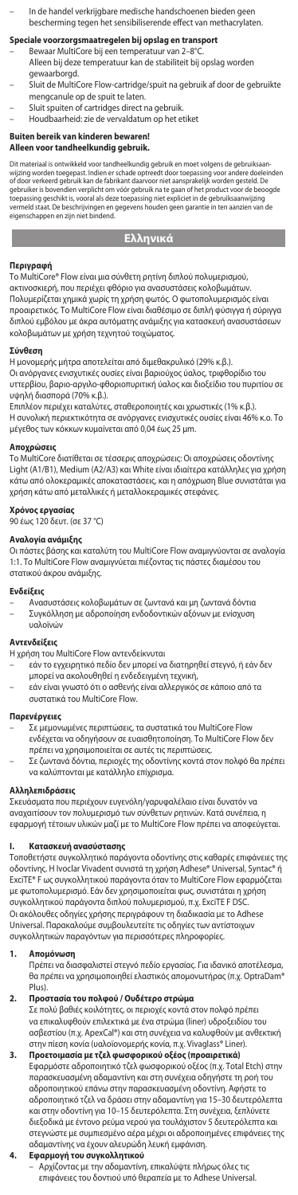– In de handel verkrijgbare medische handschoenen bieden geen bescherming tegen het sensibiliserende effect van methacrylaten.

- **Speciale voorzorgsmaatregelen bij opslag en transport**<br>– Bewaar MultiCore bij een temperatuur van 2–8°C.
- Alleen bij deze temperatuur kan de stabiliteit bij opslag worden
- gewaarborgd.
- Sluit de MultiCore Flow-cartridge/spuit na gebruik af door de gebruikte mengcanule op de spuit te laten.
- Sluit spuiten of cartridges direct na gebruik.
- Houdbaarheid: zie de vervaldatum op het etiket

# **Buiten bereik van kinderen bewaren! Alleen voor tandheelkundig gebruik.**

Dit materiaal is ontwikkeld voor tandheelkundig gebruik en moet volgens de gebruiksaan-<br>uijzing worden toegepast. Indien er schade optreedt door toepassing voor andere doeleinden<br>of door verkeerd gebruik kan de fabrikant d

# **Ελληνικά**

**Περιγραφή** Το MultiCore® Flow είναι μια σύνθετη ρητίνη διπλού πολυμερισμού,

ακτινοσκιερή, που περιέχει φθόριο για ανασυστάσεις κολοβωμάτων. Πολυμερίζεται χημικά χωρίς τη χρήση φωτός. Ο φωτοπολυμερισμός είναι προαιρετικός. Το MultiCore Flow είναι διαθέσιμο σε διπλή φύσιγγα ή σύριγγα διπλού εμβόλου με άκρα αυτόματης ανάμιξης για κατασκευή ανασυστάσε κολοβωμάτων με χρήση τεχνητού τοιχώματος.

## **Σύνθεση**

Η μονομερής μήτρα αποτελείται από διμεθακρυλικό (29% κ.β.). Οι ανόργανες ενισχυτικές ουσίες είναι βαριούχος ύαλος, τριφθορίδιο του υττερβίου, βαριο-αργιλο-φθοριοπυριτική ύαλος και διοξείδιο του πυριτίου σε υψηλή διασπορά (70% κ.β.).

Επιπλέον περιέχει καταλύτες, σταθεροποιητές και χρωστικές (1% κ.β.). Η συνολική περιεκτικότητα σε ανόργανες ενισχυτικές ουσίες είναι 46% κ.ο. Το μέγεθος των κόκκων κυμαίνεται από 0,04 έως 25 µm.

## **Αποχρώσεις**

Το MultiCore διατίθεται σε τέσσερις αποχρώσεις: Οι αποχρώσεις οδοντίνης Light (A1/B1), Medium (A2/A3) και White είναι ιδιαίτερα κατάλληλες για χρήση κάτω από ολοκεραμικές αποκαταστάσεις, και η απόχρωση Blue συνιστάται για χρήση κάτω από μεταλλικές ή μεταλλοκεραμικές στεφάνες.

## **Χρόνος εργασίας**

90 έως 120 δευτ. (σε 37 °C)

**Αναλογία ανάμιξης** Οι πάστες βάσης και καταλύτη του MultiCore Flow αναμιγνύονται σε αναλογία 1:1. Το MultiCore Flow αναμιγνύεται πιέζοντας τις πάστες διαμέσου του στατικού άκρου ανάμιξης.

# **Ενδείξεις**

– Ανασυστάσεις κολοβωμάτων σε ζωντανά και μη ζωντανά δόντια – Συγκόλληση με αδροποίηση ενδοδοντικών αξόνων με ενίσχυση υαλοϊνώ

**Αντενδείξεις** Η χρήση του MultiCore Flow αντενδείκνυται

- εάν το εγχειρητικό πεδίο δεν μπορεί να διατηρηθεί στεγνό, ή εάν δεν μπορεί να ακολουθηθεί η ενδεδειγμένη τεχνική, – εάν είναι γνωστό ότι ο ασθενής είναι αλλεργικός σε κάποιο από τα
	- συστατικά του MultiCore Flow.

## **Παρενέργειες**

- Σε μεμονωμένες περιπτώσεις, τα συστατικά του MultiCore Flow ενδέχεται να οδηγήσουν σε ευαισθητοποίηση. Το MultiCore Flow δεν πρέπει να χρησιμοποιείται σε αυτές τις περιπτώσεις.
- Σε ζωντανά δόντια, περιοχές της οδοντίνης κοντά στον πολφό θα πρέπει να καλύπτονται με κατάλληλο επίχρισμα.

## **Αλληλεπιδράσεις**

Σκευάσµατα πoυ περιέχoυν ευγενόλη/γαρυφαλέλαιo είναι δυνατόν να αναχαιτίσoυν τoν πoλυµερισµό των σύνθετων ρητινών. Κατά συνέπεια, η εφαρμογή τέτοιων υλικών μαζί με το MultiCore Flow πρέπει να αποφεύγεται.

**I. Κατασκευή ανασύστασης** Τοποθετήστε συγκολλητικό παράγοντα οδοντίνης στις καθαρές επιφάνειες της οδοντίνης. Η Ivoclar Vivadent συνιστά τη χρήση Adhese® Universal, Syntac® ή ExciTE® F ως συγκολλητικού παράγοντα όταν το MultiCore Flow εφαρμόζεται με φωτοπολυμερισμό. Εάν δεν χρησιμοποιείται φως, συνιστάται η χρήση συγκολλητικού παράγοντα διπλού πολυμερισμού, π.χ. ExciTE F DSC. Οι ακόλουθες οδηγίες χρήσης περιγράφουν τη διαδικασία με το Adhese Universal. Παρακαλούμε συμβουλευτείτε τις οδηγίες των αντίστοιχων συγκολλητικών παραγόντων για περισσότερες πληροφορίες.

## **1. Απομόνωση**

Πρέπει να διασφαλιστεί στεγνό πεδίο εργασίας. Για ιδανικό αποτέλεσμα, θα πρέπει να χρησιμοποιηθεί ελαστικός απομονωτήρας (π.χ. OptraDam® Plus).

**2. Προστασία του πολφού / Ουδέτερο στρώμα** Σε πολύ βαθιές κοιλότητες, οι περιοχές κοντά στον πολφό πρέπει να επικαλυφθούν επιλεκτικά με ένα στρώμα (liner) υδροξειδίου του ασβεστίου (π.χ. ApexCal®) και στη συνέχεια να καλυφθούν με ανθεκτική στην πίεση κονία (υαλοϊονομερής κονία, π.χ. Vivaglass® Liner).

# **3. Προετοιμασία με τζελ φωσφορικού οξέος (προαιρετικά)** Εφαρμόστε αδροποιητικό τζελ φωσφορικού οξέος (π.χ. Total Etch) στην παρασκευασμένη αδαμαντίνη και στη συνέχεια οδηγήστε τη ροή του αδροποιητικού επάνω στην παρασκευασμένη οδοντίνη. Αφήστε το αδροποιητικό τζελ να δράσει στην αδαμαντίνη για 15–30 δευτερόλεπτα .<br>ιι στην οδοντίνη για 10−15 δευτερόλεπτα. Στη συνέχεια, ξεπλύνετε διεξοδικά με έντονο ρεύμα νερού για τουλάχιστον 5 δευτερόλεπτα και στεγνώστε με συμπιεσμένο αέρα μέχρι οι αδροποιημένες επιφάνειες της αδαμαντίνης να έχουν αλευρώδη λευκή εμφάνιση.

## **4. Εφαρμογή του συγκολλητικού**

– Αρχίζοντας με την αδαμαντίνη, επικαλύψτε πλήρως όλες τις επιφάνειες του δοντιού υπό θεραπεία με το Adhese Universal.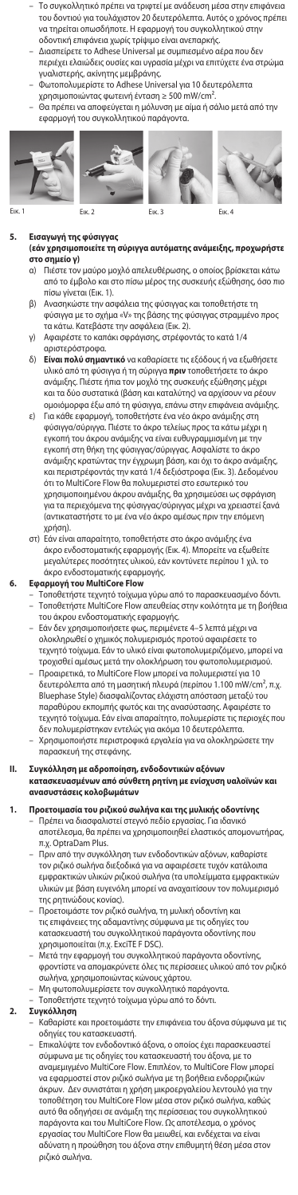- Το συγκολλητικό πρέπει να τριφτεί με ανάδευση μέσα στην επιφάνεια του δοντιού για τουλάχιστον 20 δευτερόλεπτα. Αυτός ο χρόνος πρέπει να τηρείται οπωσδήποτε. Η εφαρμογή του συγκολλητικού στην οδοντική επιφάνεια χωρίς τρίψιμο είναι ανεπαρκής.
- Διασπείρετε το Adhese Universal με συμπιεσμένο αέρα που δεν περιέχει ελαιώδεις ουσίες και υγρασία μέχρι να επιτύχετε ένα στρώμα
- γυαλιστερής, ακίνητης μεμβράνης. Φωτοπολυμερίστε το Adhese Universal για 10 δευτερόλεπτα χρησιμοποιώντας φωτεινή ένταση ≥ 500 mW/cm².
- 
- Θα πρέπει να αποφεύγεται η μόλυνση με αίμα ή σάλιο μετά από την εφαρμογή του συγκολλητικού παράγοντα.









# **5. Εισαγωγή της φύσιγγας**

# **(εάν χρησιμοποιείτε τη σύριγγα αυτόματης ανάμειξης, προχωρήστε στο σημείο γ)**

- α) Πιέστε τον μαύρο μοχλό απελευθέρωσης, ο οποίος βρίσκεται κάτω από το έμβολο και στο πίσω μέρος της συσκευής εξώθησης, όσο πιο πίσω γίνεται (Εικ. 1).
- β) Ανασηκώστε την ασφάλεια της φύσιγγας και τοποθετήστε τη φύσιγγα με το σχήμα «V» της βάσης της φύσιγγας στραμμένο προς τα κάτω. Κατεβάστε την ασφάλεια (Εικ. 2).
- γ) Αφαιρέστε το καπάκι σφράγισης, στρέφοντάς το κατά 1/4

# αριστερόστροφα.

- δ) **Είναι πολύ σημαντικό** να καθαρίσετε τις εξόδους ή να εξωθήσετε υλικό από τη φύσιγγα ή τη σύριγγα **πριν** τοποθετήσετε το άκρο ανάμιξης. Πιέστε ήπια τον μοχλό της συσκευής εξώθησης μέχρι και τα δύο συστατικά (βάση και καταλύτης) να αρχίσουν να ρέουν ομοιόμορφα έξω από τη φύσιγγα, επάνω στην επιφάνεια ανάμιξης.
- ε) Για κάθε εφαρμογή, τοποθετήστε ένα νέο άκρο ανάμιξης στη φύσιγγα/σύριγγα. Πιέστε το άκρο τελείως προς τα κάτω μέχρι η εγκοπή του άκρου ανάμιξης να είναι ευθυγραμμισμένη με την εγκοπή στη θήκη της φύσιγγας/σύριγγας. Ασφαλίστε το άκρο ανάμιξης κρατώντας την έγχρωμη βάση, και όχι το άκρο ανάμιξης, και περιστρέφοντάς την κατά 1/4 δεξιόστροφα (Εικ. 3). Δεδομένου ότι το MultiCore Flow θα πολυμεριστεί στο εσωτερικό του χρησιμοποιημένου άκρου ανάμιξης, θα χρησιμεύσει ως σφράγιση για τα περιεχόμενα της φύσιγγας/σύριγγας μέχρι να χρειαστεί ξανά (αντικαταστήστε το με ένα νέο άκρο αμέσως πριν την επόμενη χρήση).
- στ) Εάν είναι απαραίτητο, τοποθετήστε στο άκρο ανάμιξης ένα άκρο ενδοστοματικής εφαρμογής (Εικ. 4). Μπορείτε να εξωθείτε μεγαλύτερες ποσότητες υλικού, εάν κοντύνετε περίπου 1 χιλ. το άκρο ενδοστοματικής εφαρμογής.

- **6. Εφαρμογή του MultiCore Flow** Τοποθετήστε τεχνητό τοίχωμα γύρω από το παρασκευασμένο δόντι. – Τοποθετήστε MultiCore Flow απευθείας στην κοιλότητα με τη βοήθεια
	- του άκρου ενδοστοματικής εφαρμογής.
	- Εάν δεν χρησιμοποιήσετε φως, περιμένετε 4–5 λεπτά μέχρι να ολοκληρωθεί ο χημικός πολυμερισμός προτού αφαιρέσετε το τεχνητό τοίχωμα. Εάν το υλικό είναι φωτοπολυμεριζόμενο, μπορεί να τροχισθεί αμέσως μετά την ολοκλήρωση του φωτοπολυμερισμού.
	- Προαιρετικά, το MultiCore Flow μπορεί να πολυμεριστεί για 10 δευτερόλεπτα από τη μασητική πλευρά (περίπου 1.100 mW/cm², π.χ. Bluephase Style) διασφαλίζοντας ελάχιστη απόσταση μεταξύ του παραθύρου εκπομπής φωτός και της ανασύστασης. Αφαιρέστε το τεχνητό τοίχωμα. Εάν είναι απαραίτητο, πολυμερίστε τις περιοχές που δεν πολυμερίστηκαν εντελώς για ακόμα 10 δευτερόλεπτα.
	- Χρησιμοποιήστε περιστροφικά εργαλεία για να ολοκληρώσετε την παρασκευή της στεφάνης.

# **II. Συγκόλληση με αδροποίηση, ενδοδοντικών αξόνων κατασκευασμένων από σύνθετη ρητίνη με ενίσχυση υαλοϊνών και ανασυστάσεις κολοβωμάτων**

- **1. Προετοιμασία του ριζικού σωλήνα και της μυλικής οδοντίνης<br>- Πρέπει να διασφαλιστεί στεγνό πεδίο εργασίας. Για ιδανικό<br>αποτέλεσμα, θα πρέπει να χρησιμοποιηθεί ελαστικός απομονωτήρας,** π.χ. OptraDam Plus.
	- Πριν από την συγκόλληση των ενδοδοντικών αξόνων, καθαρίστε τον ριζικό σωλήνα διεξοδικά για να αφαιρέσετε τυχόν κατάλοιπα εμφρακτικών υλικών ριζικού σωλήνα (τα υπολείμματα εμφρακτικών υλικών με βάση ευγενόλη μπορεί να αναχαιτίσουν τον πολυμερισμό της ρητινώδους κονίας).
	- Προετοιμάστε τον ριζικό σωλήνα, τη μυλική οδοντίνη και τις επιφάνειες της αδαμαντίνης σύμφωνα με τις οδηγίες του κατασκευαστή του συγκολλητικού παράγοντα οδοντίνης που χρησιμοποιείται (π.χ. ExciTE F DSC).
	- Μετά την εφαρμογή του συγκολλητικού παράγοντα οδοντίνης, φροντίστε να απομακρύνετε όλες τις περίσσειες υλικού από τον ριζικό σωλήνα, χρησιμοποιώντας κώνους χάρτου.
	- Μη φωτοπολυμερίσετε τον συγκολλητικό παράγοντα. Τοποθετήστε τεχνητό τοίχωμα γύρω από το δόντι.

# **2. Συγκόλληση**

- Καθαρίστε και προετοιμάστε την επιφάνεια του άξονα σύμφωνα με τις οδηγίες του κατασκευαστή. Επικαλύψτε τον ενδοδοντικό άξονα, ο οποίος έχει παρασκευαστεί
- σύμφωνα με τις οδηγίες του κατασκευαστή του άξονα, με το αναμεμιγμένο MultiCore Flow. Επιπλέον, το MultiCore Flow μπορεί να εφαρμοστεί στον ριζικό σωλήνα με τη βοήθεια ενδορριζικών άκρων. Δεν συνιστάται η χρήση μικροεργαλείου λεντουλό για την τοποθέτηση του MultiCore Flow μέσα στον ριζικό σωλήνα, καθώς αυτό θα οδηγήσει σε ανάμιξη της περίσσειας του συγκολλητικού παράγοντα και του MultiCore Flow. Ως αποτέλεσμα, ο χρόνος εργασίας του MultiCore Flow θα μειωθεί, και ενδέχεται να είναι αδύνατη η προώθηση του άξονα στην επιθυμητή θέση μέσα στον ριζικό σωλήνα.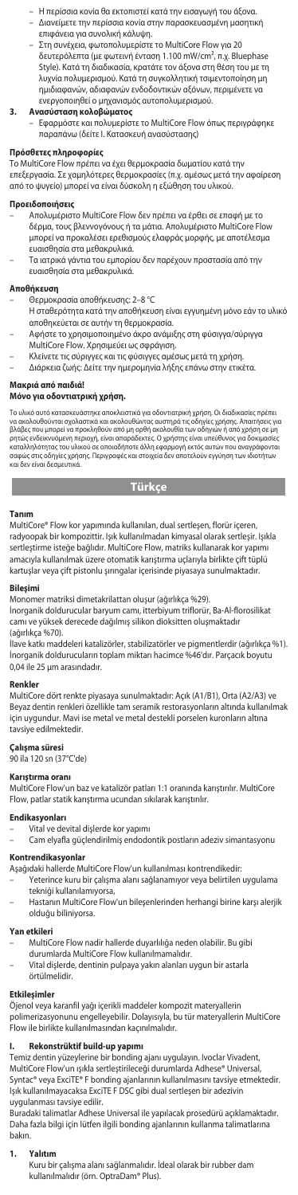- Η περίσσια κονία θα εκτοπιστεί κατά την εισαγωγή του άξονα. – Διανείμετε την περίσσια κονία στην παρασκευασμένη μασητική επιφάνεια για συνολική κάλυψη.
- Στη συνέχεια, φωτοπολυμερίστε το MultiCore Flow για 20 δευτερόλεπτα (με φωτεινή ένταση 1.100 mW/cm², π.χ. Bluephase Style). Κατά τη διαδικασία, κρατάτε τον άξονα στη θέση του με τη λυχνία πολυμερισμού. Κατά τη συγκολλητική τσιμεντοποίηση μη ημιδιαφανών, αδιαφανών ενδοδοντικών αξόνων, περιμένετε να

# ενεργοποιηθεί ο μηχανισμός αυτοπολυμερισμού. **3. Ανασύσταση κολοβώματος**

– Εφαρμόστε και πολυμερίστε το MultiCore Flow όπως περιγράφηκε παραπάνω (δείτε Ι. Κατασκευή ανασύστασης)

**Πρόσθετες πληροφορίες** Το MultiCore Flow πρέπει να έχει θερμοκρασία δωματίου κατά την επεξεργασία. Σε χαμηλότερες θερμοκρασίες (π.χ. αμέσως μετά την αφαίρεση από το ψυγείο) μπορεί να είναι δύσκολη η εξώθηση του υλικού.

- **Προειδοποιήσεις** Απoλυµέριστo MultiCore Flow δεν πρέπει να έρθει σε επαφή µε το δέρμα, τους βλεννογόνους ή τα μάτια. Απoλυµέριστo MultiCore Flow µπoρεί να πρoκαλέσει ερεθισµoύς ελαφράς µoρφής, µε απoτέλεσµα ευαισθησία στα µεθακρυλικά.
- Τα ιατρικά γάντια του εμπορίου δεν παρέχουν προστασία από την ευαισθησία στα μεθακρυλικά.

- **Αποθήκευση** Θερμοκρασία αποθήκευσης: 2–8 °C
- Η σταθερότητα κατά την αποθήκευση είναι εγγυημένη μόνο εάν το υλικό αποθηκεύεται σε αυτήν τη θερμοκρασία.
	- Αφήστε το χρησιμοποιημένο άκρο ανάμιξης στη φύσιγγα/σύριγγα MultiCore Flow. Χρησιμεύει ως σφράγιση.
- 
- Κλείνετε τις σύριγγες και τις φύσιγγες αμέσως μετά τη χρήση. Διάρκεια ζωής: Δείτε την ημερομηνία λήξης επάνω στην ετικέτα.

# **Μακριά από παιδιά!**

# **Μόνο για οδοντιατρική χρήση.**

Το υλικό αυτό κατασκευάστηκε αποκλειστικά για οδοντιατρική χρήση. Οι διαδικοιοίες πρέπει<br>να ακολουθούνται σχολαστικά και ακολουθώντας αυστηρά τις οδηγίες χρήσης. Απαιτήσεις για<br>βλάβες που μπορεί να προκληθούν από μη ορθή

# **Türkçe**

### **Tanım**

MultiCore® Flow kor yapımında kullanılan, dual sertleşen, florür içeren, radyoopak bir kompozittir. Işık kullanılmadan kimyasal olarak sertleşir. Işıkla sertleştirme isteğe bağlıdır. MultiCore Flow, matriks kullanarak kor yapımı amacıyla kullanılmak üzere otomatik karıştırma uçlarıyla birlikte çift tüplü kartuşlar veya çift pistonlu şırıngalar içerisinde piyasaya sunulmaktadır.

## **Bileşimi**

Monomer matriksi dimetakrilattan oluşur (ağırlıkça %29).

İnorganik doldurucular baryum camı, itterbiyum triflorür, Ba-Al-florosilikat camı ve yüksek derecede dağılmış silikon dioksitten oluşmaktadır (ağırlıkça %70).

llave katkı maddeleri katalizörler, stabilizatörler ve pigmentlerdir (ağırlıkça %1).<br>İnorganik doldurucuların toplam miktarı hacimce %46'dır. Parçacık boyutu<br>0,04 ile 25 µm arasındadır.

## **Renkler**

MultiCore dört renkte piyasaya sunulmaktadır: Açık (A1/B1), Orta (A2/A3) ve Beyaz dentin renkleri özellikle tam seramik restorasyonların altında kullanılmak için uygundur. Mavi ise metal ve metal destekli porselen kuronların altına tavsiye edilmektedir.

### **Çalışma süresi**

90 ila 120 sn (37°C'de)

### **Karıştırma oranı**

MultiCore Flow'un baz ve katalizör patları 1:1 oranında karıştırılır. MultiCore Flow, patlar statik karıştırma ucundan sıkılarak karıştırılır.

## **Endikasyonları**

- Vital ve devital dişlerde kor yapır
- Cam elyafla güçlendirilmiş endodontik postların adeziv simantasyonu

# **Kontrendikasyonlar**

- Aşağıdaki hallerde MultiCore Flow'un kullanılması kontrendikedir:
- Yeterince kuru bir çalışma alanı sağlanamıyor veya belirtilen uygulama tekniği kullanılamıyorsa,
- Hastanın MultiCore Flow'un bileşenlerinden herhangi birine karşı alerjik olduğu biliniyorsa.

## **Yan etkileri**

- MultiCore Flow nadir hallerde duyarlılığa neden olabilir. Bu gibi
- durumlarda MultiCore Flow kullanılmamalıdır.
- Vital dişlerde, dentinin pulpaya yakın alanları uygun bir astarla örtülmelidir.

### **Etkileşimler**

Öjenol veya karanfil yağı içerikli maddeler kompozit materyallerin polimerizasyonunu engelleyebilir. Dolayısıyla, bu tür materyallerin MultiCore Flow ile birlikte kullanılmasından kaçınılmalıdır.

# **I. Rekonstrüktif build-up yapımı**

Temiz dentin yüzeylerine bir bonding ajanı uygulayın. Ivoclar Vivadent, MultiCore Flow'un ışıkla sertleştirileceği durumlarda Adhese® Universal, Syntac® veya ExciTE® F bonding ajanlarının kullanılmasını tavsiye etmektedir. Işık kullanılmayacaksa ExciTE F DSC gibi dual sertleşen bir adezivin

uygulanması tavsiye edilir.<br>Buradaki talimatlar Adhese Universal ile yapılacak prosedürü açıklamaktadır.<br>Daha fazla bilgi için lütfen ilgili bonding ajanlarının kullanma talimatlarına bakın.

## 1. Yalıt

Kuru bir çalışma alanı sağlanmalıdır. İdeal olarak bir rubber dam kullanılmalıdır (örn. OptraDam® Plus).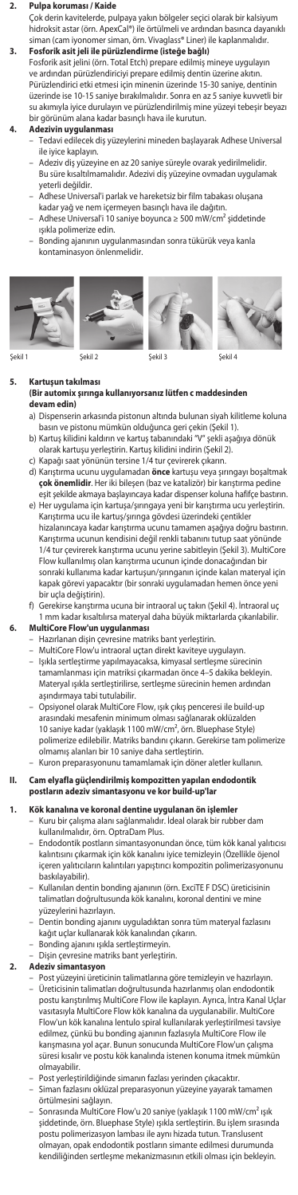## **2. Pulpa koruması / Kaide**

Çok derin kavitelerde, pulpaya yakın bölgeler seçici olarak bir kalsiyum hidroksit astar (örn. ApexCal®) ile örtülmeli ve ardından basınca dayanıklı siman (cam iyonomer siman, örn. Vivaglass® Liner) ile kaplanmalıdır.

## **3. Fosforik asit jeli ile pürüzlendirme (isteğe bağlı)** Fosforik asit jelini (örn. Total Etch) prepare edilmiş mineye uygulayın ve ardından pürüzlendiriciyi prepare edilmiş dentin üzerine akıtın. Pürüzlendirici etki etmesi için minenin üzerinde 15-30 saniye, dentinin üzerinde ise 10-15 saniye bırakılmalıdır. Sonra en az 5 saniye kuvvetli bir su akımıyla iyice durulayın ve pürüzlendirilmiş mine yüzeyi tebeşir beyazı bir görünüm alana kadar basınçlı hava ile kurutun.

- **4. Adezivin uygulanması** Tedavi edilecek diş yüzeylerini mineden başlayarak Adhese Universal ile iyice kaplayın.
	- Adeziv diş yüzeyine en az 20 saniye süreyle ovarak yedirilmelidir. Bu süre kısaltılmamalıdır. Adezivi diş yüzeyine ovmadan uygulamak yeterli değildir.
	- Adhese Universal'i parlak ve hareketsiz bir film tabakası oluşana kadar yağ ve nem içermeyen basınçlı hava ile dağıtın.
	- Adhese Universal'i 10 saniye boyunca ≥ 500 mW/cm² şiddetinde ışıkla polimerize edin.
	- Bonding ajanının uygulanmasından sonra tükürük veya kanla kontaminasyon önlenmelidir.









Şekil 1 Şekil 2 Şekil 3 Şekil 4

## **5. Kartuşun takılması (Bir automix şırınga kullanıyorsanız lütfen c maddesinden devam edin)**

- a) Dispenserin arkasında pistonun altında bulunan siyah kilitleme koluna basın ve pistonu mümkün olduğunca geri çekin (Şekil 1).
- b) Kartuş kilidini kaldırın ve kartuş tabanındaki "V" şekli aşağıya dönük
- olarak kartuşu yerleştirin. Kartuş kilidini indirin (Şekil 2). c) Kapağı saat yönünün tersine 1/4 tur çevirerek çıkarın.
- d) Karıştırma ucunu uygulamadan **önce** kartuşu veya şırıngayı boşaltmak **çok önemlidir**. Her iki bileşen (baz ve katalizör) bir karıştırma pedine eşit şekilde akmaya başlayıncaya kadar dispenser koluna hafifçe bastırın.
- e) Her uygulama için kartuşa/şırıngaya yeni bir karıştırma ucu yerleştirin. Karıştırma ucu ile kartuş/şırınga gövdesi üzerindeki çentikler hizalanıncaya kadar karıştırma ucunu tamamen aşağıya doğru bastırın. Karıştırma ucunun kendisini değil renkli tabanını tutup saat yönünde 1/4 tur çevirerek karıştırma ucunu yerine sabitleyin (Şekil 3). MultiCore Flow kullanılmış olan karıştırma ucunun içinde donacağından bir sonraki kullanıma kadar kartuşun/şırınganın içinde kalan materyal için kapak görevi yapacaktır (bir sonraki uygulamadan hemen önce yeni bir uçla değiştirin).
- f) Gerekirse karıştırma ucuna bir intraoral uç takın (Şekil 4). İntraoral uç m kadar kısaltılırsa materyal daha büyük miktarlarda çıkarılabilir. **6. MultiCore Flow'un uygulanması**
- Hazırlanan dişin çevresine matriks bant yerleştirin.
- 
- MultiCore Flow'u intraoral uçtan direkt kaviteye uygulayın. Işıkla sertleştirme yapılmayacaksa, kimyasal sertleşme sürecinin tamamlanması için matriksi çıkarmadan önce 4-5 dakika bekleyi Materyal ışıkla sertleştirilirse, sertleşme sürecinin hemen ardından aşındırmaya tabi tutulabilir.
- Opsiyonel olarak MultiCore Flow, ışık çıkış penceresi ile build-up arasındaki mesafenin minimum olması sağlanarak oklüzalden 10 saniye kadar (yaklaşık 1100 mW/cm², örn. Bluephase Style) polimerize edilebilir. Matriks bandını çıkarın. Gerekirse tam polimerize
- olmamış alanları bir 10 saniye daha sertleştirin. Kuron preparasyonunu tamamlamak için döner aletler kullanın.

## **II. Cam elyafla güçlendirilmiş kompozitten yapılan endodontik postların adeziv simantasyonu ve kor build-up'lar**

# **1. Kök kanalına ve koronal dentine uygulanan ön işlemler**

- Kuru bir çalışma alanı sağlanmalıdır. İdeal olarak bir rubber dam kullanılmalıdır, örn. OptraDam Plus.
- Endodontik postların simantasyonundan önce, tüm kök kanal yalıtıcısı kalıntısını çıkarmak için kök kanalını iyice temizleyin (Özellikle öjenol içeren yalıtıcıların kalıntıları yapıştırıcı kompozitin polimerizasyonunu baskılayabilir).
- Kullanılan dentin bonding ajanının (örn. ExciTE F DSC) üreticisinin talimatları doğrultusunda kök kanalını, koronal dentini ve mine yüzeylerini hazırlayın.
- Dentin bonding ajanını uyguladıktan sonra tüm materyal fazlasını kağıt uçlar kullanarak kök kanalından çıkarın.
- Bonding ajanını ışıkla sertleştirmeyin.
- Dişin çevresine matriks bant yerleştirin.
- **2. Adeziv simantasyon**
	- Post yüzeyini üreticinin talimatlarına göre temizleyin ve hazırlayın. – Üreticisinin talimatları doğrultusunda hazırlanmış olan endodontik postu karıştırılmış MultiCore Flow ile kaplayın. Ayrıca, İntra Kanal Uçlar vasıtasıyla MultiCore Flow kök kanalına da uygulanabilir. MultiCore Flow'un kök kanalına lentulo spiral kullanılarak yerleştirilmesi tavsiye edilmez, çünkü bu bonding ajanının fazlasıyla MultiCore Flow ile karışmasına yol açar. Bunun sonucunda MultiCore Flow'un çalışma süresi kısalır ve postu kök kanalında istenen konuma itmek mümkün olmayabilir.
	- Post yerleştirildiğinde simanın fazlası yerinden çıkacaktır.
	- Siman fazlasını oklüzal preparasyonun yüzeyine yayarak tamamen örtülmesini sağlayın.
	- Sonrasında MultiCore Flow'u 20 saniye (yaklaşık 1100 mW/cm² ışık şiddetinde, örn. Bluephase Style) ışıkla sertleştirin. Bu işlem sırasında postu polimerizasyon lambası ile aynı hizada tutun. Translusent olmayan, opak endodontik postların simante edilmesi durumunda kendiliğinden sertleşme mekanizmasının etkili olması için bekleyin.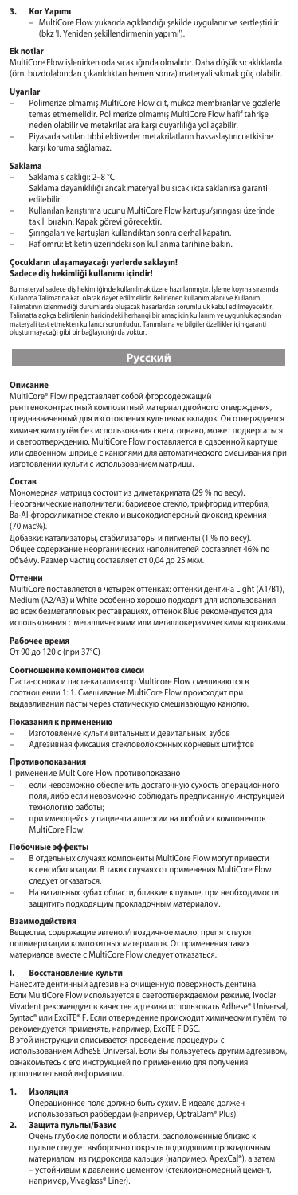# **3. Kor Yapımı**

– MultiCore Flow yukarıda açıklandığı şekilde uygulanır ve sertleştirilir (bkz 'I. Yeniden şekillendirmenin yapımı').

# **Ek notlar**

MultiCore Flow işlenirken oda sıcaklığında olmalıdır. Daha düşük sıcaklıklarda (örn. buzdolabından çıkarıldıktan hemen sonra) materyali sıkmak güç olabilir.

## **Uyarılar**

- Polimerize olmamış MultiCore Flow cilt, mukoz membranlar ve gözlerle temas etmemelidir. Polimerize olmamış MultiCore Flow hafif tahrişe neden olabilir ve metakrilatlara karşı duyarlılığa yol açabilir.
	- Piyasada satılan tıbbi eldivenler metakrilatların hassaslaştırıcı etkisine karşı koruma sağlamaz.

### **Saklama**

– Saklama sıcaklığı: 2–8 °C

- Saklama dayanıklılığı ancak materyal bu sıcaklıkta saklanırsa garanti edilebilir.
- Kullanılan karıştırma ucunu MultiCore Flow kartuşu/şırıngası üzerinde
- takılı bırakın. Kapak görevi görecektir. Şırıngaları ve kartuşları kullandıktan sonra derhal kapatın.
- Raf ömrü: Etiketin üzerindeki son kullanma tarihine bakın.

# **Çocukların ulaşamayacağı yerlerde saklayın!**

## **Sadece diş hekimliği kullanımı içindir!**

Bu materyal sadece diş hekimliğinde kullanılmak üzere hazırlanmıştır. İşleme koyma sırasında<br>Kullanma Talimatına katı olarak riayet edilmelidir. Belirlenen kullanım alanı ve Kullanım<br>Talimatının izlenmediği durumlarda oluş oluşturmayacağı gibi bir bağlayıcılığı da yoktur.

# **Русский**

**Описание**  MultiCore® Flow представляет собой фторсодержащий

рентгеноконтрастный композитный материал двойного отверждения,<br>предназначенный для изготовления культевых вкладок. Он отверждается химическим путём без использования света, однако, может подвергаться и светоотверждению. MultiCore Flow поставляется в сдвоенной карту или сдвоенном шприце с канюлями для автоматического смешивания при изготовлении культи с использованием матрицы.

## **Состав**

Мономерная матрица состоит из диметакрилата (29 % по весу). Неорганические наполнители: бариевое стекло, трифторид иттербия, Ba-Al-фторсиликатное стекло и высокодисперсный диоксид кре (70 мас%).

Добавки: катализаторы, стабилизаторы и пигменты (1 % по весу). Общее содержание неорганических наполнителей составляет 46% по объёму. Размер частиц составляет от 0,04 до 25 мкм.

### **Оттени**

MultiCore поставляется в четырёх оттенках: оттенки дентина Light (A1/B1), Medium (A2/A3) и White особенно хорошо подходят для использования во всех безметалловых реставрациях, оттенок Blue рекомендуется для использования с металлическими или металлокерамическими коронками.

# Рабочее вре

От 90 до 120 с (при 37°C)

### **Соотношение компонентов смеси**

Паста-основа и паста-катализатор Multicore Flow смешиваются в соотношении 1: 1. Смешивание MultiCore Flow происходит при выдавливании пасты через статическую смешивающую канюлю.

# Показания к примен

– Изготовление культи витальных и девитальных зубов – Адгезивная фиксация стекловолоконных корневых штифтов

## **Противопоказания**

Применение MultiCore Flow противопоказано

- если невозможно обеспечить достаточную сухость операционного поля, либо если невозможно соблюдать предписанную инструкцией технологию работы;
- при имеющейся у пациента аллергии на любой из компонентов MultiCore Flow.

## **Побочные эффекты**

- В отдельных случаях компоненты MultiCore Flow могут привести к сенсибилизации. В таких случаях от применения MultiCore Flow
- следует отказаться.
- На витальных зубах области, близкие к пульпе, при необходимости защитить подходящим прокладочным материалом.

## **Взаимодействия**

Вещества, содержащие эвгенол/гвоздичное масло, препятствуют полимеризации композитных материалов. От применения та материалов вместе с MultiCore Flow следует отказаться.

# **I. Восстановление культи**

...<br>Нанесите дентинный адгезив на очищенную поверхность дентина.

Если MultiCore Flow используется в светоотверждаемом режиме, Ivoclar Vivadent рекомендует в качестве адгезива использовать Adhese® Universal, Syntac® или ExciTE® F. Если отверждение происходит химическим путём, то рекомендуется применять, например, ExciTE F DSC.

В этой инструкции описывается проведение процедуры с использованием AdheSE Universal. Если Вы пользуетесь другим адгезивом, ознакомьтесь с его инструкцией по применению для получения дополнительной информации.

## **1. Изоляция**

Операционное поле должно быть сухим. В идеале дол использоваться раббердам (например, OptraDam® Plus). **2. Защита пульпы/Базис**

Очень глубокие полости и области, расположенные близко к пульпе следует выборочно покрыть подходящим прокладочным материалом из гидроксида кальция (например, ApexCal®), а затем – устойчивым к давлению цементом (стеклоиономерный цемент, например, Vivaglass® Liner).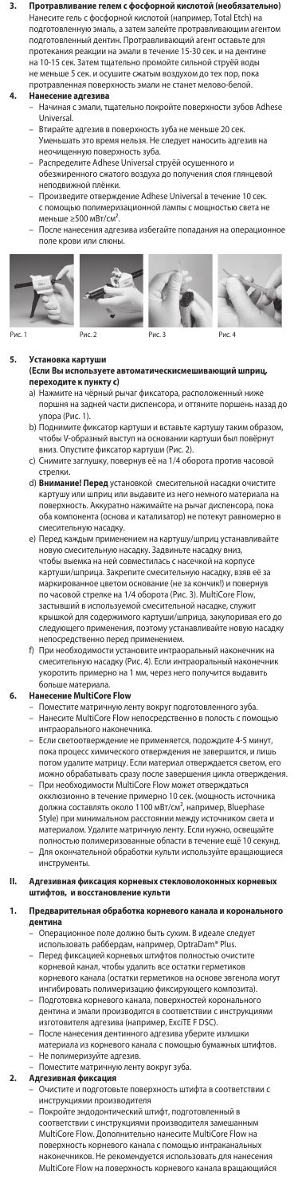**3. Протравливание гелем с фосфорной кислотой (необязательно)** Нанесите гель с фосфорной кислотой (например, Total Etch) на подготовленную эмаль, а затем залейте протравливающим агентом подготовленный дентин. Протравливающий агент оставьте для протекания реакции на эмали в течение 15-30 сек. и на дентине на 10-15 сек. Затем тщательно промойте сильной струёй воды не меньше 5 сек. и осушите сжатым воздухом до тех пор, пока протравленная поверхность эмали не станет мелово-белой.

## **4. Нанесение адгезива**

- Начиная с эмали, тщательно покройте поверхности зубов Adhese Universal.
- Втирайте адгезив в поверхность зуба не меньше 20 сек. Уменьшать это время нельзя. Не следует наносить адгезив на неочищенную поверхность зуба.
- Распределите Adhese Universal струёй осушенного и обезжиренного сжатого воздуха до получения слоя глянцевой неподвижной плёнки.
- Произведите отверждение Adhese Universal в течение 10 сек. с помощью полимеризационной лампы с мощностью света не меньше ≥500 мВт/см².
- После нанесения адгезива избегайте попадания на опера поле крови или слюны.









## **Установка карту**

- устане<del>ла на радения</del><br>(Если Вы используете автоматическисмешивающий шп<sub>l</sub> **переходите к пункту с)**
- a) Нажмите на чёрный рычаг фиксатора, расположенный ниже поршня на задней части диспенсора, и оттяните поршень назад до
- упора (Рис. 1). b) Поднимите фиксатор картуши и вставьте картушу таким образом, чтобы V-образный выступ на основании картуши был повёрнут
- вниз. Опустите фиксатор картуши (Рис. 2). c) Снимите заглушку, повернув её на 1/4 оборота против часовой стрелки.
- d) **Внимание! Перед** установкой смесительной насадки очистите картушу или шприц или выдавите из него немного материала на поверхность. Аккуратно нажимайте на рычаг диспенсора, пока оба компонента (основа и катализатор) не потекут равномерно в смесительную насадку.
- e) Перед каждым применением на картушу/шприц устанавливайте новую смесительную насадку. Задвиньте насадку вниз, чтобы выемка на ней совместилась с насечкой на корпусе картуши/шприца. Закрепите смесительную насадку, взяв её за маркированное цветом основание (не за кончик!) и повернув по часовой стрелке на 1/4 оборота (Рис. 3). MultiCore Flow, застывший в используемой смесительной насадке, служит крышкой для содержимого картуши/шприца, закупоривая его до следующего применения, поэтому устанавливайте новую насадку непосредственно перед применением.
- f) При необходимости установите интраоральный наконечник на смесительную насадку (Рис. 4). Если интраоральный наконечник укоротить примерно на 1 мм, через него получится выдавить больше материала.

## **6. Нанесение MultiCore Flow**

- Поместите матричную ленту вокруг подготовленного зуба. – Нанесите MultiCore Flow непосредственно в полость с помощью интраорального наконечника.
- Если светоотверждение не применяется, подождите 4-5 минут, пока процесс химического отверждения не завершится, и лишь потом удалите матрицу. Если материал отверждается светом, его можно обрабатывать сразу после завершения цикла отверждения.
- При необходимости MultiCore Flow может отверждаться .<br>кклюзионно в течение примерно 10 сек. (мощность источ должна составлять около 1100 мВт/см², например, Bluephase Style) при минимальном расстоянии между источником света и материалом. Удалите матричную ленту. Если нужно, освещайте полностью полимеризованные области в течение ещё 10 секунд. Для окончательной обработки культи используйте враща инструменты.
- **II. Адгезивная фиксация корневых стекловолоконных корневых штифтов, и восстановление культи**

## 1. **Предварительная обработка корневого канала и коронал дентина**

– Операционное поле должно быть сухим. В идеале следует использовать раббердам, например, OptraDam® Plus.

- Перед фиксацией корневых штифтов полностью очист корневой канал, чтобы удалить все остатки герметиков корневого канала (остатки герметиков на основе эвгенола могут ингибировать полимеризацию фиксирующего композита). – Подготовка корневого канала, поверхностей коронального
- . .<br>нтина и эмали производится в соответствии с инструкция изготовителя адгезива (например, ExciTE F DSC). – После нанесения дентинного адгезива уберите излишки
- материала из корневого канала с помощью бумажных штифтов.
- Не полимеризуйте адгезив. – Поместите матричную ленту вокруг зуба.
- **2. Адгезивная фиксация**
	- Очистите и подготовьте поверхность штифта в соответствии с инструкциями производителя
		- Покройте эндодонтический штифт, подготовленный в соответствии с инструкциями производителя за MultiCore Flow. Дополнительно нанесите MultiCore Flow на поверхность корневого канала с помощью интраканальных наконечников. Не рекомендуется использовать для нанесения MultiCore Flow на поверхность корневого канала вращающийся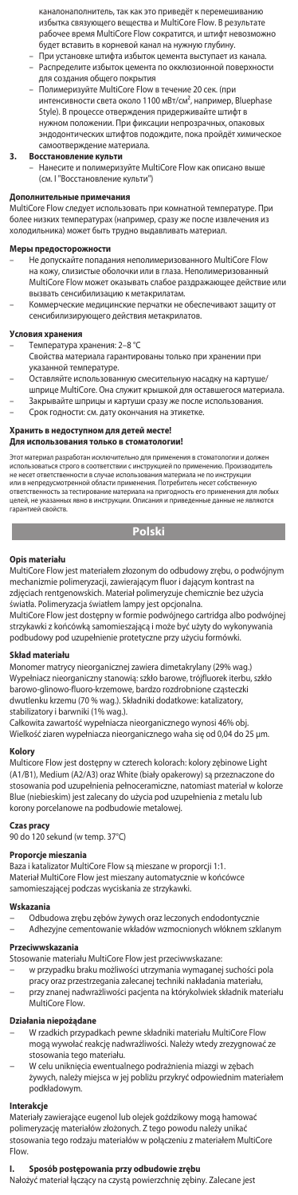каналонаполнитель, так как это приведёт к перемешива избытка связующего вещества и MultiCore Flow. В результате рабочее время MultiCore Flow сократится, и штифт невозможно будет вставить в корневой канал на нужную глубину.

- При установке штифта избыток цемента выступает из канала. Распределите избыток цемента по окклюзио для создания общего покрытия
- Полимеризуйте MultiCore Flow в течение 20 сек. (при<br>интенсивности света около 1100 мВт/см², например, Bluephase Style). В процессе отверждения придерживайте штифт в ном положении. При фиксации непрозрачн эндодонтических штифтов подождите, пока пройдёт химическое самоотверждение материала.

# **3. Восстановление культи**

– Нанесите и полимеризуйте MultiCore Flow как описано выше (см. I "Восстановление культи")

## **Дополнительные примечания**

MultiCore Flow следует использовать при комнатной температуре. При более низких температурах (например, сразу же после извлечения из холодильника) может быть трудно выдавливать материал.

## **Меры предосторожности**

- Не допускайте попадания неполимеризованного MultiCore Flow на кожу, слизистые оболочки или в глаза. Неполимеризованный MultiCore Flow может оказывать слабое раздражающее действие ил вызвать сенсибилизацию к метакрилатам.
- Коммерческие медицинские перчатки не обеспечивают защиту от сенсибилизирующего действия метакрилатов.

### **Условия хранения**

- Температура хранения: 2–8 °C
	- Свойства материала гарантированы только при хранении при указанной температуре.
	- Оставляйте использованную смесительную насадку на картуше/ шприце MultiCore. Она служит крышкой для оставшегося материала. – Закрывайте шприцы и картуши сразу же после использования.
- Срок годности: см. дату окончания на этикетке.

## **Хранить в недоступном для детей месте!**

## **Для использования только в стоматологии!**

Этот материал разработан исключительно для применения в стоматологии и должен<br>использоваться строго в соответствии с инструкцией по применению. Производитель<br>не несет ответственности в случае использования материала не по целей, не указанных явно в инструкции. Описания и приведенные данные не являются гарантией свойств.

**Polski** 

### **Opis materiału**

MultiCore Flow jest materiałem złozonym do odbudowy zrębu, o podwójnym mechanizmie polimeryzacji, zawierającym fluor i dającym kontrast na zdjęciach rentgenowskich. Materiał polimeryzuje chemicznie bez użycia światła. Polimeryzacja światłem lampy jest opcjonalna.

MultiCore Flow jest dostępny w formie podwójnego cartridga albo podwójnej strzykawki z końcówką samomieszającą i może być użyty do wykonywania podbudowy pod uzupełnienie protetyczne przy użyciu formówki.

## **Skład materiału**

Monomer matrycy nieorganicznej zawiera dimetakrylany (29% wag.) Wypełniacz nieorganiczny stanowią: szkło barowe, trójfluorek iterbu, szkło barowo-glinowo-fluoro-krzemowe, bardzo rozdrobnione cząsteczki dwutlenku krzemu (70 % wag.). Składniki dodatkowe: katalizatory, stabilizatory i barwniki (1% wag.).

Całkowita zawartość wypełniacza nieorganicznego wynosi 46% obj. Wielkość ziaren wypełniacza nieorganicznego waha się od 0,04 do 25 μm.

# **Kolory**

Multicore Flow jest dostępny w czterech kolorach: kolory zębinowe Light (A1/B1), Medium (A2/A3) oraz White (biały opakerowy) są przeznaczone do stosowania pod uzupełnienia pełnoceramiczne, natomiast materiał w kolorze Blue (niebieskim) jest zalecany do użycia pod uzupełnienia z metalu lub korony porcelanowe na podbudowie metalowej.

**Czas pracy** 90 do 120 sekund (w temp. 37°C)

## **Proporcje mieszania**

Baza i katalizator MultiCore Flow są mieszane w proporcji 1:1. Materiał MultiCore Flow jest mieszany automatycznie w końcówce samomieszającej podczas wyciskania ze strzykawki.

### **Wskazania**

- 
- − Odbudowa zrębu zębów żywych oraz leczonych endodontycznie − Adhezyjne cementowanie wkładów wzmocnionych włóknem szklanym

## **Przeciwwskazania**

Stosowanie materiału MultiCore Flow jest przeciwwskazane:

− w przypadku braku możliwości utrzymania wymaganej suchości pola pracy oraz przestrzegania zalecanej techniki nakładania materiału, − przy znanej nadwrażliwości pacjenta na którykolwiek składnik materiału MultiCore Flow.

- **Działania niepożądane**<br>− W rzadkich przypadkach pewne składniki materiału MultiCore Flow<br>− mogą wywołać reakcję nadwrażliwości. Należy wtedy zrezygnować ze stosowania tego materiału.
- − W celu uniknięcia ewentualnego podrażnienia miazgi w zębach żywych, należy miejsca w jej pobliżu przykryć odpowiednim materiałem podkładowym.

# **Interakcje**

Materiały zawierające eugenol lub olejek goździkowy mogą hamować polimeryzację materiałów złożonych. Z tego powodu należy unikać stosowania tego rodzaju materiałów w połączeniu z materiałem MultiCore Flow.

**I. Sposób postępowania przy odbudowie zrębu**<br>Nałożyć materiał łączący na czystą powierzchnię zębiny. Zalecane jest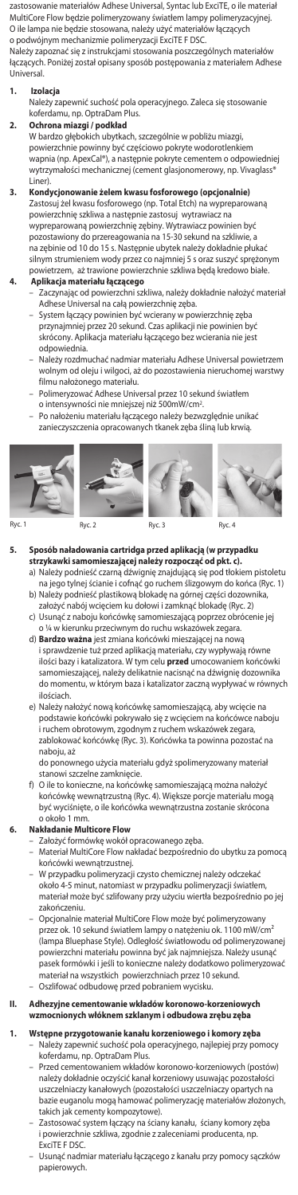zastosowanie materiałów Adhese Universal, Syntac lub ExciTE, o ile materiał MultiCore Flow będzie polimeryzowany światłem lampy polimeryzacyjnej. O ile lampa nie będzie stosowana, należy użyć materiałów łączących o podwójnym mechanizmie polimeryzacji ExciTE F DSC. Należy zapoznać się z instrukcjami stosowania poszczególnych materiałów łączących. Poniżej został opisany sposób postępowania z materiałem Adhese Universal.

## **1. Izolacja**

 Należy zapewnić suchość pola operacyjnego. Zaleca się stosowanie koferdamu, np. OptraDam Plus.

**2. Ochrona miazgi / podkład** W bardzo głębokich ubytkach, szczególnie w pobliżu miazgi, powierzchnie powinny być częściowo pokryte wodorotlenkiem wapnia (np. ApexCal®), a następnie pokryte cementem o odpowiedniej wytrzymałości mechanicznej (cement glasjonomerowy, np. Vivaglass' Liner).

**3. Kondycjonowanie żelem kwasu fosforowego (opcjonalnie)** Zastosuj żel kwasu fosforowego (np. Total Etch) na wypreparowaną powierzchnię szkliwa a następnie zastosuj wytrawiacz na wypreparowaną powierzchnię zębiny. Wytrawiacz powinien być pozostawiony do przereagowania na 15-30 sekund na szkliwie, a na zębinie od 10 do 15 s. Następnie ubytek należy dokładnie płukać silnym strumieniem wody przez co najmniej 5 s oraz suszyć sprężony powietrzem, aż trawione powierzchnie szkliwa będą kredowo białe.

- **4. Aplikacja materiału łączącego** Zaczynając od powierzchni szkliwa, należy dokładnie nałożyć materiał
	- Adhese Universal na całą powierzchnię zęba. System łączący powinien być wcierany w powierzchnię zęba przynajmniej przez 20 sekund. Czas aplikacji nie powinien być skrócony. Aplikacja materiału łączącego bez wcierania nie jest odpowiednia.
	- Należy rozdmuchać nadmiar materiału Adhese Universal powietrzem wolnym od oleju i wilgoci, aż do pozostawienia nieruchomej warstwy
	- filmu nałożonego materiału. Polimeryzować Adhese Universal przez 10 sekund światłem o intensywności nie mniejszej niż 500mW/cm<sup>2</sup>.
	- Po nałożeniu materiału łączącego należy bezwzględnie unikać zanieczyszczenia opracowanych tkanek zęba śliną lub krwią.









Ryc. 1 Ryc. 2 Ryc. 3 Ryc. 4

- **5. Sposób naładowania cartridga przed aplikacją (w przypadku strzykawki samomieszającej należy rozpocząć od pkt. c).**
	- a) Należy podnieść czarną dźwignię znajdującą się pod tłokiem pistolet na jego tylnej ścianie i cofnąć go ruchem ślizgowym do końca (Ryc. 1) b) Należy podnieść plastikową blokadę na górnej części dozownika, założyć nabój wcięciem ku dołowi i zamknąć blokadę (Ryc. 2)
	- c) Usunąć z naboju końcówkę samomieszającą poprzez obrócenie jej o ¼ w kierunku przeciwnym do ruchu wskazówek zegara.
	- d) **Bardzo ważna** jest zmiana końcówki mieszającej na nową i sprawdzenie tuż przed aplikacją materiału, czy wypływają równe ilości bazy i katalizatora. W tym celu **przed** umocowaniem końcówki samomieszającej, należy delikatnie nacisnąć na dźwignię dozownika do momentu, w którym baza i katalizator zaczną wypływać w równych ilościach.
	- e) Należy nałożyć nową końcówkę samomieszającą, aby wcięcie na podstawie końcówki pokrywało się z wcięciem na końcówce naboju i ruchem obrotowym, zgodnym z ruchem wskazówek zegara, zablokować końcówkę (Ryc. 3). Końcówka ta powinna pozostać na naboju, aż

do ponownego użycia materiału gdyż spolimeryzowany materiał stanowi szczelne zamknięcie.

f) O ile to konieczne, na końcówkę samomieszającą można nałożyć końcówkę wewnątrzustną (Ryc. 4). Większe porcje materiału mogą być wyciśnięte, o ile końcówka wewnątrzustna zostanie skrócona o około 1 mm.

# **6. Nakładanie Multicore Flow**

- Założyć formówkę wokół opracowanego zęba.
- Materiał MultiCore Flow nakładać bezpośrednio do ubytku za pomocą końcówki wewnątrzustnej.
- W przypadku polimeryzacji czysto chemicznej należy odczekać około 4-5 minut, natomiast w przypadku polimeryzacji światłem, materiał może być szlifowany przy użyciu wiertła bezpośrednio po jej zakończeniu.
- Opcjonalnie materiał MultiCore Flow może być polimeryzowany<br>– przez ok. 10 sekund światłem lampy o natężeniu ok. 1100 mW/cm<sup>2</sup><br>(lampa Bluephase Style). Odległość światłowodu od polimeryzowanej powierzchni materiału powinna być jak najmniejsza. Należy usunąć pasek formówki i jeśli to konieczne należy dodatkowo polimeryzować materiał na wszystkich powierzchniach przez 10 sekund.
- Oszlifować odbudowę przed pobraniem wycisku.

## **II. Adhezyjne cementowanie wkładów koronowo-korzeniowych wzmocnionych włóknem szklanym i odbudowa zrębu zęba**

- **1. Wstępne przygotowanie kanału korzeniowego i komory zęba**
	- Należy zapewnić suchość pola operacyjnego, najlepiej przy pomocy koferdamu, np. OptraDam Plus.
	- Przed cementowaniem wkładów koronowo-korzeniowych (postów) należy dokładnie oczyścić kanał korzeniowy usuwając pozostałości uszczelniaczy kanałowych (pozostałości uszczelniaczy opartych na bazie euganolu mogą hamować polimeryzację materiałów złożonych, takich jak cementy kompozytowe).
	- Zastosować system łączący na ściany kanału, ściany komory zęba i powierzchnie szkliwa, zgodnie z zaleceniami producenta, np. ExciTE F DSC.
	- Usunąć nadmiar materiału łączącego z kanału przy pomocy sączków papierowych.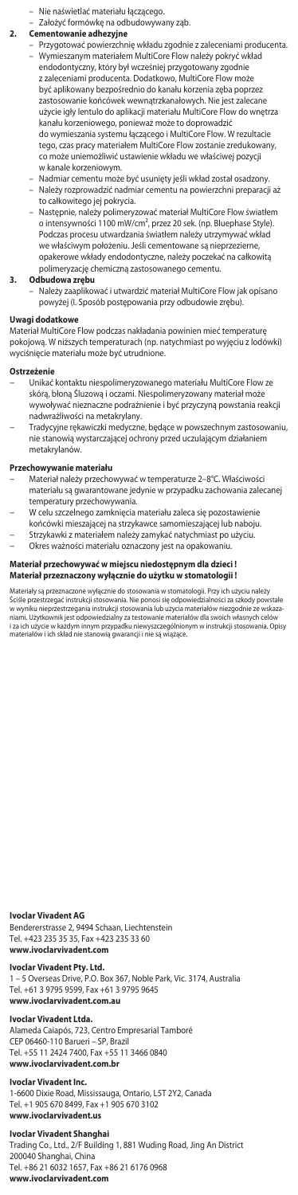- Nie naświetlać materiału łączącego.
- Założyć formówkę na odbudowywany ząb.
- 
- **2. Cementowanie adhezyjne** Przygotować powierzchnię wkładu zgodnie z zaleceniami producenta. – Wymieszanym materiałem MultiCore Flow należy pokryć wkład endodontyczny, który był wcześniej przygotowany zgodnie z zaleceniami producenta. Dodatkowo, MultiCore Flow może być aplikowany bezpośrednio do kanału korzenia zęba poprzez zastosowanie końcówek wewnątrzkanałowych. Nie jest zalecane użycie igły lentulo do aplikacji materiału MultiCore Flow do wnętrza kanału korzeniowego, ponieważ może to doprowadzić do wymieszania systemu łączącego i MultiCore Flow. W rezultacie tego, czas pracy materiałem MultiCore Flow zostanie zredukowany, co może uniemożliwić ustawienie wkładu we właściwej pozycji w kanale korzeniowym.
	- Nadmiar cementu może być usunięty jeśli wkład został osadzony. – Należy rozprowadzić nadmiar cementu na powierzchni preparacji aż to całkowitego jej pokrycia.
	- Następnie, należy polimeryzować materiał MultiCore Flow światłem o intensywności 1100 mW/cm², przez 20 sek. (np. Bluephase Style). Podczas procesu utwardzania światłem należy utrzymywać wkład we właściwym położeniu. Jeśli cementowane są nieprzezierne, opakerowe wkłady endodontyczne, należy poczekać na całkowitą polimeryzację chemiczną zastosowanego cementu.
- **3. Odbudowa zrębu**
	- Należy zaaplikować i utwardzić materiał MultiCore Flow jak opisano powyżej (I. Sposób postępowania przy odbudowie zrębu).

# **Uwagi dodatkowe**

Materiał MultiCore Flow podczas nakładania powinien mieć temperaturę pokojową. W niższych temperaturach (np. natychmiast po wyjęciu z lodówki) ateriału może być utrudnione

## **Ostrzeżenie**

- − Unikać kontaktu niespolimeryzowanego materiału MultiCore Flow ze skórą, błoną Śluzową i oczami. Niespolimeryzowany materiał może wywoływać nieznaczne podrażnienie i być przyczyną powstania reakcji nadwrażliwości na metakrylany.
- − Tradycyjne rękawiczki medyczne, będące w powszechnym zastosowaniu, nie stanowią wystarczającej ochrony przed uczulającym działaniem metakrylanó

# **Przechowywanie materiału**

- − Materiał należy przechowywać w temperaturze 2–8°C. Właściwości materiału są gwarantowane jedynie w przypadku zachowania zalecanej temperatury przechowywania.
- − W celu szczelnego zamknięcia materiału zaleca się pozostawienie
- końcówki mieszającej na strzykawce samomieszającej lub naboju. − Strzykawki z materiałem należy zamykać natychmiast po użyciu.
	-
- − Okres ważności materiału oznaczony jest na opakowaniu.

# **Materiał przechowywać w miejscu niedostępnym dla dzieci ! Materiał przeznaczony wyłącznie do użytku w stomatologii !**

Materialy są przeznaczone wyłącznie do stosowania w stomatologii. Przy ich użyciu należy<br>Sciśle przestrzegać instrukcji stosowania. Nie ponosi się odpowiedzialności za szkody powstałe<br>w wyniku nieprzestrzegania instrukcji

## **Ivoclar Vivadent AG**

Bendererstrasse 2, 9494 Schaan, Liechtenstein Tel. +423 235 35 35, Fax +423 235 33 60 **www.ivoclarvivadent.com**

# **Ivoclar Vivadent Pty. Ltd.**

1 – 5 Overseas Drive, P.O. Box 367, Noble Park, Vic. 3174, Australia Tel. +61 3 9795 9599, Fax +61 3 9795 9645 **www.ivoclarvivadent.com.au**

## **Ivoclar Vivadent Ltda.**

Alameda Caiapós, 723, Centro Empresarial Tamboré CEP 06460-110 Barueri – SP, Brazil Tel. +55 11 2424 7400, Fax +55 11 3466 0840 **www.ivoclarvivadent.com.br**

## **Ivoclar Vivadent Inc.**

1-6600 Dixie Road, Mississauga, Ontario, L5T 2Y2, Canada Tel. +1 905 670 8499, Fax +1 905 670 3102 **www.ivoclarvivadent.us**

**Ivoclar Vivadent Shanghai**<br>Trading Co., Ltd., 2/F Building 1, 881 Wuding Road, Jing An District<br>200040 Shanghai, China Tel. +86 21 6032 1657, Fax +86 21 6176 0968 **www.ivoclarvivadent.com**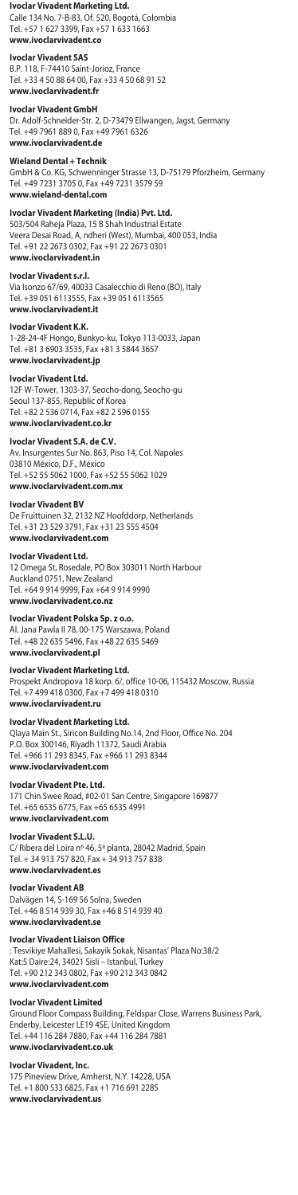## **Ivoclar Vivadent Marketing Ltd.**

Calle 134 No. 7-B-83, Of. 520, Bogotá, Colombia Tel. +57 1 627 3399, Fax +57 1 633 1663 **www.ivoclarvivadent.co** 

## **Ivoclar Vivadent SAS**

B.P. 118, F-74410 Saint-Jorioz, France Tel. +33 4 50 88 64 00, Fax +33 4 50 68 91 52 **www.ivoclarvivadent.fr**

## **Ivoclar Vivadent GmbH**

Dr. Adolf-Schneider-Str. 2, D-73479 Ellwangen, Jagst, Germany Tel. +49 7961 889 0, Fax +49 7961 6326 **www.ivoclarvivadent.de**

## **Wieland Dental + Technik**

GmbH & Co. KG, Schwenninger Strasse 13, D-75179 Pforzheim, Germany Tel. +49 7231 3705 0, Fax +49 7231 3579 59 **www.wieland-dental.com**

# **Ivoclar Vivadent Marketing (India) Pvt. Ltd.**

503/504 Raheja Plaza, 15 B Shah Industrial Estate Veera Desai Road, A, ndheri (West), Mumbai, 400 053, India Tel. +91 22 2673 0302, Fax +91 22 2673 0301 **www.ivoclarvivadent.in**

## **Ivoclar Vivadent s.r.l.**

Via Isonzo 67/69, 40033 Casalecchio di Reno (BO), Italy Tel. +39 051 6113555, Fax +39 051 6113565 **www.ivoclarvivadent.it**

## **Ivoclar Vivadent K.K.**

1-28-24-4F Hongo, Bunkyo-ku, Tokyo 113-0033, Japan Tel. +81 3 6903 3535, Fax +81 3 5844 3657 **www.ivoclarvivadent.jp**

## **Ivoclar Vivadent Ltd.**

12F W-Tower, 1303-37, Seocho-dong, Seocho-gu Seoul 137-855, Republic of Korea Tel. +82 2 536 0714, Fax +82 2 596 0155 **www.ivoclarvivadent.co.kr**

# **Ivoclar Vivadent S.A. de C.V.**

Av. Insurgentes Sur No. 863, Piso 14, Col. Napoles 03810 México, D.F., México Tel. +52 55 5062 1000, Fax +52 55 5062 1029 **www.ivoclarvivadent.com.mx**

# **Ivoclar Vivadent BV**

De Fruittuinen 32, 2132 NZ Hoofddorp, Netherlands Tel. +31 23 529 3791, Fax +31 23 555 4504 **www.ivoclarvivadent.com**

### **Ivoclar Vivadent Ltd.**

12 Omega St, Rosedale, PO Box 303011 North Harbour Auckland 0751, New Zealand Tel. +64 9 914 9999, Fax +64 9 914 9990 **www.ivoclarvivadent.co.nz**

# **Ivoclar Vivadent Polska Sp. z o.o.**

Al. Jana Pawla II 78, 00-175 Warszawa, Poland Tel. +48 22 635 5496, Fax +48 22 635 5469 **www.ivoclarvivadent.pl**

# **Ivoclar Vivadent Marketing Ltd.**

Prospekt Andropova 18 korp. 6/, office 10-06, 115432 Moscow, Russia Tel. +7 499 418 0300, Fax +7 499 418 0310 **www.ivoclarvivadent.ru** 

# **Ivoclar Vivadent Marketing Ltd.**

Qlaya Main St., Siricon Building No.14, 2nd Floor, Office No. 204 P.O. Box 300146, Riyadh 11372, Saudi Arabia Tel. +966 11 293 8345, Fax +966 11 293 8344 **www.ivoclarvivadent.com**

**Ivoclar Vivadent Pte. Ltd.** 171 Chin Swee Road, #02-01 San Centre, Singapore 169877 Tel. +65 6535 6775, Fax +65 6535 4991 **www.ivoclarvivadent.com**

## **Ivoclar Vivadent S.L.U.**

C/ Ribera del Loira nº 46, 5ª planta, 28042 Madrid, Spain Tel. + 34 913 757 820, Fax + 34 913 757 838 **www.ivoclarvivadent.es**

## **Ivoclar Vivadent AB**

Dalvägen 14, S-169 56 Solna, Sweden Tel. +46 8 514 939 30, Fax +46 8 514 939 40 **www.ivoclarvivadent.se**

# **Ivoclar Vivadent Liaison Office**

: Tesvikiye Mahallesi, Sakayik Sokak, Nisantas' Plaza No:38/2 Kat:5 Daire:24, 34021 Sisli – Istanbul, Turkey Tel. +90 212 343 0802, Fax +90 212 343 0842 **www.ivoclarvivadent.com**

# **Ivoclar Vivadent Limited**

Ground Floor Compass Building, Feldspar Close, Warrens Business Park, Enderby, Leicester LE19 4SE, United Kingdom Tel. +44 116 284 7880, Fax +44 116 284 7881 **www.ivoclarvivadent.co.uk**

# **Ivoclar Vivadent, Inc.**

175 Pineview Drive, Amherst, N.Y. 14228, USA Tel. +1 800 533 6825, Fax +1 716 691 2285 **www.ivoclarvivadent.us**